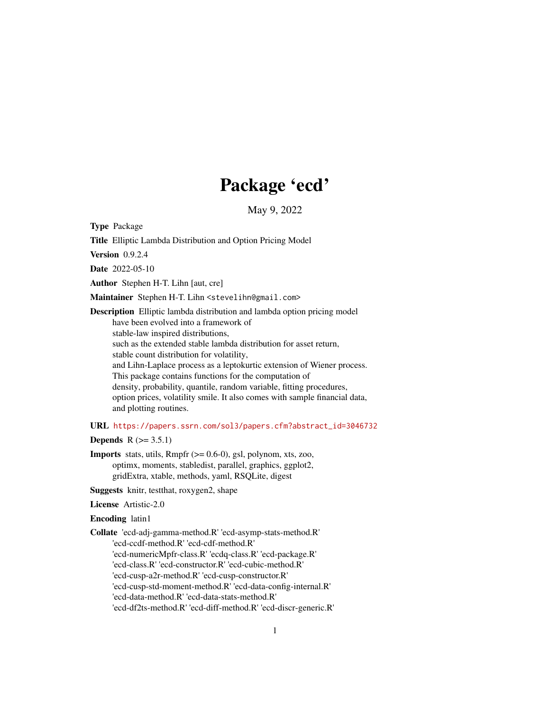# Package 'ecd'

May 9, 2022

Type Package

Title Elliptic Lambda Distribution and Option Pricing Model

Version 0.9.2.4

Date 2022-05-10

Author Stephen H-T. Lihn [aut, cre]

Maintainer Stephen H-T. Lihn <stevelihn@gmail.com>

Description Elliptic lambda distribution and lambda option pricing model have been evolved into a framework of stable-law inspired distributions, such as the extended stable lambda distribution for asset return, stable count distribution for volatility, and Lihn-Laplace process as a leptokurtic extension of Wiener process. This package contains functions for the computation of density, probability, quantile, random variable, fitting procedures, option prices, volatility smile. It also comes with sample financial data, and plotting routines.

URL [https://papers.ssrn.com/sol3/papers.cfm?abstract\\_id=3046732](https://papers.ssrn.com/sol3/papers.cfm?abstract_id=3046732)

**Depends**  $R$  ( $> = 3.5.1$ )

**Imports** stats, utils,  $Rmpfr$  ( $>= 0.6-0$ ), gsl, polynom, xts, zoo, optimx, moments, stabledist, parallel, graphics, ggplot2, gridExtra, xtable, methods, yaml, RSQLite, digest

Suggests knitr, testthat, roxygen2, shape

License Artistic-2.0

Encoding latin1

Collate 'ecd-adj-gamma-method.R' 'ecd-asymp-stats-method.R' 'ecd-ccdf-method.R' 'ecd-cdf-method.R' 'ecd-numericMpfr-class.R' 'ecdq-class.R' 'ecd-package.R' 'ecd-class.R' 'ecd-constructor.R' 'ecd-cubic-method.R' 'ecd-cusp-a2r-method.R' 'ecd-cusp-constructor.R' 'ecd-cusp-std-moment-method.R' 'ecd-data-config-internal.R' 'ecd-data-method.R' 'ecd-data-stats-method.R' 'ecd-df2ts-method.R' 'ecd-diff-method.R' 'ecd-discr-generic.R'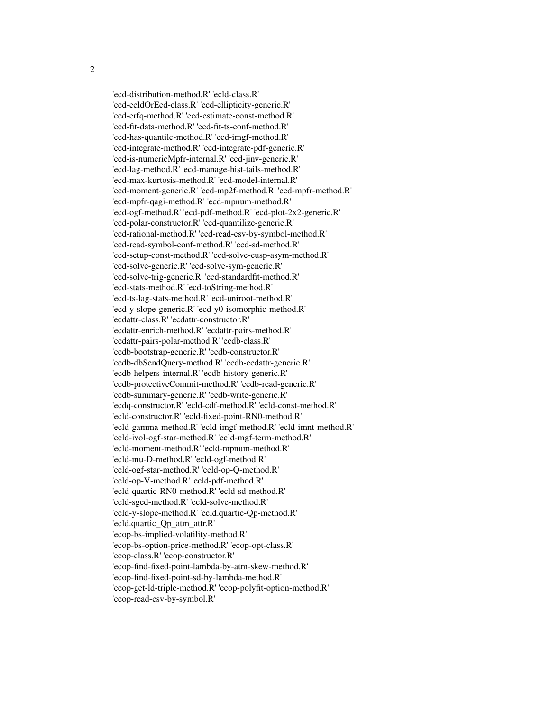'ecd-distribution-method.R' 'ecld-class.R' 'ecd-ecldOrEcd-class.R' 'ecd-ellipticity-generic.R' 'ecd-erfq-method.R' 'ecd-estimate-const-method.R' 'ecd-fit-data-method.R' 'ecd-fit-ts-conf-method.R' 'ecd-has-quantile-method.R' 'ecd-imgf-method.R' 'ecd-integrate-method.R' 'ecd-integrate-pdf-generic.R' 'ecd-is-numericMpfr-internal.R' 'ecd-jinv-generic.R' 'ecd-lag-method.R' 'ecd-manage-hist-tails-method.R' 'ecd-max-kurtosis-method.R' 'ecd-model-internal.R' 'ecd-moment-generic.R' 'ecd-mp2f-method.R' 'ecd-mpfr-method.R' 'ecd-mpfr-qagi-method.R' 'ecd-mpnum-method.R' 'ecd-ogf-method.R' 'ecd-pdf-method.R' 'ecd-plot-2x2-generic.R' 'ecd-polar-constructor.R' 'ecd-quantilize-generic.R' 'ecd-rational-method.R' 'ecd-read-csv-by-symbol-method.R' 'ecd-read-symbol-conf-method.R' 'ecd-sd-method.R' 'ecd-setup-const-method.R' 'ecd-solve-cusp-asym-method.R' 'ecd-solve-generic.R' 'ecd-solve-sym-generic.R' 'ecd-solve-trig-generic.R' 'ecd-standardfit-method.R' 'ecd-stats-method.R' 'ecd-toString-method.R' 'ecd-ts-lag-stats-method.R' 'ecd-uniroot-method.R' 'ecd-y-slope-generic.R' 'ecd-y0-isomorphic-method.R' 'ecdattr-class.R' 'ecdattr-constructor.R' 'ecdattr-enrich-method.R' 'ecdattr-pairs-method.R' 'ecdattr-pairs-polar-method.R' 'ecdb-class.R' 'ecdb-bootstrap-generic.R' 'ecdb-constructor.R' 'ecdb-dbSendQuery-method.R' 'ecdb-ecdattr-generic.R' 'ecdb-helpers-internal.R' 'ecdb-history-generic.R' 'ecdb-protectiveCommit-method.R' 'ecdb-read-generic.R' 'ecdb-summary-generic.R' 'ecdb-write-generic.R' 'ecdq-constructor.R' 'ecld-cdf-method.R' 'ecld-const-method.R' 'ecld-constructor.R' 'ecld-fixed-point-RN0-method.R' 'ecld-gamma-method.R' 'ecld-imgf-method.R' 'ecld-imnt-method.R' 'ecld-ivol-ogf-star-method.R' 'ecld-mgf-term-method.R' 'ecld-moment-method.R' 'ecld-mpnum-method.R' 'ecld-mu-D-method.R' 'ecld-ogf-method.R' 'ecld-ogf-star-method.R' 'ecld-op-Q-method.R' 'ecld-op-V-method.R' 'ecld-pdf-method.R' 'ecld-quartic-RN0-method.R' 'ecld-sd-method.R' 'ecld-sged-method.R' 'ecld-solve-method.R' 'ecld-y-slope-method.R' 'ecld.quartic-Qp-method.R' 'ecld.quartic\_Qp\_atm\_attr.R' 'ecop-bs-implied-volatility-method.R' 'ecop-bs-option-price-method.R' 'ecop-opt-class.R' 'ecop-class.R' 'ecop-constructor.R' 'ecop-find-fixed-point-lambda-by-atm-skew-method.R' 'ecop-find-fixed-point-sd-by-lambda-method.R' 'ecop-get-ld-triple-method.R' 'ecop-polyfit-option-method.R' 'ecop-read-csv-by-symbol.R'

2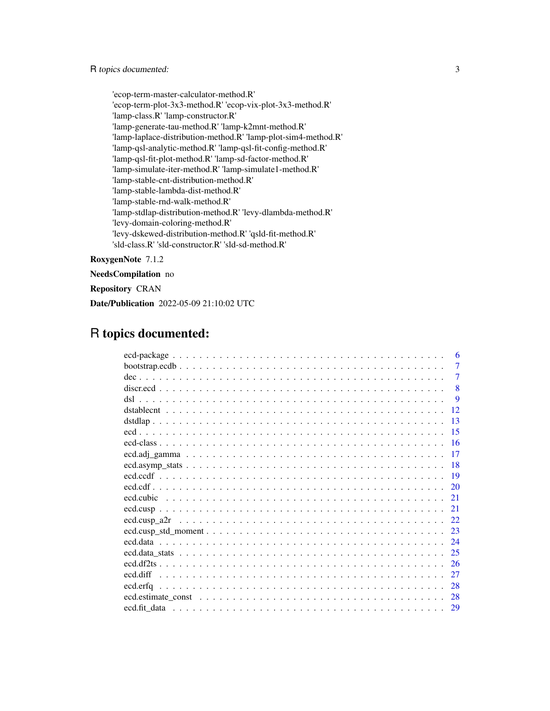'ecop-term-master-calculator-method.R' 'ecop-term-plot-3x3-method.R' 'ecop-vix-plot-3x3-method.R' 'lamp-class.R' 'lamp-constructor.R' 'lamp-generate-tau-method.R' 'lamp-k2mnt-method.R' 'lamp-laplace-distribution-method.R' 'lamp-plot-sim4-method.R' 'lamp-qsl-analytic-method.R' 'lamp-qsl-fit-config-method.R' 'lamp-qsl-fit-plot-method.R' 'lamp-sd-factor-method.R' 'lamp-simulate-iter-method.R' 'lamp-simulate1-method.R' 'lamp-stable-cnt-distribution-method.R' 'lamp-stable-lambda-dist-method.R' 'lamp-stable-rnd-walk-method.R' 'lamp-stdlap-distribution-method.R' 'levy-dlambda-method.R' 'levy-domain-coloring-method.R' 'levy-dskewed-distribution-method.R' 'qsld-fit-method.R' 'sld-class.R' 'sld-constructor.R' 'sld-sd-method.R'

RoxygenNote 7.1.2

NeedsCompilation no

Repository CRAN

Date/Publication 2022-05-09 21:10:02 UTC

# R topics documented:

| 6              |
|----------------|
| $\overline{7}$ |
| $\overline{7}$ |
| 8              |
| 9              |
| 12             |
| 13             |
| 15             |
|                |
| -17            |
| -18            |
| - 19           |
|                |
|                |
| 21             |
| 22.            |
| 23             |
| 24             |
| -25            |
| 26             |
| 27             |
| 28             |
| -28            |
|                |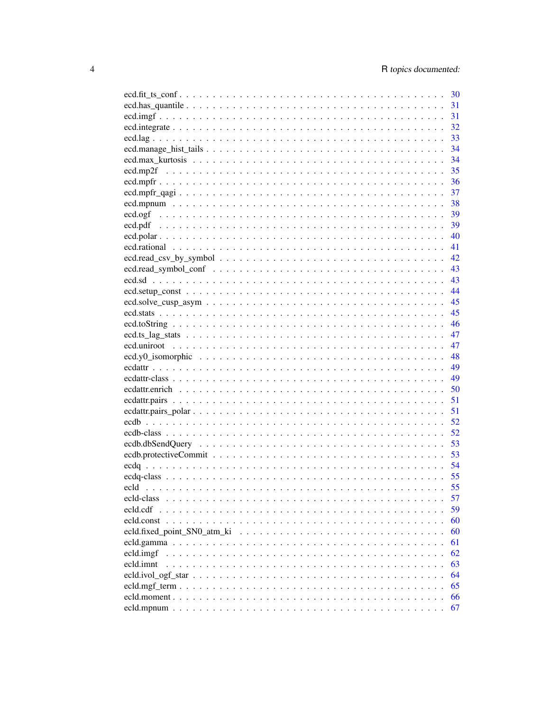|            | 31 |
|------------|----|
|            | 31 |
|            | 32 |
|            | 33 |
|            | 34 |
|            | 34 |
|            | 35 |
|            | 36 |
|            | 37 |
|            | 38 |
|            | 39 |
|            | 39 |
|            | 40 |
|            | 41 |
|            | 42 |
|            | 43 |
|            |    |
|            | 43 |
|            | 44 |
|            | 45 |
|            | 45 |
|            | 46 |
|            | 47 |
|            | 47 |
|            | 48 |
|            | 49 |
|            | 49 |
|            | 50 |
|            | 51 |
|            | 51 |
|            | 52 |
|            | 52 |
|            | 53 |
|            | 53 |
|            | 54 |
|            | 55 |
|            | 55 |
| ecld-class | 57 |
| ecld.cdf   | 59 |
|            | 60 |
|            | 60 |
|            | 61 |
| ecld.imgf  | 62 |
| ecld.imnt  | 63 |
|            | 64 |
|            | 65 |
|            | 66 |
|            | 67 |
|            |    |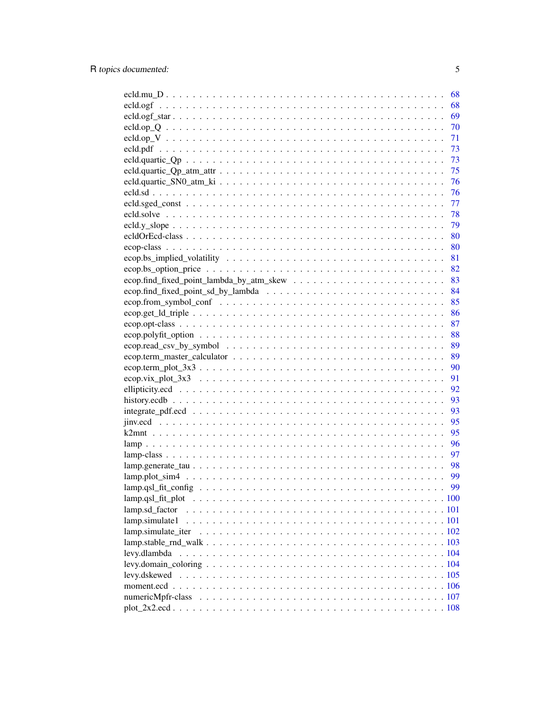| 68                 |
|--------------------|
| 68                 |
| 69                 |
| 70                 |
| 71                 |
| 73                 |
| 73                 |
| 75                 |
|                    |
|                    |
|                    |
|                    |
| 79                 |
|                    |
|                    |
|                    |
|                    |
|                    |
|                    |
| 85                 |
| 86                 |
| 87                 |
| 88                 |
| 89                 |
| 89                 |
| 90                 |
| 91                 |
| 92                 |
| 93                 |
| 93                 |
| 95                 |
| 95                 |
| 96                 |
| 97                 |
|                    |
| 99                 |
| 99                 |
| lamp.qsl_fit_plot  |
| lamp.sd_factor     |
| lamp.simulate1     |
| lamp.simulate_iter |
|                    |
| levy.dlambda       |
|                    |
| levy.dskewed       |
|                    |
|                    |
|                    |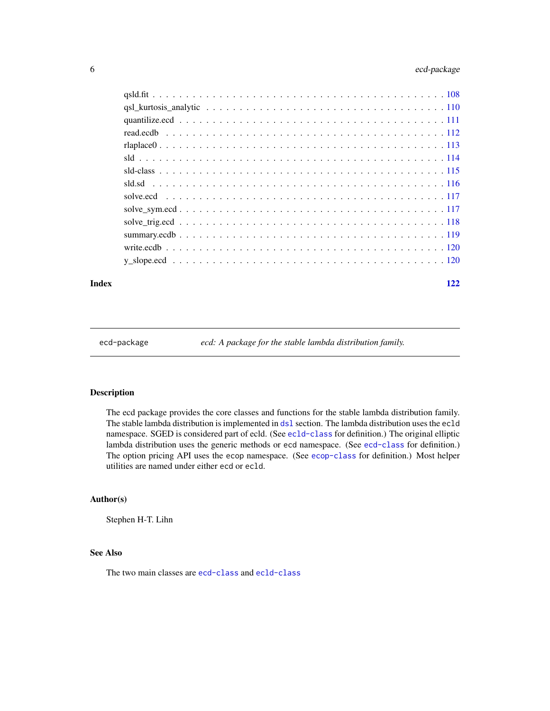<span id="page-5-0"></span>

#### **Index** 2008 **Index** 2008 **Index**

ecd-package *ecd: A package for the stable lambda distribution family.*

# Description

The ecd package provides the core classes and functions for the stable lambda distribution family. The stable lambda distribution is implemented in [dsl](#page-8-1) section. The lambda distribution uses the ecld namespace. SGED is considered part of ecld. (See [ecld-class](#page-56-1) for definition.) The original elliptic lambda distribution uses the generic methods or ecd namespace. (See [ecd-class](#page-15-1) for definition.) The option pricing API uses the ecop namespace. (See [ecop-class](#page-79-1) for definition.) Most helper utilities are named under either ecd or ecld.

# Author(s)

Stephen H-T. Lihn

# See Also

The two main classes are [ecd-class](#page-15-1) and [ecld-class](#page-56-1)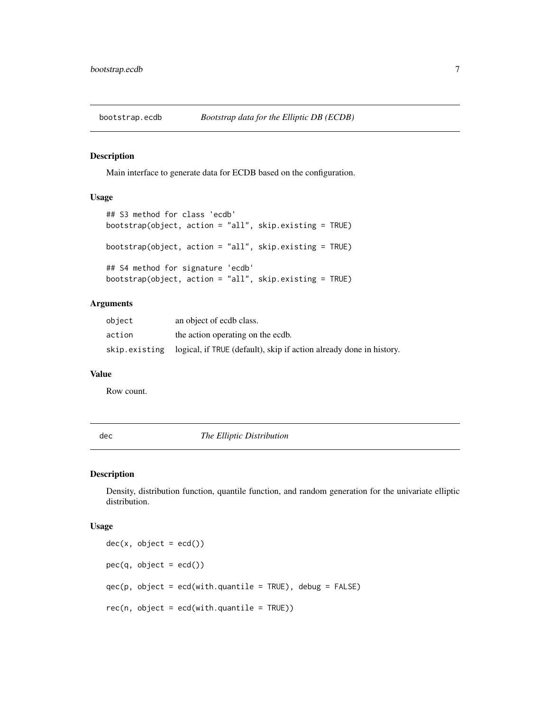<span id="page-6-0"></span>

Main interface to generate data for ECDB based on the configuration.

# Usage

```
## S3 method for class 'ecdb'
bootstrap(object, action = "all", skip.existing = TRUE)
bootstrap(object, action = "all", skip.existing = TRUE)
## S4 method for signature 'ecdb'
bootstrap(object, action = "all", skip.existing = TRUE)
```
#### Arguments

| object        | an object of ecdb class.                                            |
|---------------|---------------------------------------------------------------------|
| action        | the action operating on the ecdb.                                   |
| skip.existing | logical, if TRUE (default), skip if action already done in history. |

#### Value

Row count.

dec *The Elliptic Distribution*

# Description

Density, distribution function, quantile function, and random generation for the univariate elliptic distribution.

#### Usage

 $dec(x, object = ecd())$  $pec(q, object = ecd())$ qec(p, object = ecd(with.quantile = TRUE), debug = FALSE)  $rec(n, object = ecd(with.quantile = TRUE))$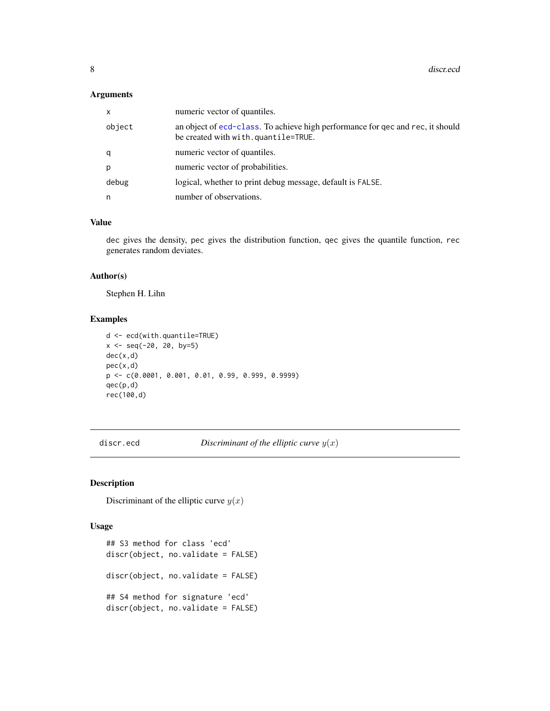<span id="page-7-0"></span>

| x      | numeric vector of quantiles.                                                                                          |
|--------|-----------------------------------------------------------------------------------------------------------------------|
| object | an object of ecd-class. To achieve high performance for qec and rec, it should<br>be created with with.quantile=TRUE. |
| q      | numeric vector of quantiles.                                                                                          |
| p      | numeric vector of probabilities.                                                                                      |
| debug  | logical, whether to print debug message, default is FALSE.                                                            |
| n      | number of observations.                                                                                               |

#### Value

dec gives the density, pec gives the distribution function, qec gives the quantile function, rec generates random deviates.

# Author(s)

Stephen H. Lihn

# Examples

```
d <- ecd(with.quantile=TRUE)
x \le - seq(-20, 20, by=5)
dec(x,d)
pec(x,d)
p <- c(0.0001, 0.001, 0.01, 0.99, 0.999, 0.9999)
qec(p,d)
rec(100,d)
```
discr.ecd *Discriminant of the elliptic curve* y(x)

# Description

Discriminant of the elliptic curve  $y(x)$ 

#### Usage

```
## S3 method for class 'ecd'
discr(object, no.validate = FALSE)
discr(object, no.validate = FALSE)
## S4 method for signature 'ecd'
discr(object, no.validate = FALSE)
```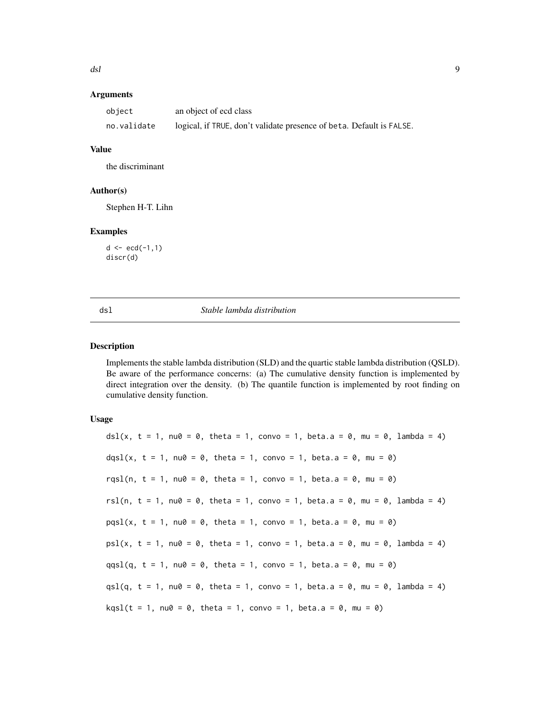<span id="page-8-0"></span>

| object      | an object of ecd class                                               |
|-------------|----------------------------------------------------------------------|
| no.validate | logical, if TRUE, don't validate presence of beta. Default is FALSE. |

#### Value

the discriminant

#### Author(s)

Stephen H-T. Lihn

#### Examples

 $d \leq -ecd(-1,1)$ discr(d)

<span id="page-8-1"></span>

#### dsl *Stable lambda distribution*

#### Description

Implements the stable lambda distribution (SLD) and the quartic stable lambda distribution (QSLD). Be aware of the performance concerns: (a) The cumulative density function is implemented by direct integration over the density. (b) The quantile function is implemented by root finding on cumulative density function.

#### Usage

dsl(x,  $t = 1$ , nu0 = 0, theta = 1, convo = 1, beta.a = 0, mu = 0, lambda = 4) dqsl(x, t = 1, nu0 = 0, theta = 1, convo = 1, beta.a = 0, mu = 0) rqsl(n,  $t = 1$ , nu0 = 0, theta = 1, convo = 1, beta.a = 0, mu = 0) rsl(n, t = 1, nu0 = 0, theta = 1, convo = 1, beta.a = 0, mu = 0, lambda = 4)  $pqs1(x, t = 1, nu0 = 0, \text{theta} = 1, \text{conv} = 1, \text{beta}.a = 0, mu = 0)$  $psl(x, t = 1, nu0 = 0, theta = 1, conv = 1, beta = 0, mu = 0, lambda = 4)$  $qqsl(q, t = 1, nu0 = 0, \text{theta} = 1, \text{conv} = 1, \text{beta} = 0, mu = 0)$ qsl(q, t = 1, nu0 = 0, theta = 1, convo = 1, beta.a = 0, mu = 0, lambda = 4)  $kqsl(t = 1, nu0 = 0, theta = 1, conv0 = 1, beta.a = 0, mu = 0)$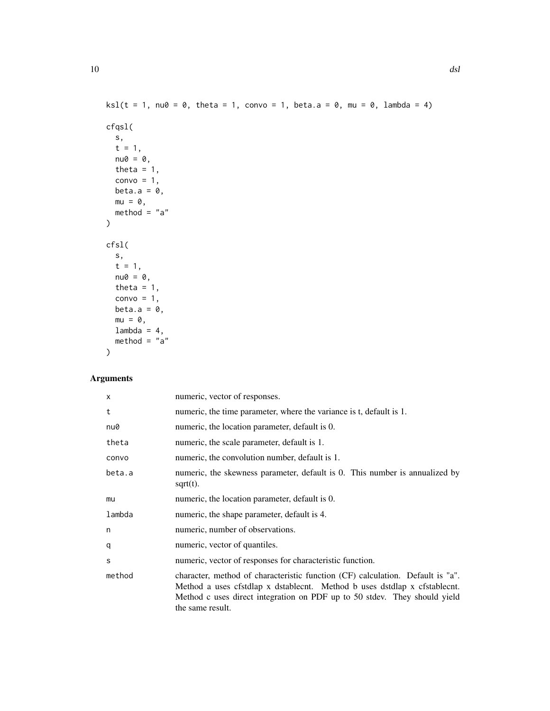```
ksl(t = 1, nu0 = 0, theta = 1, conv0 = 1, beta.a = 0, mu = 0, lambda = 4)cfqsl(
  s,
  t = 1,nu0 = 0,
  theta = 1,
  convo = 1,
  beta.a = 0,
  mu = 0,method = "a"\mathcal{L}cfsl(
  s,
  t = 1,nu@ = 0,theta = 1,
  convo = 1,
  beta.a = 0,
  mu = 0,lambda = 4,
  method = "a"\mathcal{L}
```

| $\times$ | numeric, vector of responses.                                                                                                                                                                                                                                |
|----------|--------------------------------------------------------------------------------------------------------------------------------------------------------------------------------------------------------------------------------------------------------------|
| t        | numeric, the time parameter, where the variance is t, default is 1.                                                                                                                                                                                          |
| nu0      | numeric, the location parameter, default is 0.                                                                                                                                                                                                               |
| theta    | numeric, the scale parameter, default is 1.                                                                                                                                                                                                                  |
| convo    | numeric, the convolution number, default is 1.                                                                                                                                                                                                               |
| beta.a   | numeric, the skewness parameter, default is 0. This number is annualized by<br>$sqrt(t)$ .                                                                                                                                                                   |
| mu       | numeric, the location parameter, default is 0.                                                                                                                                                                                                               |
| lambda   | numeric, the shape parameter, default is 4.                                                                                                                                                                                                                  |
| n        | numeric, number of observations.                                                                                                                                                                                                                             |
| q        | numeric, vector of quantiles.                                                                                                                                                                                                                                |
| S        | numeric, vector of responses for characteristic function.                                                                                                                                                                                                    |
| method   | character, method of characteristic function (CF) calculation. Default is "a".<br>Method a uses cfstdlap x dstablecnt. Method b uses dstdlap x cfstablecnt.<br>Method c uses direct integration on PDF up to 50 stdev. They should yield<br>the same result. |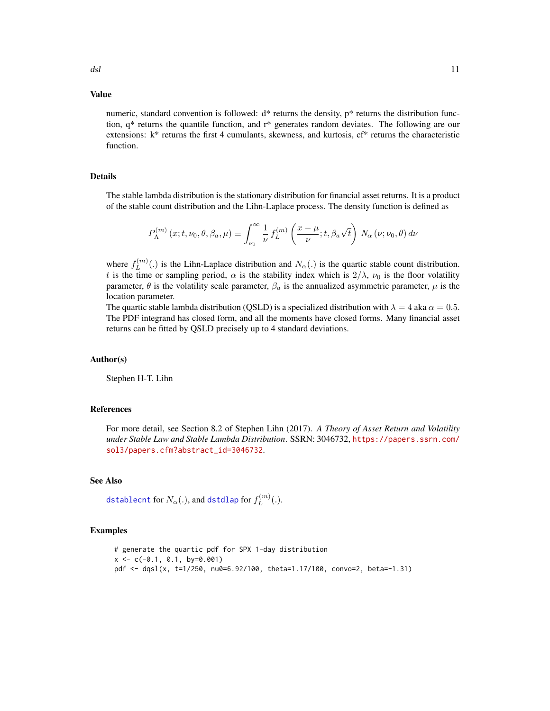### Value

numeric, standard convention is followed:  $d^*$  returns the density,  $p^*$  returns the distribution function,  $q^*$  returns the quantile function, and  $r^*$  generates random deviates. The following are our extensions:  $k^*$  returns the first 4 cumulants, skewness, and kurtosis,  $cf^*$  returns the characteristic function.

### Details

The stable lambda distribution is the stationary distribution for financial asset returns. It is a product of the stable count distribution and the Lihn-Laplace process. The density function is defined as

$$
P_{\Lambda}^{(m)}(x;t,\nu_0,\theta,\beta_a,\mu) \equiv \int_{\nu_0}^{\infty} \frac{1}{\nu} f_L^{(m)}\left(\frac{x-\mu}{\nu};t,\beta_a\sqrt{t}\right) N_{\alpha}(\nu;\nu_0,\theta) d\nu
$$

where  $f_L^{(m)}$  $L^{(m)}(.)$  is the Lihn-Laplace distribution and  $N_{\alpha}(.)$  is the quartic stable count distribution. t is the time or sampling period,  $\alpha$  is the stability index which is  $2/\lambda$ ,  $\nu_0$  is the floor volatility parameter,  $\theta$  is the volatility scale parameter,  $\beta_a$  is the annualized asymmetric parameter,  $\mu$  is the location parameter.

The quartic stable lambda distribution (QSLD) is a specialized distribution with  $\lambda = 4$  aka  $\alpha = 0.5$ . The PDF integrand has closed form, and all the moments have closed forms. Many financial asset returns can be fitted by QSLD precisely up to 4 standard deviations.

#### Author(s)

Stephen H-T. Lihn

### References

For more detail, see Section 8.2 of Stephen Lihn (2017). *A Theory of Asset Return and Volatility under Stable Law and Stable Lambda Distribution*. SSRN: 3046732, [https://papers.ssrn.com/](https://papers.ssrn.com/sol3/papers.cfm?abstract_id=3046732) [sol3/papers.cfm?abstract\\_id=3046732](https://papers.ssrn.com/sol3/papers.cfm?abstract_id=3046732).

# See Also

[dstablecnt](#page-11-1) for  $N_\alpha(.)$ , and [dstdlap](#page-12-1) for  $f_L^{(m)}$  $L^{(m)}(.)$ .

#### Examples

# generate the quartic pdf for SPX 1-day distribution  $x \leq -c(-0.1, 0.1, by=0.001)$ pdf <- dqsl(x, t=1/250, nu0=6.92/100, theta=1.17/100, convo=2, beta=-1.31)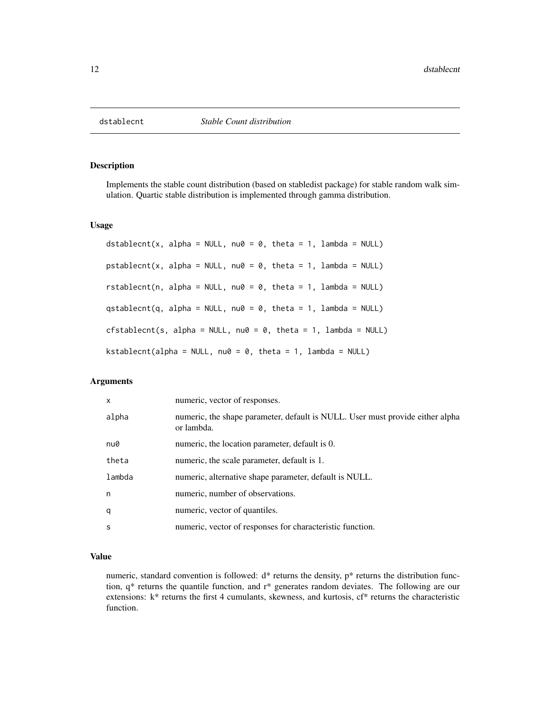<span id="page-11-1"></span><span id="page-11-0"></span>

Implements the stable count distribution (based on stabledist package) for stable random walk simulation. Quartic stable distribution is implemented through gamma distribution.

#### Usage

```
dstablecnt(x, alpha = NULL, nu0 = 0, theta = 1, lambda = NULL)
pstablecnt(x, alpha = NULL, nu0 = 0, theta = 1, lambda = NULL)rstablecnt(n, alpha = NULL, nu0 = 0, theta = 1, lambda = NULL)
qstablecnt(q, alpha = NULL, nu0 = 0, theta = 1, lambda = NULL)
cfstablecnt(s, alpha = NULL, nu0 = 0, theta = 1, lambda = NULL)
kstablecnt(alpha = NULL, nu0 = 0, theta = 1, lambda = NULL)
```
#### Arguments

| $\mathsf{x}$ | numeric, vector of responses.                                                               |
|--------------|---------------------------------------------------------------------------------------------|
| alpha        | numeric, the shape parameter, default is NULL. User must provide either alpha<br>or lambda. |
| nu0          | numeric, the location parameter, default is 0.                                              |
| theta        | numeric, the scale parameter, default is 1.                                                 |
| lambda       | numeric, alternative shape parameter, default is NULL.                                      |
| n            | numeric, number of observations.                                                            |
| q            | numeric, vector of quantiles.                                                               |
| S            | numeric, vector of responses for characteristic function.                                   |

#### Value

numeric, standard convention is followed:  $d^*$  returns the density,  $p^*$  returns the distribution function, q\* returns the quantile function, and r\* generates random deviates. The following are our extensions: k\* returns the first 4 cumulants, skewness, and kurtosis, cf\* returns the characteristic function.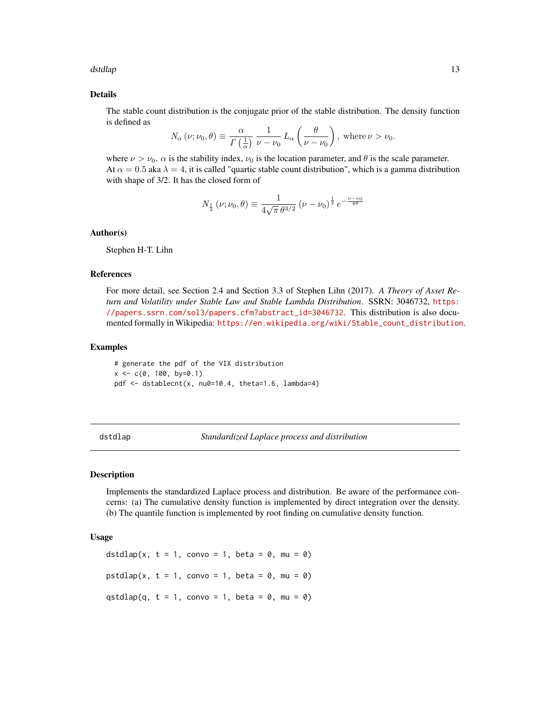#### <span id="page-12-0"></span>dstdlap and the state of the state of the state of the state of the state of the state of the state of the state of the state of the state of the state of the state of the state of the state of the state of the state of th

#### Details

The stable count distribution is the conjugate prior of the stable distribution. The density function is defined as

$$
N_{\alpha}(\nu;\nu_0,\theta) \equiv \frac{\alpha}{\Gamma(\frac{1}{\alpha})}\frac{1}{\nu-\nu_0}L_{\alpha}\left(\frac{\theta}{\nu-\nu_0}\right), \text{ where } \nu > \nu_0.
$$

where  $\nu > \nu_0$ .  $\alpha$  is the stability index,  $\nu_0$  is the location parameter, and  $\theta$  is the scale parameter. At  $\alpha = 0.5$  aka  $\lambda = 4$ , it is called "quartic stable count distribution", which is a gamma distribution with shape of 3/2. It has the closed form of

$$
N_{\frac{1}{2}}\left(\nu;\nu_{0},\theta\right) \equiv \frac{1}{4\sqrt{\pi} \,\theta^{3/2}} \left(\nu-\nu_{0}\right)^{\frac{1}{2}} e^{-\frac{\nu-\nu_{0}}{4\theta}}
$$

#### Author(s)

Stephen H-T. Lihn

# References

For more detail, see Section 2.4 and Section 3.3 of Stephen Lihn (2017). *A Theory of Asset Return and Volatility under Stable Law and Stable Lambda Distribution*. SSRN: 3046732, [https:](https://papers.ssrn.com/sol3/papers.cfm?abstract_id=3046732) [//papers.ssrn.com/sol3/papers.cfm?abstract\\_id=3046732](https://papers.ssrn.com/sol3/papers.cfm?abstract_id=3046732). This distribution is also documented formally in Wikipedia: [https://en.wikipedia.org/wiki/Stable\\_count\\_distribution](https://en.wikipedia.org/wiki/Stable_count_distribution).

#### Examples

# generate the pdf of the VIX distribution  $x \leq -c(0, 100, by=0.1)$ pdf  $\leq$  dstablecnt(x, nu0=10.4, theta=1.6, lambda=4)

<span id="page-12-1"></span>dstdlap *Standardized Laplace process and distribution*

# Description

Implements the standardized Laplace process and distribution. Be aware of the performance concerns: (a) The cumulative density function is implemented by direct integration over the density. (b) The quantile function is implemented by root finding on cumulative density function.

#### Usage

dstdlap(x,  $t = 1$ , convo = 1, beta = 0, mu = 0) pstdlap(x,  $t = 1$ , convo = 1, beta = 0, mu = 0) qstdlap(q,  $t = 1$ , convo = 1, beta = 0, mu = 0)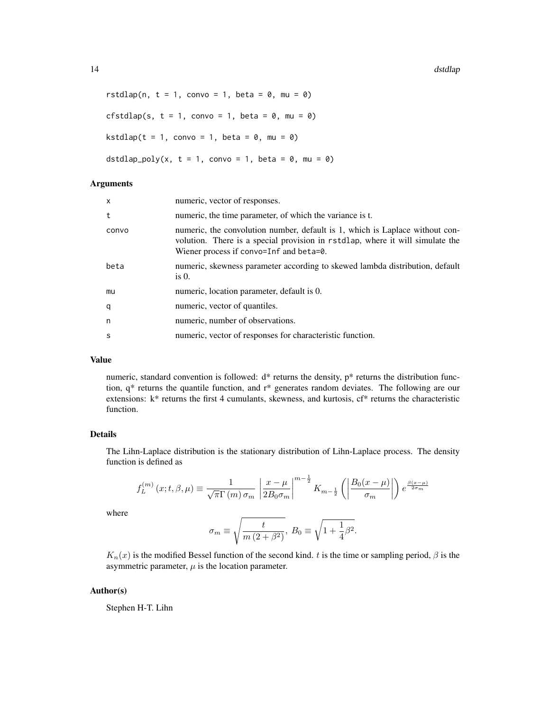14 dstdlap

```
rstdlap(n, t = 1, convo = 1, beta = 0, mu = 0)
cfstdlap(s, t = 1, convo = 1, beta = 0, mu = 0)
kstdlap(t = 1, convo = 1, beta = 0, mu = 0)dstdlap_poly(x, t = 1, convo = 1, beta = 0, mu = 0)
```
### Arguments

| $\mathsf{x}$ | numeric, vector of responses.                                                                                                                                                                            |
|--------------|----------------------------------------------------------------------------------------------------------------------------------------------------------------------------------------------------------|
| t            | numeric, the time parameter, of which the variance is t.                                                                                                                                                 |
| convo        | numeric, the convolution number, default is 1, which is Laplace without con-<br>volution. There is a special provision in rstdlap, where it will simulate the<br>Wiener process if convo=Inf and beta=0. |
| beta         | numeric, skewness parameter according to skewed lambda distribution, default<br>is $0$ .                                                                                                                 |
| mu           | numeric, location parameter, default is 0.                                                                                                                                                               |
| q            | numeric, vector of quantiles.                                                                                                                                                                            |
| n            | numeric, number of observations.                                                                                                                                                                         |
| <sub>S</sub> | numeric, vector of responses for characteristic function.                                                                                                                                                |

### Value

numeric, standard convention is followed: d\* returns the density, p\* returns the distribution function, q\* returns the quantile function, and r\* generates random deviates. The following are our extensions: k\* returns the first 4 cumulants, skewness, and kurtosis, cf\* returns the characteristic function.

### Details

The Lihn-Laplace distribution is the stationary distribution of Lihn-Laplace process. The density function is defined as

$$
f_L^{(m)}(x;t,\beta,\mu) \equiv \frac{1}{\sqrt{\pi}\Gamma(m)\,\sigma_m} \left| \frac{x-\mu}{2B_0\sigma_m} \right|^{m-\frac{1}{2}} K_{m-\frac{1}{2}}\left( \left| \frac{B_0(x-\mu)}{\sigma_m} \right| \right) e^{\frac{\beta(x-\mu)}{2\sigma_m}}
$$

where

$$
\sigma_m \equiv \sqrt{\frac{t}{m\left(2+\beta^2\right)}},\; B_0 \equiv \sqrt{1+\frac{1}{4}\beta^2}.
$$

 $K_n(x)$  is the modified Bessel function of the second kind. t is the time or sampling period,  $\beta$  is the asymmetric parameter,  $\mu$  is the location parameter.

### Author(s)

Stephen H-T. Lihn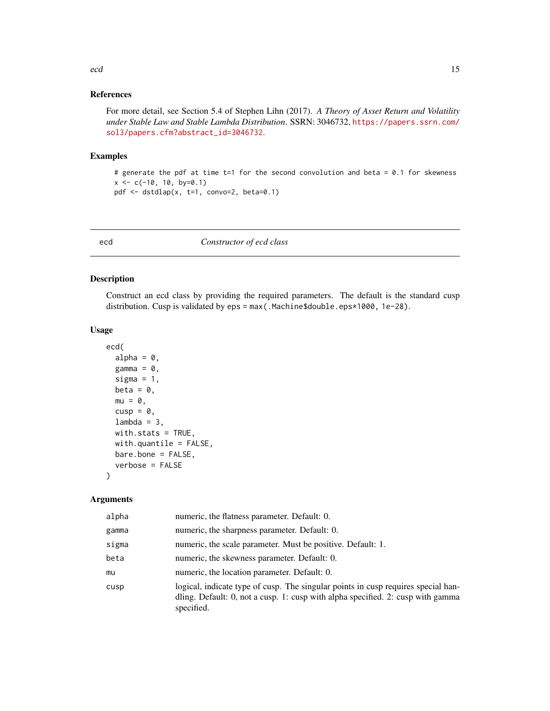#### <span id="page-14-0"></span>References

For more detail, see Section 5.4 of Stephen Lihn (2017). *A Theory of Asset Return and Volatility under Stable Law and Stable Lambda Distribution*. SSRN: 3046732, [https://papers.ssrn.com/](https://papers.ssrn.com/sol3/papers.cfm?abstract_id=3046732) [sol3/papers.cfm?abstract\\_id=3046732](https://papers.ssrn.com/sol3/papers.cfm?abstract_id=3046732).

#### Examples

# generate the pdf at time t=1 for the second convolution and beta = 0.1 for skewness  $x \leq -c(-10, 10, by=0.1)$ pdf <- dstdlap(x, t=1, convo=2, beta=0.1)

ecd *Constructor of ecd class*

#### Description

Construct an ecd class by providing the required parameters. The default is the standard cusp distribution. Cusp is validated by eps = max(.Machine\$double.eps\*1000, 1e-28).

# Usage

```
ecd(
  alpha = 0,
  gamma = \theta,
  sigma = 1,
  beta = \theta,
  mu = 0,
  cusp = \theta,
  lambda = 3,
  with.stats = TRUE,
  with.quantile = FALSE,
  bare.bone = FALSE,
  verbose = FALSE
```
#### Arguments

)

| alpha | numeric, the flatness parameter. Default: 0.                                                                                                                                       |
|-------|------------------------------------------------------------------------------------------------------------------------------------------------------------------------------------|
| gamma | numeric, the sharpness parameter. Default: 0.                                                                                                                                      |
| sigma | numeric, the scale parameter. Must be positive. Default: 1.                                                                                                                        |
| beta  | numeric, the skewness parameter. Default: 0.                                                                                                                                       |
| mu    | numeric, the location parameter. Default: 0.                                                                                                                                       |
| cusp  | logical, indicate type of cusp. The singular points in cusp requires special han-<br>dling. Default: 0, not a cusp. 1: cusp with alpha specified. 2: cusp with gamma<br>specified. |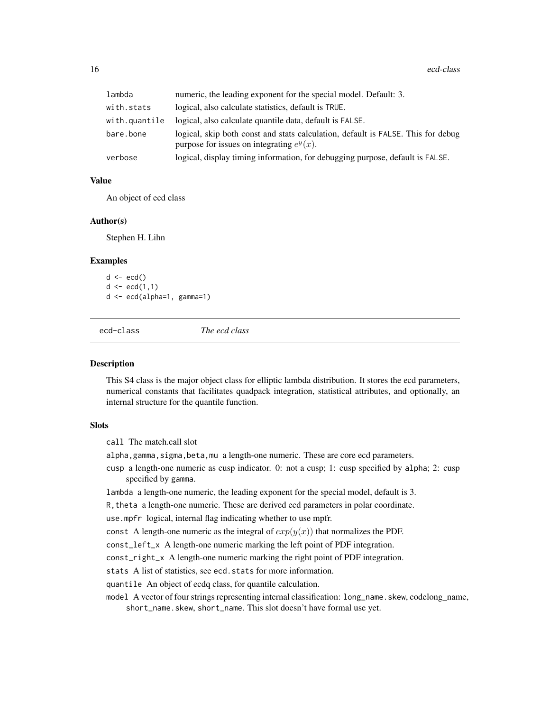<span id="page-15-0"></span>

| lambda        | numeric, the leading exponent for the special model. Default: 3.                                                                 |
|---------------|----------------------------------------------------------------------------------------------------------------------------------|
| with.stats    | logical, also calculate statistics, default is TRUE.                                                                             |
| with.quantile | logical, also calculate quantile data, default is FALSE.                                                                         |
| bare.bone     | logical, skip both const and stats calculation, default is FALSE. This for debug<br>purpose for issues on integrating $e^y(x)$ . |
| verbose       | logical, display timing information, for debugging purpose, default is FALSE.                                                    |

# Value

An object of ecd class

#### Author(s)

Stephen H. Lihn

### Examples

```
d \leftarrow \text{ecd}()d \leq -ecd(1,1)d <- ecd(alpha=1, gamma=1)
```
<span id="page-15-1"></span>

ecd-class *The ecd class*

#### Description

This S4 class is the major object class for elliptic lambda distribution. It stores the ecd parameters, numerical constants that facilitates quadpack integration, statistical attributes, and optionally, an internal structure for the quantile function.

#### **Slots**

call The match.call slot

alpha, gamma, sigma, beta, mu a length-one numeric. These are core ecd parameters.

cusp a length-one numeric as cusp indicator. 0: not a cusp; 1: cusp specified by alpha; 2: cusp specified by gamma.

lambda a length-one numeric, the leading exponent for the special model, default is 3.

R,theta a length-one numeric. These are derived ecd parameters in polar coordinate.

use.mpfr logical, internal flag indicating whether to use mpfr.

const A length-one numeric as the integral of  $exp(y(x))$  that normalizes the PDF.

const\_left\_x A length-one numeric marking the left point of PDF integration.

const\_right\_x A length-one numeric marking the right point of PDF integration.

stats A list of statistics, see ecd.stats for more information.

quantile An object of ecdq class, for quantile calculation.

model A vector of four strings representing internal classification: long\_name. skew, codelong\_name, short\_name.skew, short\_name. This slot doesn't have formal use yet.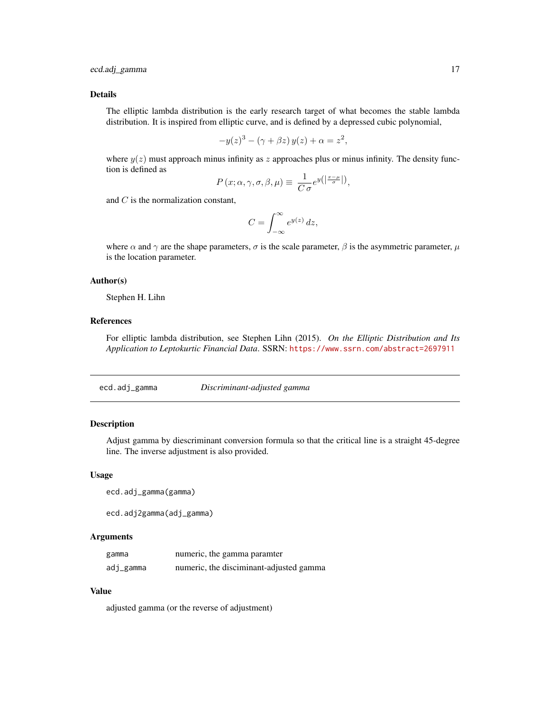### <span id="page-16-0"></span>Details

The elliptic lambda distribution is the early research target of what becomes the stable lambda distribution. It is inspired from elliptic curve, and is defined by a depressed cubic polynomial,

$$
-y(z)^3 - (\gamma + \beta z) y(z) + \alpha = z^2,
$$

where  $y(z)$  must approach minus infinity as z approaches plus or minus infinity. The density function is defined as

$$
P(x; \alpha, \gamma, \sigma, \beta, \mu) \equiv \frac{1}{C \sigma} e^{y(\left|\frac{x-\mu}{\sigma}\right|)},
$$

and  $C$  is the normalization constant,

$$
C = \int_{-\infty}^{\infty} e^{y(z)} dz,
$$

where  $\alpha$  and  $\gamma$  are the shape parameters,  $\sigma$  is the scale parameter,  $\beta$  is the asymmetric parameter,  $\mu$ is the location parameter.

# Author(s)

Stephen H. Lihn

# References

For elliptic lambda distribution, see Stephen Lihn (2015). *On the Elliptic Distribution and Its Application to Leptokurtic Financial Data*. SSRN: <https://www.ssrn.com/abstract=2697911>

ecd.adj\_gamma *Discriminant-adjusted gamma*

# Description

Adjust gamma by diescriminant conversion formula so that the critical line is a straight 45-degree line. The inverse adjustment is also provided.

#### Usage

ecd.adj\_gamma(gamma)

ecd.adj2gamma(adj\_gamma)

#### Arguments

| gamma     | numeric, the gamma paramter             |
|-----------|-----------------------------------------|
| adj_gamma | numeric, the disciminant-adjusted gamma |

#### Value

adjusted gamma (or the reverse of adjustment)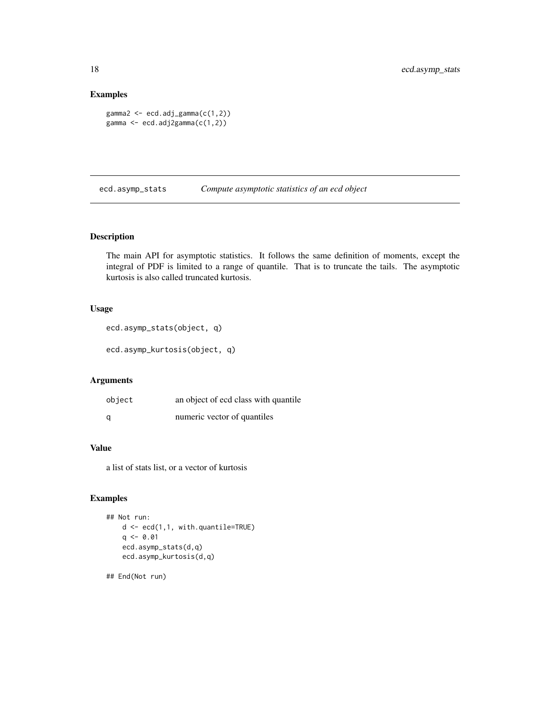# Examples

```
gamma2 <- ecd.adj_gamma(c(1,2))
gamma <- ecd.adj2gamma(c(1,2))
```
ecd.asymp\_stats *Compute asymptotic statistics of an ecd object*

# Description

The main API for asymptotic statistics. It follows the same definition of moments, except the integral of PDF is limited to a range of quantile. That is to truncate the tails. The asymptotic kurtosis is also called truncated kurtosis.

# Usage

```
ecd.asymp_stats(object, q)
```

```
ecd.asymp_kurtosis(object, q)
```
# Arguments

| object | an object of ecd class with quantile |
|--------|--------------------------------------|
| a      | numeric vector of quantiles          |

# Value

a list of stats list, or a vector of kurtosis

# Examples

```
## Not run:
   d <- ecd(1,1, with.quantile=TRUE)
   q \le -0.01ecd.asymp_stats(d,q)
    ecd.asymp_kurtosis(d,q)
```
## End(Not run)

<span id="page-17-0"></span>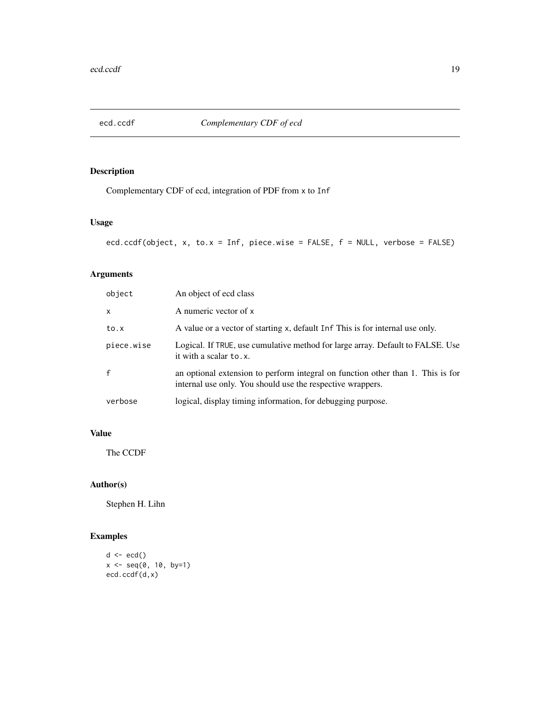<span id="page-18-0"></span>

Complementary CDF of ecd, integration of PDF from x to Inf

### Usage

```
ecd.ccdf(object, x, to.x = Inf, piece.wise = FALSE, f = NULL, verbose = FALSE)
```
# Arguments

| object       | An object of ecd class                                                                                                                        |
|--------------|-----------------------------------------------------------------------------------------------------------------------------------------------|
| $\mathsf{x}$ | A numeric vector of x                                                                                                                         |
| to.x         | A value or a vector of starting x, default Inf This is for internal use only.                                                                 |
| piece.wise   | Logical. If TRUE, use cumulative method for large array. Default to FALSE. Use<br>it with a scalar to.x.                                      |
| $\mathsf{f}$ | an optional extension to perform integral on function other than 1. This is for<br>internal use only. You should use the respective wrappers. |
| verbose      | logical, display timing information, for debugging purpose.                                                                                   |

# Value

The CCDF

# Author(s)

Stephen H. Lihn

# Examples

```
d \leftarrow \text{ecd}()x <- seq(0, 10, by=1)
ecd.ccdf(d,x)
```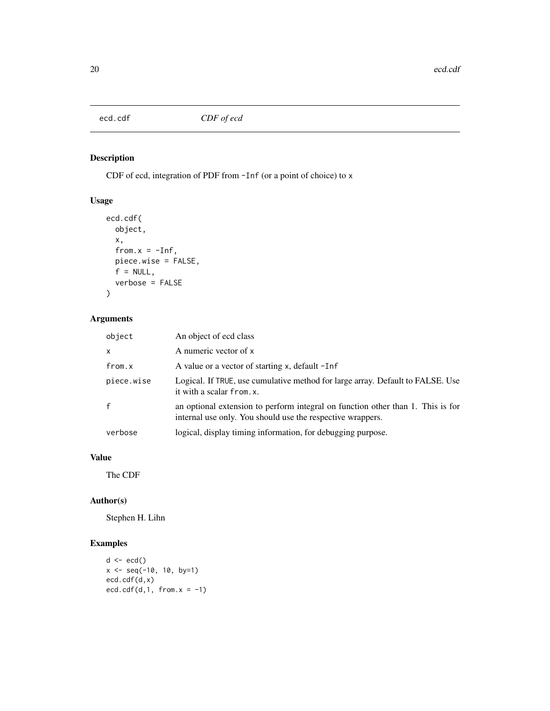<span id="page-19-0"></span>

CDF of ecd, integration of PDF from -Inf (or a point of choice) to x

# Usage

```
ecd.cdf(
 object,
 x,
 from.x = -Inf,
 piece.wise = FALSE,
 f = NULL,verbose = FALSE
)
```
# Arguments

| object       | An object of ecd class                                                                                                                        |
|--------------|-----------------------------------------------------------------------------------------------------------------------------------------------|
| $\mathsf{x}$ | A numeric vector of x                                                                                                                         |
| from.x       | A value or a vector of starting x, default -Inf                                                                                               |
| piece.wise   | Logical. If TRUE, use cumulative method for large array. Default to FALSE. Use<br>it with a scalar from. x.                                   |
| $\mathsf{f}$ | an optional extension to perform integral on function other than 1. This is for<br>internal use only. You should use the respective wrappers. |
| verbose      | logical, display timing information, for debugging purpose.                                                                                   |

# Value

The CDF

# Author(s)

Stephen H. Lihn

# Examples

```
d <- ecd()
x <- seq(-10, 10, by=1)
ecd.cdf(d,x)
ecd.cdf(d,1, from.x = -1)
```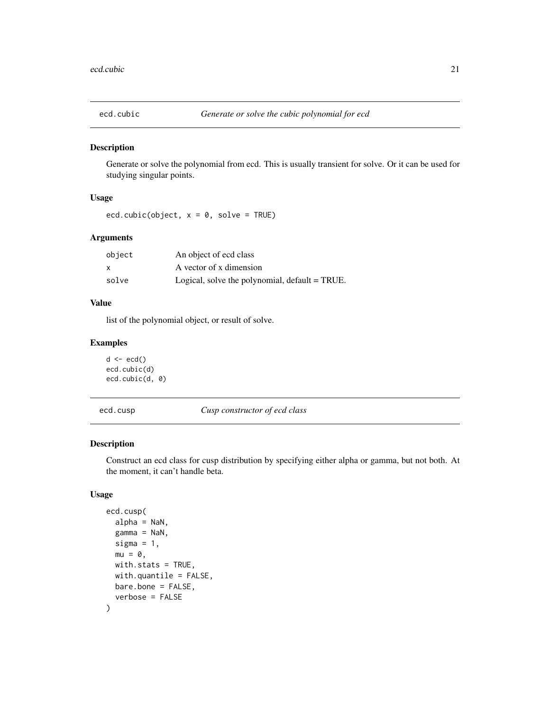<span id="page-20-0"></span>

Generate or solve the polynomial from ecd. This is usually transient for solve. Or it can be used for studying singular points.

# Usage

ecd.cubic(object,  $x = 0$ , solve = TRUE)

# Arguments

| object | An object of ecd class                            |
|--------|---------------------------------------------------|
| X      | A vector of x dimension                           |
| solve  | Logical, solve the polynomial, $default = TRUE$ . |

#### Value

list of the polynomial object, or result of solve.

#### Examples

```
d \leftarrow \text{ecd}()ecd.cubic(d)
ecd.cubic(d, 0)
```
ecd.cusp *Cusp constructor of ecd class*

# Description

Construct an ecd class for cusp distribution by specifying either alpha or gamma, but not both. At the moment, it can't handle beta.

# Usage

```
ecd.cusp(
  alpha = NaN,
  gamma = NaN,
  sigma = 1,
 mu = 0,
 with.stats = TRUE,
 with.quantile = FALSE,
 bare.bone = FALSE,
  verbose = FALSE
)
```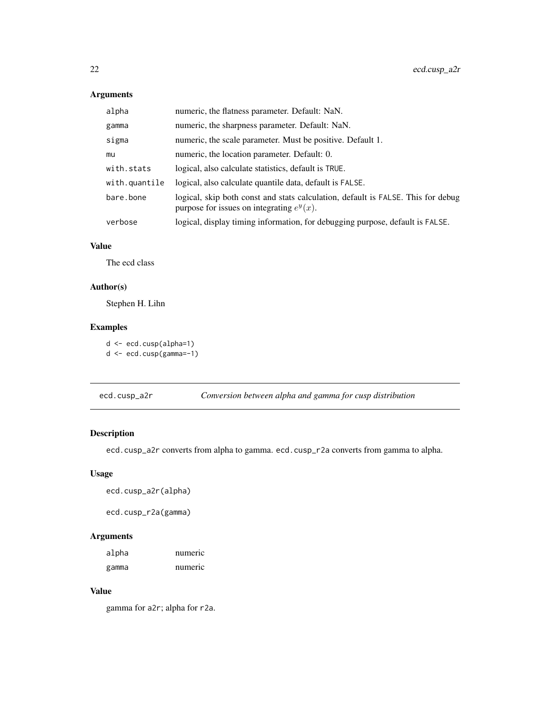<span id="page-21-0"></span>

| alpha         | numeric, the flatness parameter. Default: NaN.                                                                                   |
|---------------|----------------------------------------------------------------------------------------------------------------------------------|
| gamma         | numeric, the sharpness parameter. Default: NaN.                                                                                  |
| sigma         | numeric, the scale parameter. Must be positive. Default 1.                                                                       |
| mu            | numeric, the location parameter. Default: 0.                                                                                     |
| with.stats    | logical, also calculate statistics, default is TRUE.                                                                             |
| with.quantile | logical, also calculate quantile data, default is FALSE.                                                                         |
| bare.bone     | logical, skip both const and stats calculation, default is FALSE. This for debug<br>purpose for issues on integrating $e^y(x)$ . |
| verbose       | logical, display timing information, for debugging purpose, default is FALSE.                                                    |

### Value

The ecd class

# Author(s)

Stephen H. Lihn

# Examples

d <- ecd.cusp(alpha=1) d <- ecd.cusp(gamma=-1)

ecd.cusp\_a2r *Conversion between alpha and gamma for cusp distribution*

# Description

ecd.cusp\_a2r converts from alpha to gamma. ecd.cusp\_r2a converts from gamma to alpha.

# Usage

ecd.cusp\_a2r(alpha)

ecd.cusp\_r2a(gamma)

# Arguments

| alpha | numeric |
|-------|---------|
| gamma | numeric |

### Value

gamma for a2r; alpha for r2a.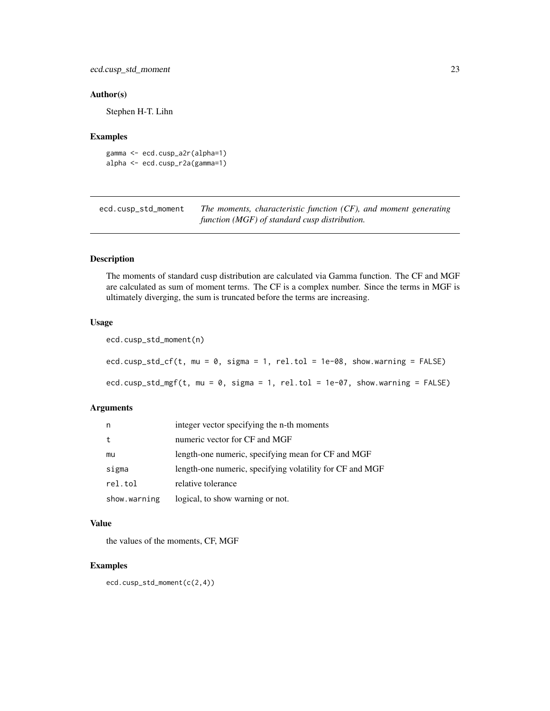#### <span id="page-22-0"></span>Author(s)

Stephen H-T. Lihn

#### Examples

```
gamma <- ecd.cusp_a2r(alpha=1)
alpha <- ecd.cusp_r2a(gamma=1)
```
ecd.cusp\_std\_moment *The moments, characteristic function (CF), and moment generating function (MGF) of standard cusp distribution.*

# Description

The moments of standard cusp distribution are calculated via Gamma function. The CF and MGF are calculated as sum of moment terms. The CF is a complex number. Since the terms in MGF is ultimately diverging, the sum is truncated before the terms are increasing.

#### Usage

```
ecd.cusp_std_moment(n)
ecd.cusp_std_cf(t, mu = 0, sigma = 1, rel.tol = 1e-08, show.warning = FALSE)
ecd.cusp_std_mgf(t, mu = 0, sigma = 1, rel.tol = 1e-07, show.warning = FALSE)
```
#### Arguments

| n            | integer vector specifying the n-th moments               |
|--------------|----------------------------------------------------------|
|              | numeric vector for CF and MGF                            |
| mu           | length-one numeric, specifying mean for CF and MGF       |
| sigma        | length-one numeric, specifying volatility for CF and MGF |
| rel.tol      | relative tolerance                                       |
| show.warning | logical, to show warning or not.                         |

### Value

the values of the moments, CF, MGF

### Examples

ecd.cusp\_std\_moment(c(2,4))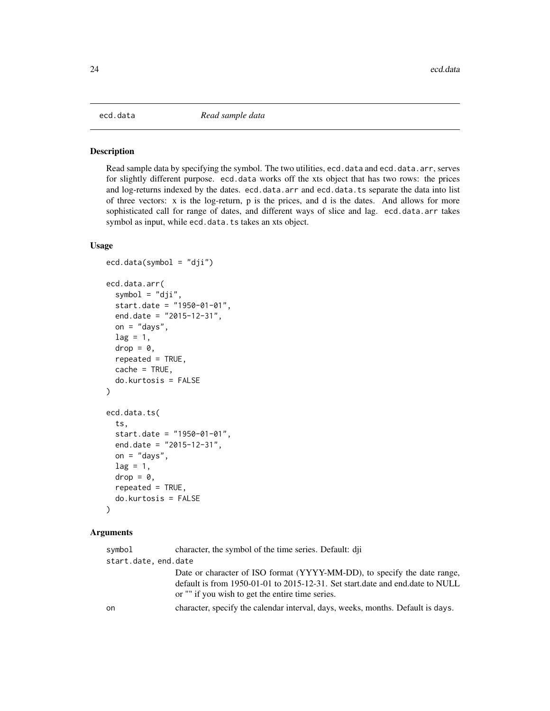<span id="page-23-0"></span>

Read sample data by specifying the symbol. The two utilities, ecd.data and ecd.data.arr, serves for slightly different purpose. ecd.data works off the xts object that has two rows: the prices and log-returns indexed by the dates. ecd.data.arr and ecd.data.ts separate the data into list of three vectors: x is the log-return, p is the prices, and d is the dates. And allows for more sophisticated call for range of dates, and different ways of slice and lag. ecd.data.arr takes symbol as input, while ecd.data.ts takes an xts object.

#### Usage

```
ecd.data(symbol = "dji")
ecd.data.arr(
  symbol = "dji",
  start.date = "1950-01-01",
  end.date = "2015-12-31",
  on = "days",lag = 1,
  drop = 0,
  repeated = TRUE,
  cache = TRUE,do.kurtosis = FALSE
\lambdaecd.data.ts(
  ts,
  start.date = "1950-01-01",
  end.date = "2015-12-31",
 on = "days",lag = 1,drop = 0,repeated = TRUE,
  do.kurtosis = FALSE
)
```

| symbol               | character, the symbol of the time series. Default: dij                                                                                                                                                        |
|----------------------|---------------------------------------------------------------------------------------------------------------------------------------------------------------------------------------------------------------|
| start.date, end.date |                                                                                                                                                                                                               |
|                      | Date or character of ISO format (YYYY-MM-DD), to specify the date range,<br>default is from 1950-01-01 to 2015-12-31. Set start date and end date to NULL<br>or "" if you wish to get the entire time series. |
| on                   | character, specify the calendar interval, days, weeks, months. Default is days.                                                                                                                               |
|                      |                                                                                                                                                                                                               |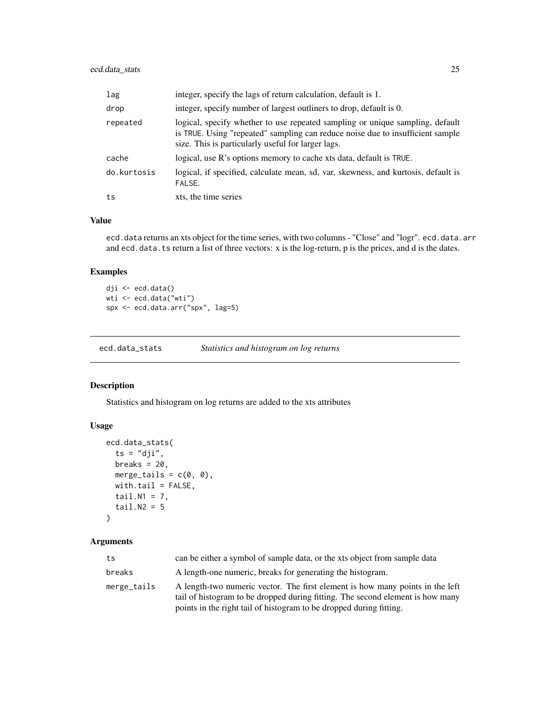# <span id="page-24-0"></span>ecd.data\_stats 25

| lag         | integer, specify the lags of return calculation, default is 1.                                                                                                                                                        |
|-------------|-----------------------------------------------------------------------------------------------------------------------------------------------------------------------------------------------------------------------|
| drop        | integer, specify number of largest outliners to drop, default is 0.                                                                                                                                                   |
| repeated    | logical, specify whether to use repeated sampling or unique sampling, default<br>is TRUE. Using "repeated" sampling can reduce noise due to insufficient sample<br>size. This is particularly useful for larger lags. |
| cache       | logical, use R's options memory to cache xts data, default is TRUE.                                                                                                                                                   |
| do.kurtosis | logical, if specified, calculate mean, sd, var, skewness, and kurtosis, default is<br>FALSE.                                                                                                                          |
| ts          | xts, the time series                                                                                                                                                                                                  |

#### Value

ecd.data returns an xts object for the time series, with two columns - "Close" and "logr". ecd.data.arr and ecd.data.ts return a list of three vectors: x is the log-return, p is the prices, and d is the dates.

# Examples

dji <- ecd.data() wti <- ecd.data("wti") spx <- ecd.data.arr("spx", lag=5)

ecd.data\_stats *Statistics and histogram on log returns*

# Description

Statistics and histogram on log returns are added to the xts attributes

# Usage

```
ecd.data_stats(
  ts = "dji",breaks = 20,
  merge_tails = c(\emptyset, \emptyset),
  with.tail = FALSE,tail.N1 = 7,
  tail.N2 = 5\mathcal{L}
```

| ts          | can be either a symbol of sample data, or the xts object from sample data                                                                                                                                                              |
|-------------|----------------------------------------------------------------------------------------------------------------------------------------------------------------------------------------------------------------------------------------|
| breaks      | A length-one numeric, breaks for generating the histogram.                                                                                                                                                                             |
| merge_tails | A length-two numeric vector. The first element is how many points in the left<br>tail of histogram to be dropped during fitting. The second element is how many<br>points in the right tail of histogram to be dropped during fitting. |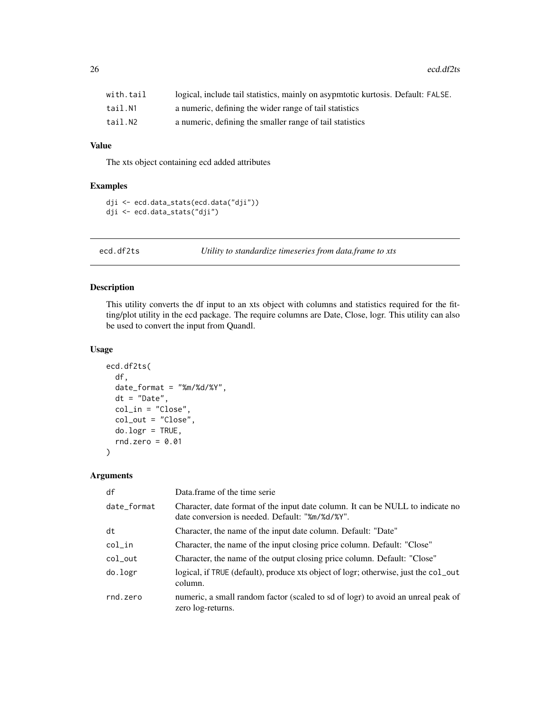<span id="page-25-0"></span>

| with.tail | logical, include tail statistics, mainly on asypmtotic kurtosis. Default: FALSE. |
|-----------|----------------------------------------------------------------------------------|
| tail.N1   | a numeric, defining the wider range of tail statistics                           |
| tail.N2   | a numeric, defining the smaller range of tail statistics                         |

# Value

The xts object containing ecd added attributes

# Examples

```
dji <- ecd.data_stats(ecd.data("dji"))
dji <- ecd.data_stats("dji")
```
ecd.df2ts *Utility to standardize timeseries from data.frame to xts*

# Description

This utility converts the df input to an xts object with columns and statistics required for the fitting/plot utility in the ecd package. The require columns are Date, Close, logr. This utility can also be used to convert the input from Quandl.

# Usage

```
ecd.df2ts(
  df,
  date_format = "%m/%d/%Y",
  dt = "Date",
  col_in = "Close",
  col_out = "Close",
  do.logr = TRUE,
 rnd.zero = 0.01)
```

| df          | Data frame of the time serie                                                                                                      |
|-------------|-----------------------------------------------------------------------------------------------------------------------------------|
| date_format | Character, date format of the input date column. It can be NULL to indicate no<br>date conversion is needed. Default: "%m/%d/%Y". |
| dt          | Character, the name of the input date column. Default: "Date"                                                                     |
| col_in      | Character, the name of the input closing price column. Default: "Close"                                                           |
| col_out     | Character, the name of the output closing price column. Default: "Close"                                                          |
| do.logr     | logical, if TRUE (default), produce xts object of logr; otherwise, just the col_out<br>column.                                    |
| rnd.zero    | numeric, a small random factor (scaled to sd of logr) to avoid an unreal peak of<br>zero log-returns.                             |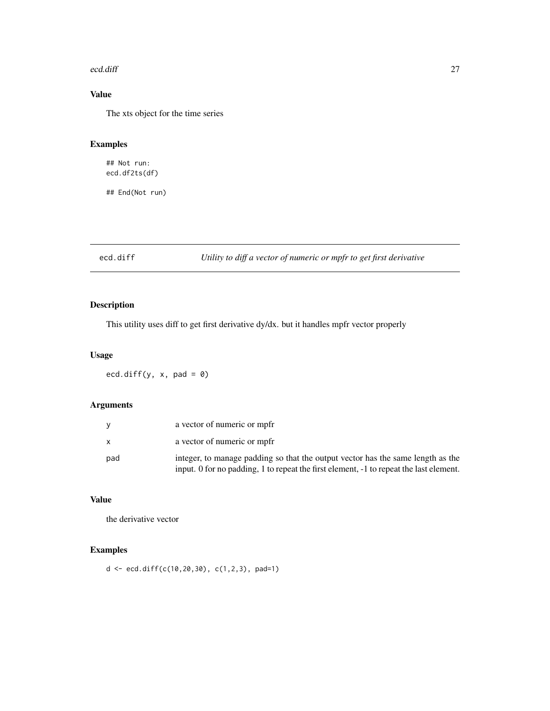#### <span id="page-26-0"></span>ecd.diff 27

# Value

The xts object for the time series

# Examples

## Not run: ecd.df2ts(df)

## End(Not run)

ecd.diff *Utility to diff a vector of numeric or mpfr to get first derivative*

# Description

This utility uses diff to get first derivative dy/dx. but it handles mpfr vector properly

# Usage

ecd.diff(y,  $x$ , pad = 0)

# Arguments

|     | a vector of numeric or mpfr                                                                                                                                               |
|-----|---------------------------------------------------------------------------------------------------------------------------------------------------------------------------|
|     | a vector of numeric or mpfr                                                                                                                                               |
| pad | integer, to manage padding so that the output vector has the same length as the<br>input. 0 for no padding, 1 to repeat the first element, -1 to repeat the last element. |

# Value

the derivative vector

# Examples

 $d \le -$  ecd.diff(c(10,20,30), c(1,2,3), pad=1)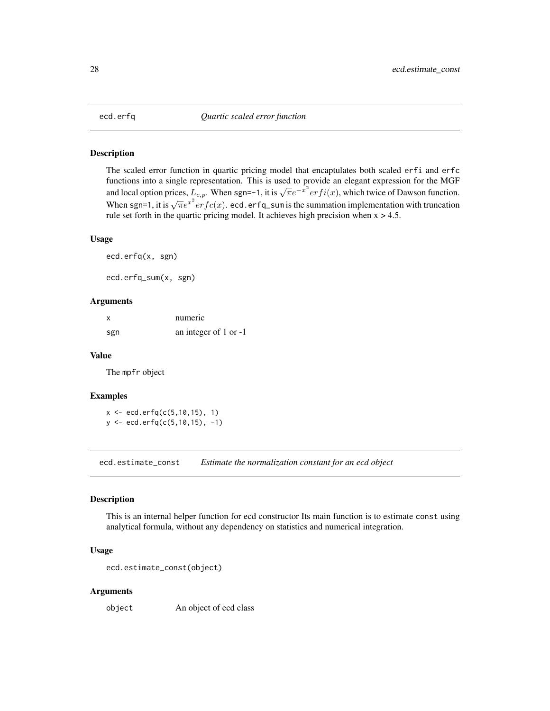<span id="page-27-0"></span>

The scaled error function in quartic pricing model that encaptulates both scaled erfi and erfc functions into a single representation. This is used to provide an elegant expression for the MGF and local option prices,  $L_{c,p}$ . When sgn=-1, it is  $\sqrt{\pi}e^{-x^2}$  er  $fi(x)$ , which twice of Dawson function. When sgn=1, it is  $\sqrt{\pi}e^{x^2}erfc(x)$ . ecd.erfq\_sum is the summation implementation with truncation. rule set forth in the quartic pricing model. It achieves high precision when  $x > 4.5$ .

#### Usage

```
ecd.erfq(x, sgn)
```
ecd.erfq\_sum(x, sgn)

# Arguments

|     | numeric               |
|-----|-----------------------|
| sgn | an integer of 1 or -1 |

### Value

The mpfr object

#### Examples

 $x \le -$  ecd.erfq(c(5,10,15), 1) y <- ecd.erfq(c(5,10,15), -1)

ecd.estimate\_const *Estimate the normalization constant for an ecd object*

# Description

This is an internal helper function for ecd constructor Its main function is to estimate const using analytical formula, without any dependency on statistics and numerical integration.

#### Usage

```
ecd.estimate_const(object)
```
#### Arguments

object An object of ecd class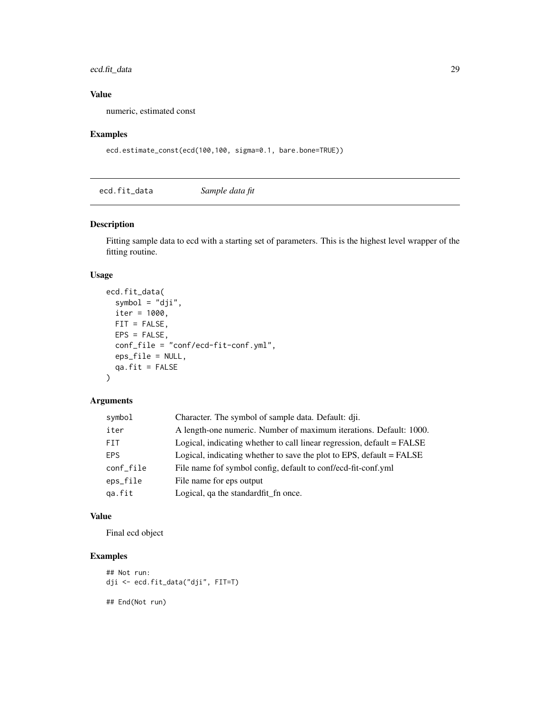# <span id="page-28-0"></span>ecd.fit\_data 29

# Value

numeric, estimated const

# Examples

```
ecd.estimate_const(ecd(100,100, sigma=0.1, bare.bone=TRUE))
```
ecd.fit\_data *Sample data fit*

### Description

Fitting sample data to ecd with a starting set of parameters. This is the highest level wrapper of the fitting routine.

#### Usage

```
ecd.fit_data(
  symbol = "dji",
  iter = 1000,
 FIT = FALSE,
 EPS = FALSE,conf_file = "conf/ecd-fit-conf.yml",
 eps_file = NULL,
 qa.fit = FALSE\mathcal{L}
```
# Arguments

| symbol     | Character. The symbol of sample data. Default: dji.                    |
|------------|------------------------------------------------------------------------|
| iter       | A length-one numeric. Number of maximum iterations. Default: 1000.     |
| FIT.       | Logical, indicating whether to call linear regression, default = FALSE |
| <b>FPS</b> | Logical, indicating whether to save the plot to EPS, default $=$ FALSE |
| conf_file  | File name fof symbol config, default to conf/ecd-fit-conf.yml          |
| eps_file   | File name for eps output                                               |
| ga.fit     | Logical, qa the standard fit fn once.                                  |
|            |                                                                        |

### Value

Final ecd object

# Examples

```
## Not run:
dji <- ecd.fit_data("dji", FIT=T)
## End(Not run)
```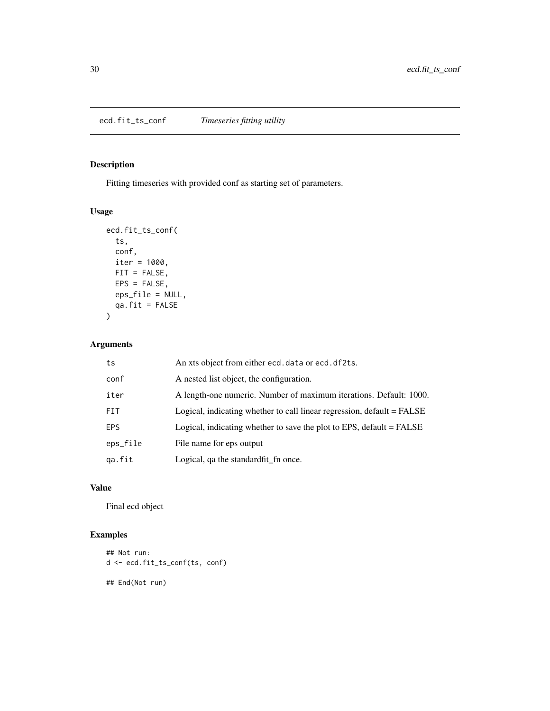<span id="page-29-0"></span>ecd.fit\_ts\_conf *Timeseries fitting utility*

# Description

Fitting timeseries with provided conf as starting set of parameters.

# Usage

```
ecd.fit_ts_conf(
  ts,
 conf,
 iter = 1000,
 FIT = FALSE,
 EPS = FALSE,
 eps_file = NULL,
  qa.fit = FALSE)
```
# Arguments

| ts         | An xts object from either ecd. data or ecd. df2ts.                     |
|------------|------------------------------------------------------------------------|
| conf       | A nested list object, the configuration.                               |
| iter       | A length-one numeric. Number of maximum iterations. Default: 1000.     |
| FIT.       | Logical, indicating whether to call linear regression, default = FALSE |
| <b>EPS</b> | Logical, indicating whether to save the plot to EPS, default = FALSE   |
| eps_file   | File name for eps output                                               |
| ga.fit     | Logical, ga the standard fit fn once.                                  |

# Value

Final ecd object

# Examples

```
## Not run:
d <- ecd.fit_ts_conf(ts, conf)
## End(Not run)
```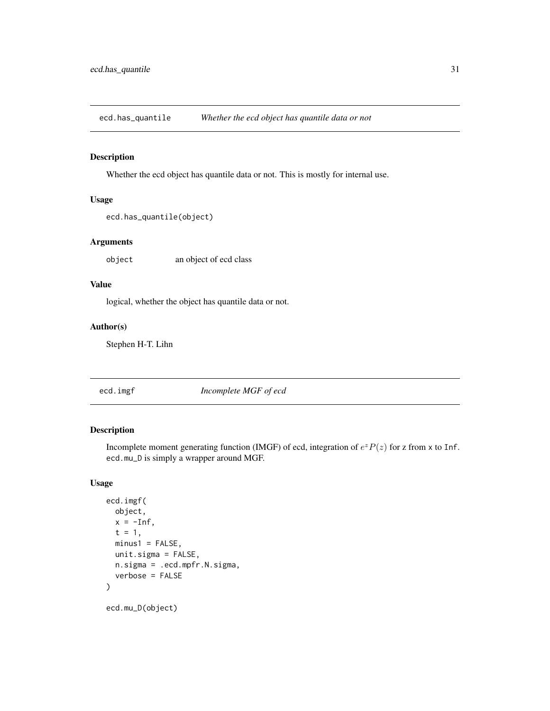<span id="page-30-0"></span>ecd.has\_quantile *Whether the ecd object has quantile data or not*

# Description

Whether the ecd object has quantile data or not. This is mostly for internal use.

# Usage

```
ecd.has_quantile(object)
```
# Arguments

object an object of ecd class

#### Value

logical, whether the object has quantile data or not.

# Author(s)

Stephen H-T. Lihn

| Incomplete MGF of ecd<br>ecd.imgf |  |
|-----------------------------------|--|
|-----------------------------------|--|

# Description

Incomplete moment generating function (IMGF) of ecd, integration of  $e^z P(z)$  for z from x to Inf. ecd.mu\_D is simply a wrapper around MGF.

### Usage

```
ecd.imgf(
  object,
  x = -Inf,t = 1,
 minus1 = FALSE,
 unit.sigma = FALSE,
 n.sigma = .ecd.mpfr.N.sigma,
  verbose = FALSE
)
ecd.mu_D(object)
```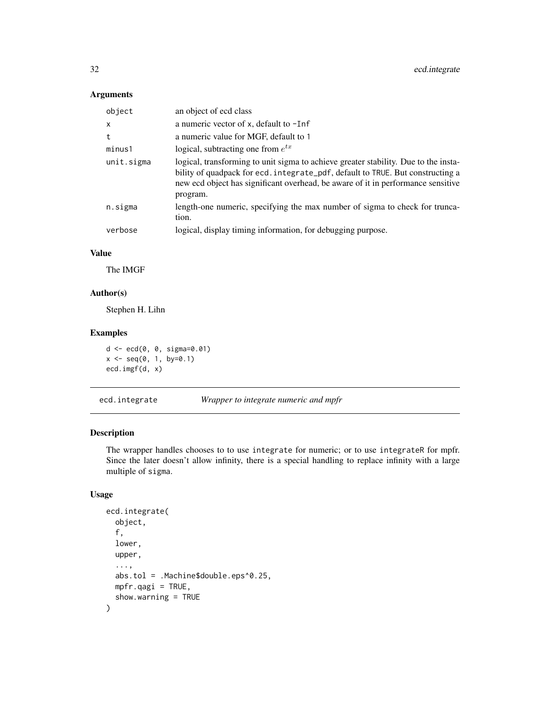<span id="page-31-0"></span>

| object       | an object of ecd class                                                                                                                                                                                                                                                |
|--------------|-----------------------------------------------------------------------------------------------------------------------------------------------------------------------------------------------------------------------------------------------------------------------|
| $\mathsf{x}$ | a numeric vector of x, default to -Inf                                                                                                                                                                                                                                |
| t            | a numeric value for MGF, default to 1                                                                                                                                                                                                                                 |
| minus1       | logical, subtracting one from $e^{tx}$                                                                                                                                                                                                                                |
| unit.sigma   | logical, transforming to unit sigma to achieve greater stability. Due to the insta-<br>bility of quadpack for ecd. integrate_pdf, default to TRUE. But constructing a<br>new ecd object has significant overhead, be aware of it in performance sensitive<br>program. |
| n.sigma      | length-one numeric, specifying the max number of sigma to check for trunca-<br>tion.                                                                                                                                                                                  |
| verbose      | logical, display timing information, for debugging purpose.                                                                                                                                                                                                           |

# Value

The IMGF

# Author(s)

Stephen H. Lihn

# Examples

d <- ecd(0, 0, sigma=0.01)  $x \leq -\text{seq}(0, 1, \text{ by=0.1})$ ecd.imgf(d, x)

ecd.integrate *Wrapper to integrate numeric and mpfr*

# Description

The wrapper handles chooses to to use integrate for numeric; or to use integrateR for mpfr. Since the later doesn't allow infinity, there is a special handling to replace infinity with a large multiple of sigma.

# Usage

```
ecd.integrate(
  object,
  f,
  lower,
  upper,
  ...,
  abs.tol = .Machine$double.eps^0.25,
  mpfr.qagi = TRUE,show.warning = TRUE
\mathcal{E}
```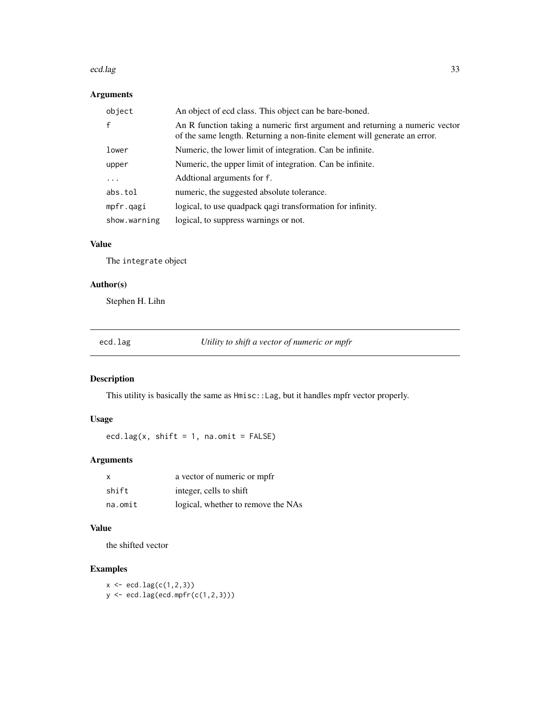#### <span id="page-32-0"></span>ecd.lag 33

# Arguments

| object       | An object of ecd class. This object can be bare-boned.                                                                                                     |
|--------------|------------------------------------------------------------------------------------------------------------------------------------------------------------|
|              | An R function taking a numeric first argument and returning a numeric vector<br>of the same length. Returning a non-finite element will generate an error. |
| lower        | Numeric, the lower limit of integration. Can be infinite.                                                                                                  |
| upper        | Numeric, the upper limit of integration. Can be infinite.                                                                                                  |
| .            | Additional arguments for f.                                                                                                                                |
| abs.tol      | numeric, the suggested absolute tolerance.                                                                                                                 |
| mpfr.qagi    | logical, to use quadpack qagi transformation for infinity.                                                                                                 |
| show.warning | logical, to suppress warnings or not.                                                                                                                      |

### Value

The integrate object

# Author(s)

Stephen H. Lihn

| ۲Ω.<br>c | ρ.<br>a |
|----------|---------|
|          |         |

external *utility to shift a vector of numeric or mpfr* 

#### Description

This utility is basically the same as Hmisc::Lag, but it handles mpfr vector properly.

# Usage

ecd.lag(x, shift =  $1$ , na.omit =  $FALSE)$ 

# Arguments

| $\times$ | a vector of numeric or mpfr        |
|----------|------------------------------------|
| shift    | integer, cells to shift            |
| na.omit  | logical, whether to remove the NAs |

# Value

the shifted vector

# Examples

 $x \leftarrow \text{ecd}(\text{c}(1, 2, 3))$  $y \leftarrow \text{ecd}.\text{lag}(\text{ecd}.\text{mpfr}(\text{c}(1, 2, 3)))$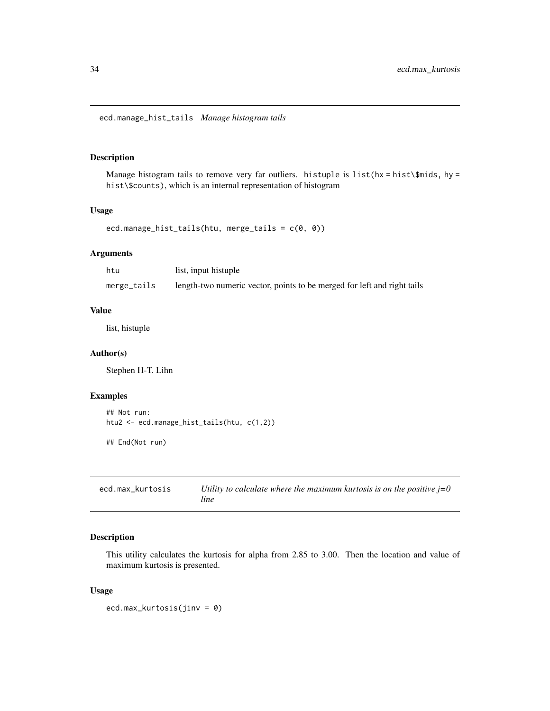<span id="page-33-0"></span>ecd.manage\_hist\_tails *Manage histogram tails*

# Description

Manage histogram tails to remove very far outliers. histuple is list( $hx = hist\$ fiids, hy = hist\\$counts), which is an internal representation of histogram

#### Usage

```
ecd.manage_hist_tails(htu, merge_tails = c(0, 0))
```
### Arguments

| htu         | list, input histuple                                                    |
|-------------|-------------------------------------------------------------------------|
| merge_tails | length-two numeric vector, points to be merged for left and right tails |

### Value

list, histuple

#### Author(s)

Stephen H-T. Lihn

# Examples

```
## Not run:
htu2 <- ecd.manage_hist_tails(htu, c(1,2))
```
## End(Not run)

ecd.max\_kurtosis *Utility to calculate where the maximum kurtosis is on the positive j=0 line*

# Description

This utility calculates the kurtosis for alpha from 2.85 to 3.00. Then the location and value of maximum kurtosis is presented.

#### Usage

ecd.max\_kurtosis(jinv = 0)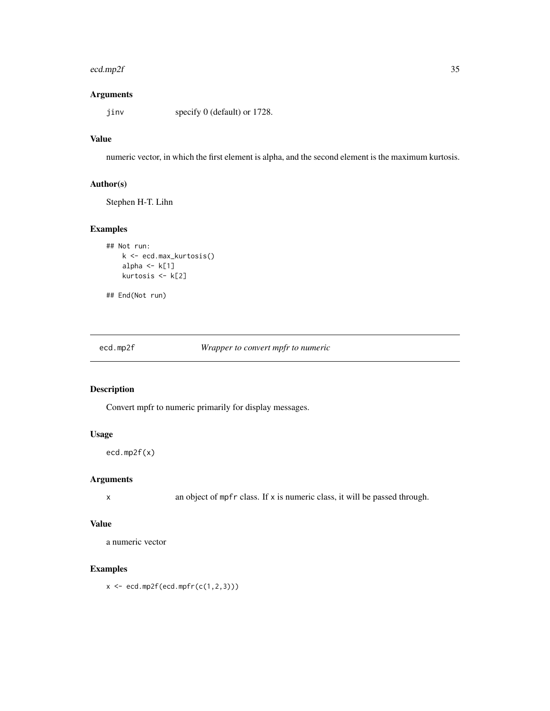#### <span id="page-34-0"></span>ecd.mp2f 35

# Arguments

jinv specify 0 (default) or 1728.

# Value

numeric vector, in which the first element is alpha, and the second element is the maximum kurtosis.

# Author(s)

Stephen H-T. Lihn

# Examples

```
## Not run:
   k <- ecd.max_kurtosis()
   alpha \leq k[1]
   kurtosis <- k[2]
```
## End(Not run)

ecd.mp2f *Wrapper to convert mpfr to numeric*

# Description

Convert mpfr to numeric primarily for display messages.

# Usage

ecd.mp2f(x)

### Arguments

x an object of mpfr class. If x is numeric class, it will be passed through.

#### Value

a numeric vector

# Examples

 $x \leftarrow \text{ecd.mp2f}(\text{ecd.mpfr}(c(1,2,3)))$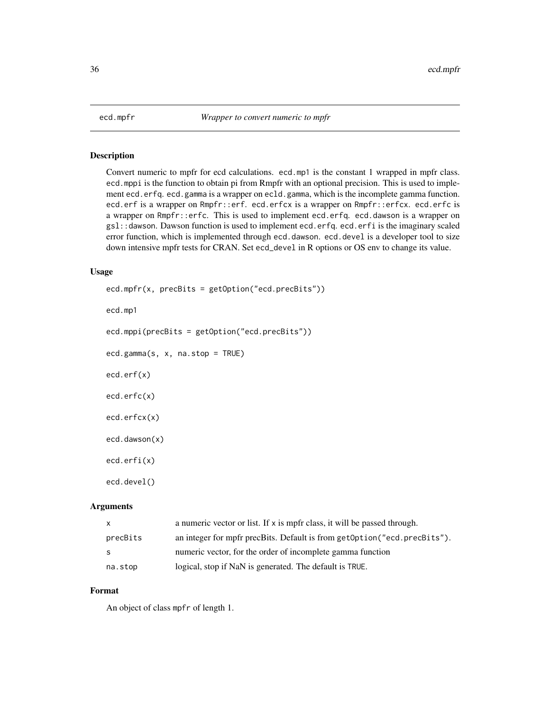<span id="page-35-0"></span>

Convert numeric to mpfr for ecd calculations. ecd.mp1 is the constant 1 wrapped in mpfr class. ecd.mppi is the function to obtain pi from Rmpfr with an optional precision. This is used to implement ecd.erfq. ecd.gamma is a wrapper on ecld.gamma, which is the incomplete gamma function. ecd.erf is a wrapper on Rmpfr::erf. ecd.erfcx is a wrapper on Rmpfr::erfcx. ecd.erfc is a wrapper on Rmpfr::erfc. This is used to implement ecd.erfq. ecd.dawson is a wrapper on gsl::dawson. Dawson function is used to implement ecd.erfq. ecd.erfi is the imaginary scaled error function, which is implemented through ecd.dawson. ecd.devel is a developer tool to size down intensive mpfr tests for CRAN. Set ecd\_devel in R options or OS env to change its value.

### Usage

```
ecd.mpfr(x, precBits = getOption("ecd.precBits"))
ecd.mp1
ecd.mppi(precBits = getOption("ecd.precBits"))
ecd.gamma(s, x, na.stop = TRUE)
ecd.erf(x)
ecd.erfc(x)
ecd.erfcx(x)
ecd.dawson(x)
ecd.erfi(x)
ecd.devel()
```
# Arguments

| $\mathsf{X}$ | a numeric vector or list. If $x$ is mpfr class, it will be passed through. |
|--------------|----------------------------------------------------------------------------|
| precBits     | an integer for mpfr precBits. Default is from getOption ("ecd. precBits"). |
| - S          | numeric vector, for the order of incomplete gamma function                 |
| na.stop      | logical, stop if NaN is generated. The default is TRUE.                    |

# Format

An object of class mpfr of length 1.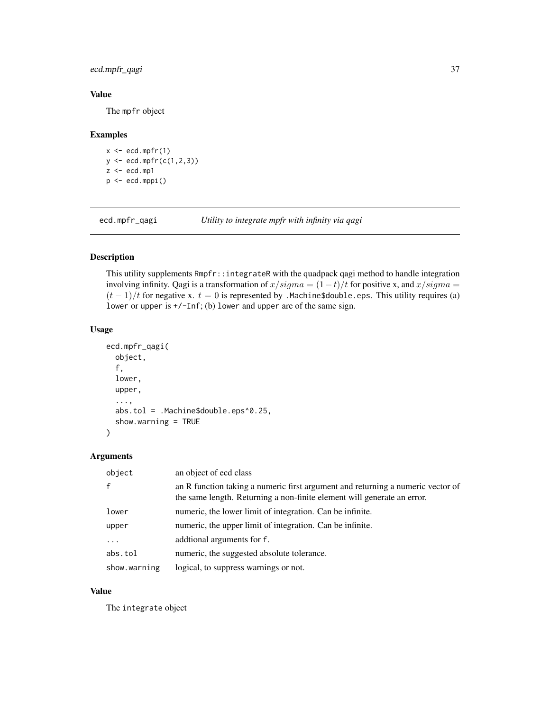# ecd.mpfr\_qagi 37

# Value

The mpfr object

# Examples

```
x \leq -ecd.mpfr(1)y <- ecd.mpfr(c(1,2,3))
z < - ecd.mp1
p <- ecd.mppi()
```
ecd.mpfr\_qagi *Utility to integrate mpfr with infinity via qagi*

# Description

This utility supplements Rmpfr::integrateR with the quadpack qagi method to handle integration involving infinity. Qagi is a transformation of  $x/sigma = (1-t)/t$  for positive x, and  $x/sigma =$  $(t-1)/t$  for negative x.  $t = 0$  is represented by .Machine\$double.eps. This utility requires (a) lower or upper is +/-Inf; (b) lower and upper are of the same sign.

### Usage

```
ecd.mpfr_qagi(
  object,
  f,
  lower,
  upper,
  ...,
  abs.tol = .Machine$double.eps^0.25,
  show.warning = TRUE
)
```
# Arguments

| object       | an object of ecd class                                                                                                                                     |
|--------------|------------------------------------------------------------------------------------------------------------------------------------------------------------|
| $\mathbf{f}$ | an R function taking a numeric first argument and returning a numeric vector of<br>the same length. Returning a non-finite element will generate an error. |
| lower        | numeric, the lower limit of integration. Can be infinite.                                                                                                  |
| upper        | numeric, the upper limit of integration. Can be infinite.                                                                                                  |
| $\ddotsc$    | addtional arguments for f.                                                                                                                                 |
| abs.tol      | numeric, the suggested absolute tolerance.                                                                                                                 |
| show.warning | logical, to suppress warnings or not.                                                                                                                      |

### Value

The integrate object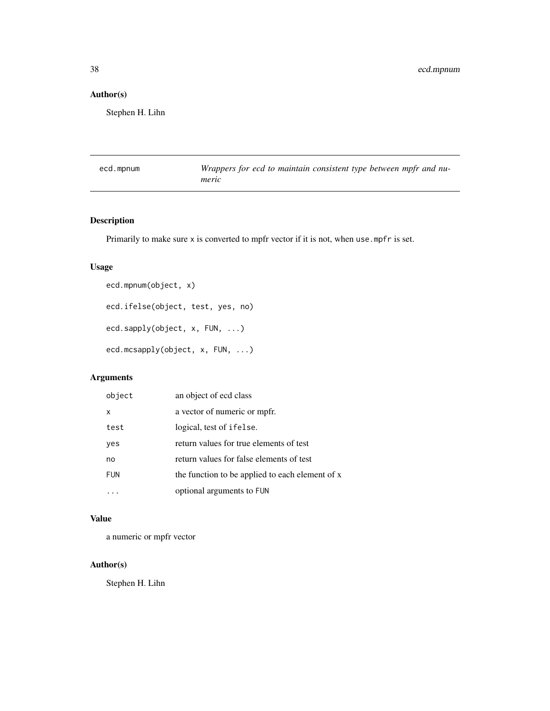# Author(s)

Stephen H. Lihn

| ecd.mpnum | Wrappers for ecd to maintain consistent type between mpfr and nu- |
|-----------|-------------------------------------------------------------------|
|           | meric                                                             |

# Description

Primarily to make sure x is converted to mpfr vector if it is not, when use mpfr is set.

# Usage

```
ecd.mpnum(object, x)
ecd.ifelse(object, test, yes, no)
ecd.sapply(object, x, FUN, ...)
ecd.mcsapply(object, x, FUN, ...)
```
# Arguments

| object     | an object of ecd class                          |
|------------|-------------------------------------------------|
| x          | a vector of numeric or mpfr.                    |
| test       | logical, test of ifelse.                        |
| yes        | return values for true elements of test         |
| no         | return values for false elements of test        |
| <b>FUN</b> | the function to be applied to each element of x |
|            | optional arguments to FUN                       |

# Value

a numeric or mpfr vector

# Author(s)

Stephen H. Lihn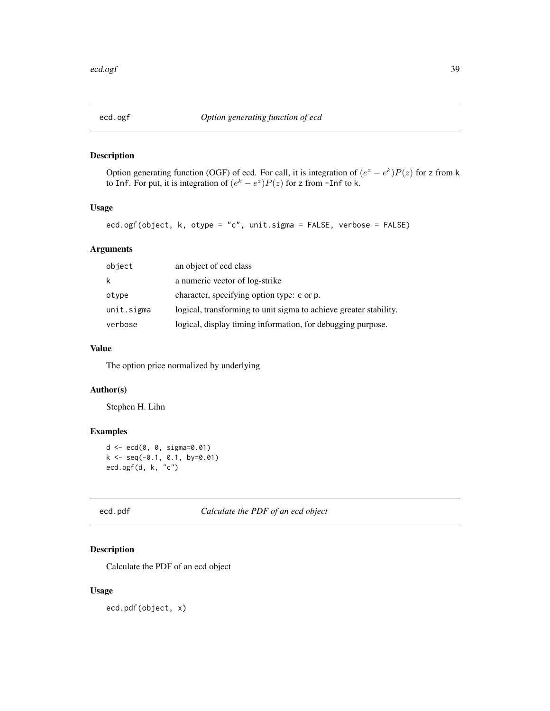Option generating function (OGF) of ecd. For call, it is integration of  $(e^z - e^k)P(z)$  for z from k to Inf. For put, it is integration of  $(e^k - e^z)P(z)$  for z from -Inf to k.

# Usage

```
ecd.ogf(object, k, otype = "c", unit.sigma = FALSE, verbose = FALSE)
```
# Arguments

| object     | an object of ecd class                                            |
|------------|-------------------------------------------------------------------|
| k          | a numeric vector of log-strike                                    |
| otype      | character, specifying option type: c or p.                        |
| unit.sigma | logical, transforming to unit sigma to achieve greater stability. |
| verbose    | logical, display timing information, for debugging purpose.       |

### Value

The option price normalized by underlying

# Author(s)

Stephen H. Lihn

# Examples

```
d <- ecd(0, 0, sigma=0.01)
k \leq -\text{seq}(-0.1, 0.1, \text{ by}=0.01)ecd.ogf(d, k, "c")
```
ecd.pdf *Calculate the PDF of an ecd object*

# Description

Calculate the PDF of an ecd object

#### Usage

ecd.pdf(object, x)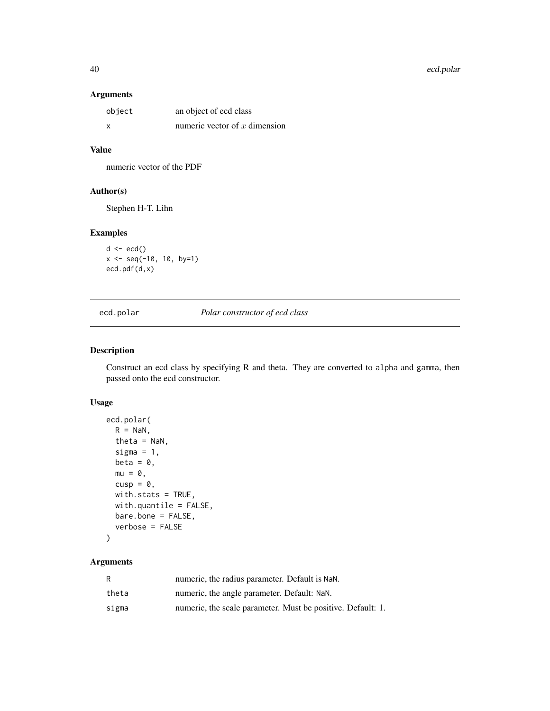40 ecd.polar

### Arguments

| object | an object of ecd class          |
|--------|---------------------------------|
| x      | numeric vector of $x$ dimension |

## Value

numeric vector of the PDF

### Author(s)

Stephen H-T. Lihn

# Examples

```
d \leftarrow \text{ecd}()x \le - seq(-10, 10, by=1)
ecd.pdf(d,x)
```
ecd.polar *Polar constructor of ecd class*

# Description

Construct an ecd class by specifying R and theta. They are converted to alpha and gamma, then passed onto the ecd constructor.

# Usage

```
ecd.polar(
  R = NaN,
  theta = NaN,
  sigma = 1,
  beta = \theta,
  mu = 0,
  cusp = \emptyset,
  with.stats = TRUE,
  with.quantile = FALSE,
  bare.bone = FALSE,
  verbose = FALSE
)
```
# Arguments

| R     | numeric, the radius parameter. Default is NaN.              |
|-------|-------------------------------------------------------------|
| theta | numeric, the angle parameter. Default: NaN.                 |
| sigma | numeric, the scale parameter. Must be positive. Default: 1. |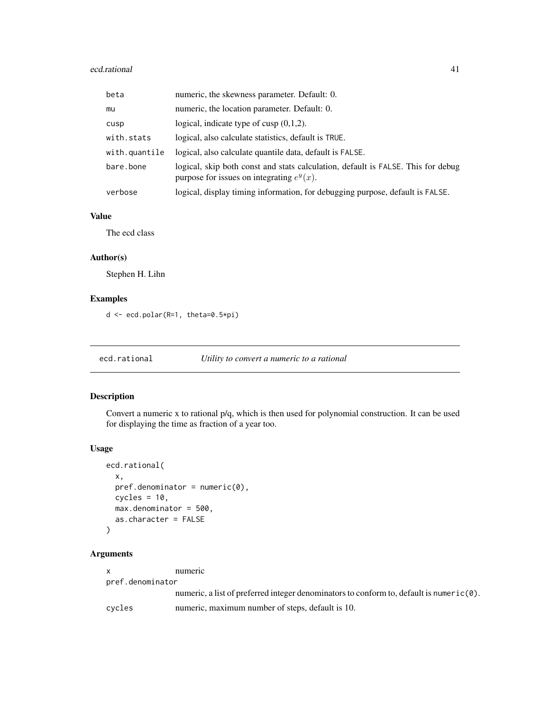#### ecd.rational 41

| beta          | numeric, the skewness parameter. Default: 0.                                                                                     |
|---------------|----------------------------------------------------------------------------------------------------------------------------------|
| mu            | numeric, the location parameter. Default: 0.                                                                                     |
| cusp          | logical, indicate type of cusp $(0,1,2)$ .                                                                                       |
| with.stats    | logical, also calculate statistics, default is TRUE.                                                                             |
| with.quantile | logical, also calculate quantile data, default is FALSE.                                                                         |
| bare.bone     | logical, skip both const and stats calculation, default is FALSE. This for debug<br>purpose for issues on integrating $e^y(x)$ . |
| verbose       | logical, display timing information, for debugging purpose, default is FALSE.                                                    |

### Value

The ecd class

# Author(s)

Stephen H. Lihn

# Examples

d <- ecd.polar(R=1, theta=0.5\*pi)

ecd.rational *Utility to convert a numeric to a rational*

# Description

Convert a numeric x to rational p/q, which is then used for polynomial construction. It can be used for displaying the time as fraction of a year too.

### Usage

```
ecd.rational(
  x,
 pref.denominator = numeric(0),cycles = 10,max.denominator = 500,
 as.character = FALSE
)
```
# Arguments

| X.               | numeric                                                                                          |
|------------------|--------------------------------------------------------------------------------------------------|
| pref.denominator |                                                                                                  |
|                  | numeric, a list of preferred integer denominators to conform to, default is numeric( $\theta$ ). |
| cycles           | numeric, maximum number of steps, default is 10.                                                 |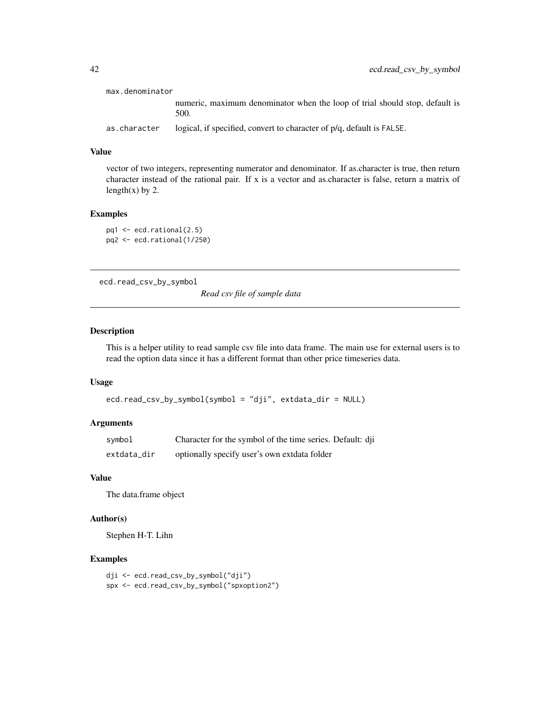| max.denominator |                                                                                     |
|-----------------|-------------------------------------------------------------------------------------|
|                 | numeric, maximum denominator when the loop of trial should stop, default is<br>500. |
| as.character    | logical, if specified, convert to character of p/q, default is FALSE.               |

### Value

vector of two integers, representing numerator and denominator. If as.character is true, then return character instead of the rational pair. If x is a vector and as.character is false, return a matrix of length(x) by 2.

### Examples

```
pq1 <- ecd.rational(2.5)
pq2 <- ecd.rational(1/250)
```
ecd.read\_csv\_by\_symbol

*Read csv file of sample data*

# Description

This is a helper utility to read sample csv file into data frame. The main use for external users is to read the option data since it has a different format than other price timeseries data.

### Usage

```
ecd.read_csv_by_symbol(symbol = "dji", extdata_dir = NULL)
```
#### Arguments

| symbol      | Character for the symbol of the time series. Default: dji |
|-------------|-----------------------------------------------------------|
| extdata_dir | optionally specify user's own extdata folder              |

### Value

The data.frame object

# Author(s)

Stephen H-T. Lihn

#### Examples

```
dji <- ecd.read_csv_by_symbol("dji")
spx <- ecd.read_csv_by_symbol("spxoption2")
```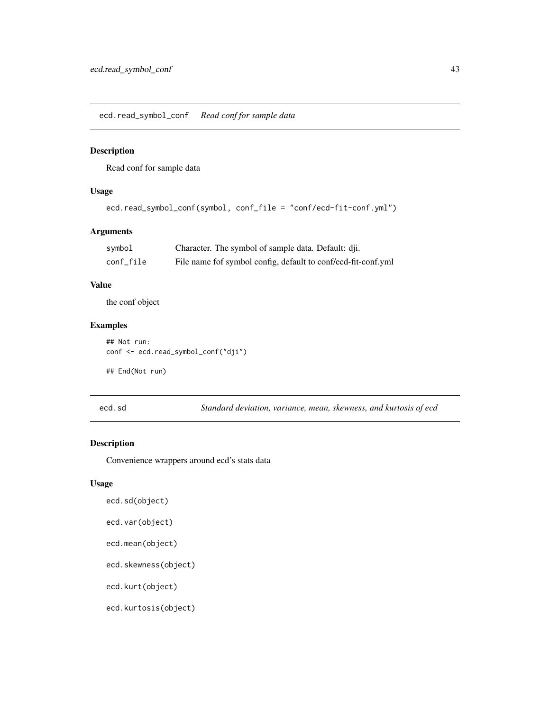ecd.read\_symbol\_conf *Read conf for sample data*

#### Description

Read conf for sample data

### Usage

```
ecd.read_symbol_conf(symbol, conf_file = "conf/ecd-fit-conf.yml")
```
# Arguments

| symbol    | Character. The symbol of sample data. Default: dji.           |
|-----------|---------------------------------------------------------------|
| conf_file | File name fof symbol config, default to conf/ecd-fit-conf.yml |

# Value

the conf object

# Examples

```
## Not run:
conf <- ecd.read_symbol_conf("dji")
```
## End(Not run)

ecd.sd *Standard deviation, variance, mean, skewness, and kurtosis of ecd*

# Description

Convenience wrappers around ecd's stats data

# Usage

ecd.sd(object)

```
ecd.var(object)
```

```
ecd.mean(object)
```

```
ecd.skewness(object)
```
ecd.kurt(object)

```
ecd.kurtosis(object)
```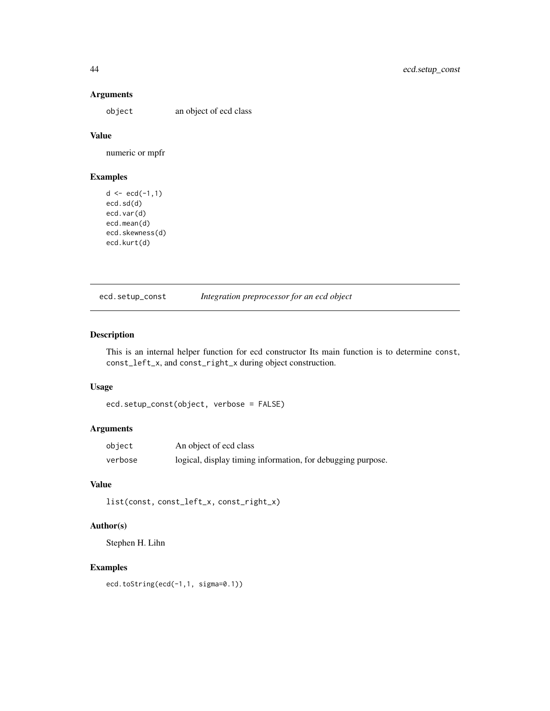### Arguments

object an object of ecd class

# Value

numeric or mpfr

# Examples

```
d \leq -ecd(-1,1)ecd.sd(d)
ecd.var(d)
ecd.mean(d)
ecd.skewness(d)
ecd.kurt(d)
```
ecd.setup\_const *Integration preprocessor for an ecd object*

# Description

This is an internal helper function for ecd constructor Its main function is to determine const, const\_left\_x, and const\_right\_x during object construction.

### Usage

```
ecd.setup_const(object, verbose = FALSE)
```
# Arguments

| object  | An object of ecd class                                      |
|---------|-------------------------------------------------------------|
| verbose | logical, display timing information, for debugging purpose. |

# Value

list(const, const\_left\_x, const\_right\_x)

### Author(s)

Stephen H. Lihn

# Examples

ecd.toString(ecd(-1,1, sigma=0.1))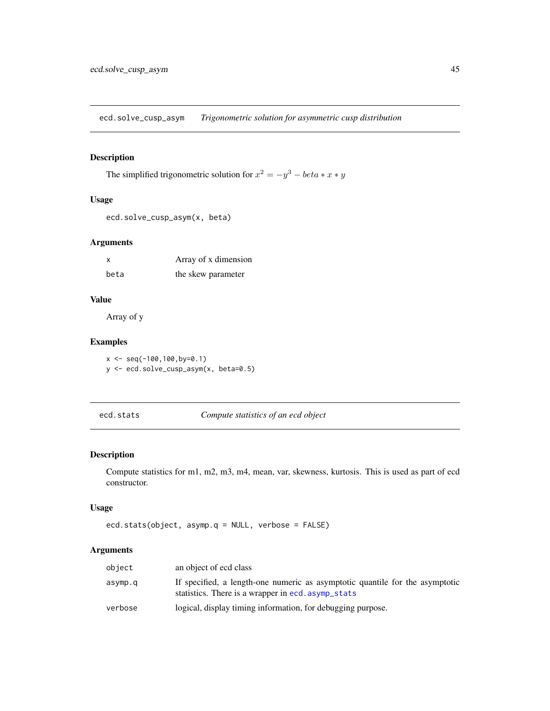ecd.solve\_cusp\_asym *Trigonometric solution for asymmetric cusp distribution*

# Description

The simplified trigonometric solution for  $x^2 = -y^3 - \theta e^x + x \cdot y$ 

# Usage

```
ecd.solve_cusp_asym(x, beta)
```
### Arguments

| X    | Array of x dimension |
|------|----------------------|
| beta | the skew parameter   |

# Value

Array of y

# Examples

 $x \leq -\text{seq}(-100, 100, \text{by=0.1})$ y <- ecd.solve\_cusp\_asym(x, beta=0.5)

```
ecd.stats Compute statistics of an ecd object
```
# Description

Compute statistics for m1, m2, m3, m4, mean, var, skewness, kurtosis. This is used as part of ecd constructor.

### Usage

```
ecd.stats(object, asymp.q = NULL, verbose = FALSE)
```
# Arguments

| object  | an object of ecd class                                                                                                             |
|---------|------------------------------------------------------------------------------------------------------------------------------------|
| asymp.q | If specified, a length-one numeric as asymptotic quantile for the asymptotic<br>statistics. There is a wrapper in ecd. asymp_stats |
| verbose | logical, display timing information, for debugging purpose.                                                                        |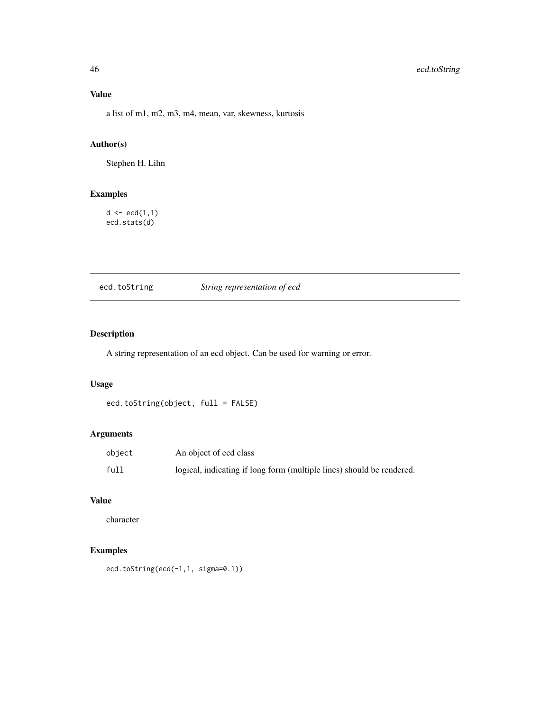# 46 ecd.toString

# Value

a list of m1, m2, m3, m4, mean, var, skewness, kurtosis

# Author(s)

Stephen H. Lihn

# Examples

 $d \leq -ecd(1,1)$ ecd.stats(d)

ecd.toString *String representation of ecd*

# Description

A string representation of an ecd object. Can be used for warning or error.

# Usage

ecd.toString(object, full = FALSE)

# Arguments

| object | An object of ecd class                                                |
|--------|-----------------------------------------------------------------------|
| full   | logical, indicating if long form (multiple lines) should be rendered. |

# Value

character

# Examples

ecd.toString(ecd(-1,1, sigma=0.1))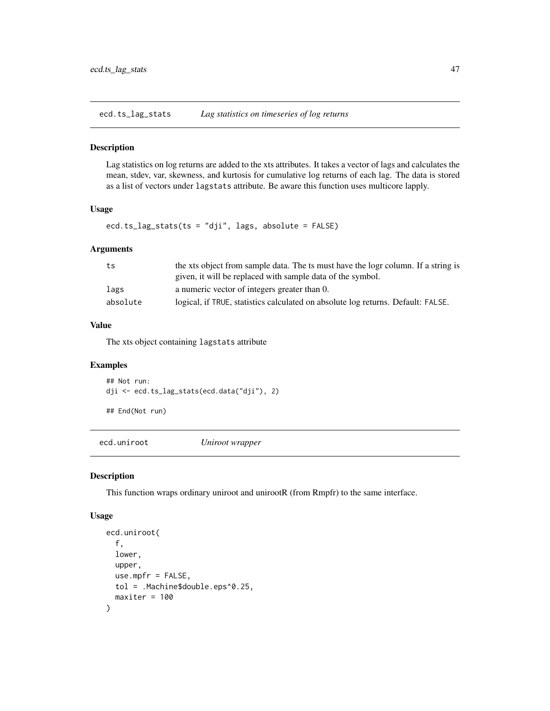ecd.ts\_lag\_stats *Lag statistics on timeseries of log returns*

### Description

Lag statistics on log returns are added to the xts attributes. It takes a vector of lags and calculates the mean, stdev, var, skewness, and kurtosis for cumulative log returns of each lag. The data is stored as a list of vectors under lagstats attribute. Be aware this function uses multicore lapply.

# Usage

ecd.ts\_lag\_stats(ts = "dji", lags, absolute = FALSE)

### Arguments

| ts       | the xts object from sample data. The ts must have the logr column. If a string is |
|----------|-----------------------------------------------------------------------------------|
|          | given, it will be replaced with sample data of the symbol.                        |
| lags     | a numeric vector of integers greater than 0.                                      |
| absolute | logical, if TRUE, statistics calculated on absolute log returns. Default: FALSE.  |

# Value

The xts object containing lagstats attribute

### Examples

## Not run: dji <- ecd.ts\_lag\_stats(ecd.data("dji"), 2)

## End(Not run)

ecd.uniroot *Uniroot wrapper*

#### Description

This function wraps ordinary uniroot and unirootR (from Rmpfr) to the same interface.

### Usage

```
ecd.uniroot(
 f,
 lower,
 upper,
 use.mpfr = FALSE,
 tol = .Machine$double.eps^0.25,
 maxiter = 100
)
```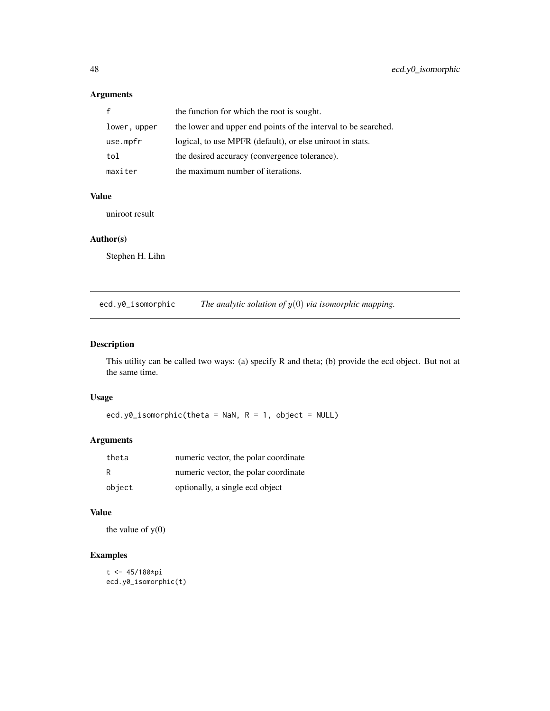# Arguments

|              | the function for which the root is sought.                     |
|--------------|----------------------------------------------------------------|
| lower, upper | the lower and upper end points of the interval to be searched. |
| use.mpfr     | logical, to use MPFR (default), or else uniroot in stats.      |
| tol          | the desired accuracy (convergence tolerance).                  |
| maxiter      | the maximum number of iterations.                              |

### Value

uniroot result

### Author(s)

Stephen H. Lihn

ecd.y0\_isomorphic *The analytic solution of* y(0) *via isomorphic mapping.*

# Description

This utility can be called two ways: (a) specify R and theta; (b) provide the ecd object. But not at the same time.

# Usage

ecd.y0\_isomorphic(theta = NaN,  $R = 1$ , object = NULL)

# Arguments

| theta  | numeric vector, the polar coordinate |
|--------|--------------------------------------|
| R      | numeric vector, the polar coordinate |
| object | optionally, a single ecd object      |

# Value

the value of  $y(0)$ 

# Examples

```
t <- 45/180*pi
ecd.y0_isomorphic(t)
```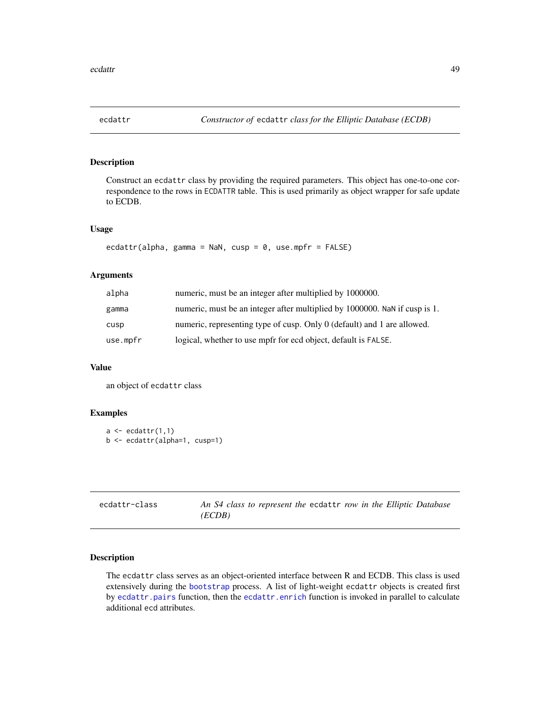Construct an ecdattr class by providing the required parameters. This object has one-to-one correspondence to the rows in ECDATTR table. This is used primarily as object wrapper for safe update to ECDB.

#### Usage

```
ecdattr(alpha, gamma = NaN, cusp = \theta, use.mpfr = FALSE)
```
### Arguments

| alpha    | numeric, must be an integer after multiplied by 1000000.                   |
|----------|----------------------------------------------------------------------------|
| gamma    | numeric, must be an integer after multiplied by 1000000. NaN if cusp is 1. |
| cusp     | numeric, representing type of cusp. Only 0 (default) and 1 are allowed.    |
| use.mpfr | logical, whether to use mpfr for ecd object, default is FALSE.             |

### Value

an object of ecdattr class

### Examples

```
a \leftarrow \text{edattr}(1,1)b <- ecdattr(alpha=1, cusp=1)
```

| ecdattr-class | An S4 class to represent the ecdattr row in the Elliptic Database |  |  |  |  |
|---------------|-------------------------------------------------------------------|--|--|--|--|
|               | (ECDB)                                                            |  |  |  |  |

# Description

The ecdattr class serves as an object-oriented interface between R and ECDB. This class is used extensively during the [bootstrap](#page-6-0) process. A list of light-weight ecdattr objects is created first by [ecdattr.pairs](#page-50-0) function, then the [ecdattr.enrich](#page-49-0) function is invoked in parallel to calculate additional ecd attributes.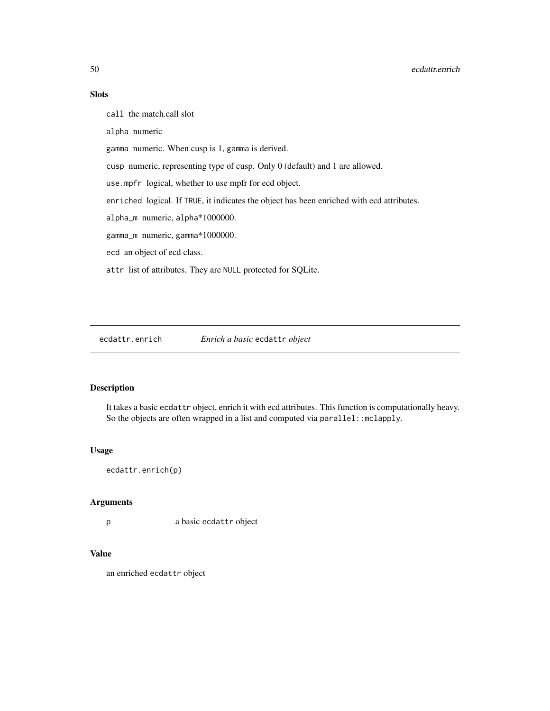# Slots

call the match.call slot

alpha numeric

gamma numeric. When cusp is 1, gamma is derived.

cusp numeric, representing type of cusp. Only 0 (default) and 1 are allowed.

use.mpfr logical, whether to use mpfr for ecd object.

enriched logical. If TRUE, it indicates the object has been enriched with ecd attributes.

alpha\_m numeric, alpha\*1000000.

gamma\_m numeric, gamma\*1000000.

ecd an object of ecd class.

attr list of attributes. They are NULL protected for SQLite.

<span id="page-49-0"></span>ecdattr.enrich *Enrich a basic* ecdattr *object*

# Description

It takes a basic ecdattr object, enrich it with ecd attributes. This function is computationally heavy. So the objects are often wrapped in a list and computed via parallel::mclapply.

#### Usage

ecdattr.enrich(p)

### Arguments

p a basic ecdattr object

# Value

an enriched ecdattr object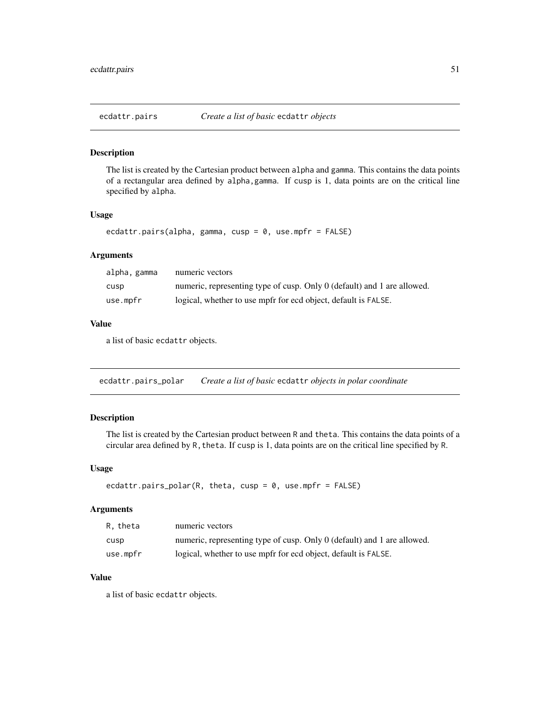<span id="page-50-0"></span>

The list is created by the Cartesian product between alpha and gamma. This contains the data points of a rectangular area defined by alpha,gamma. If cusp is 1, data points are on the critical line specified by alpha.

#### Usage

```
ecdattr.pairs(alpha, gamma, cusp = 0, use.mpfr = FALSE)
```
### Arguments

| alpha, gamma | numeric vectors                                                         |
|--------------|-------------------------------------------------------------------------|
| cusp         | numeric, representing type of cusp. Only 0 (default) and 1 are allowed. |
| use.mpfr     | logical, whether to use mpfr for ecd object, default is FALSE.          |

### Value

a list of basic ecdattr objects.

ecdattr.pairs\_polar *Create a list of basic* ecdattr *objects in polar coordinate*

### Description

The list is created by the Cartesian product between R and theta. This contains the data points of a circular area defined by R, theta. If cusp is 1, data points are on the critical line specified by R.

# Usage

```
ecdattr.pairs_polar(R, theta, cusp = 0, use.mpfr = FALSE)
```
### Arguments

| R. theta | numeric vectors                                                         |
|----------|-------------------------------------------------------------------------|
| cusp     | numeric, representing type of cusp. Only 0 (default) and 1 are allowed. |
| use.mpfr | logical, whether to use mpfr for ecd object, default is FALSE.          |

# Value

a list of basic ecdattr objects.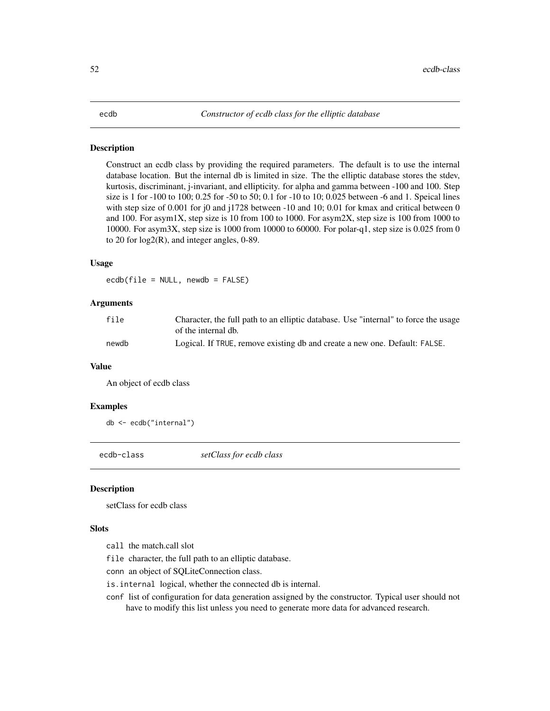Construct an ecdb class by providing the required parameters. The default is to use the internal database location. But the internal db is limited in size. The the elliptic database stores the stdev, kurtosis, discriminant, j-invariant, and ellipticity. for alpha and gamma between -100 and 100. Step size is 1 for -100 to 100; 0.25 for -50 to 50; 0.1 for -10 to 10; 0.025 between -6 and 1. Speical lines with step size of 0.001 for j0 and j1728 between -10 and 10; 0.01 for kmax and critical between 0 and 100. For asym1X, step size is 10 from 100 to 1000. For asym2X, step size is 100 from 1000 to 10000. For asym3X, step size is 1000 from 10000 to 60000. For polar-q1, step size is 0.025 from 0 to 20 for log2(R), and integer angles, 0-89.

### Usage

ecdb(file = NULL, newdb = FALSE)

### Arguments

| file  | Character, the full path to an elliptic database. Use "internal" to force the usage<br>of the internal db. |
|-------|------------------------------------------------------------------------------------------------------------|
| newdb | Logical. If TRUE, remove existing db and create a new one. Default: FALSE.                                 |

#### Value

An object of ecdb class

#### Examples

db <- ecdb("internal")

ecdb-class *setClass for ecdb class*

# Description

setClass for ecdb class

### **Slots**

call the match.call slot

file character, the full path to an elliptic database.

conn an object of SQLiteConnection class.

is.internal logical, whether the connected db is internal.

conf list of configuration for data generation assigned by the constructor. Typical user should not have to modify this list unless you need to generate more data for advanced research.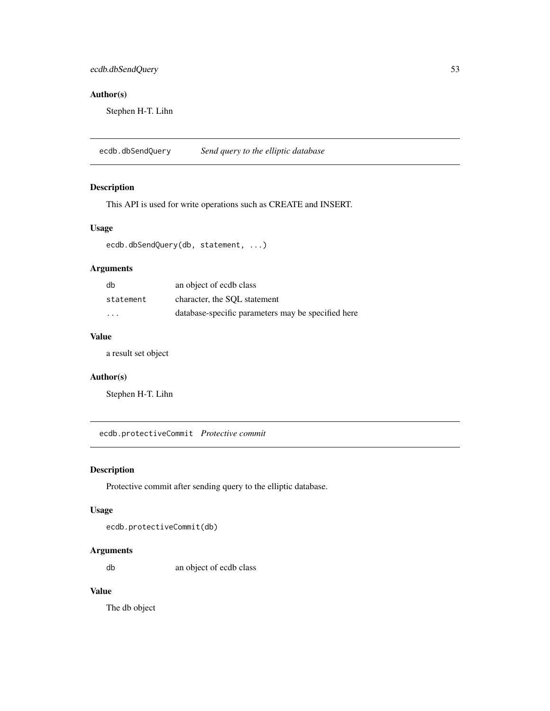# ecdb.dbSendQuery 53

# Author(s)

Stephen H-T. Lihn

ecdb.dbSendQuery *Send query to the elliptic database*

# Description

This API is used for write operations such as CREATE and INSERT.

### Usage

ecdb.dbSendQuery(db, statement, ...)

# Arguments

| db        | an object of ecdb class                            |
|-----------|----------------------------------------------------|
| statement | character, the SOL statement                       |
| .         | database-specific parameters may be specified here |

# Value

a result set object

# Author(s)

Stephen H-T. Lihn

ecdb.protectiveCommit *Protective commit*

### Description

Protective commit after sending query to the elliptic database.

### Usage

ecdb.protectiveCommit(db)

# Arguments

db an object of ecdb class

# Value

The db object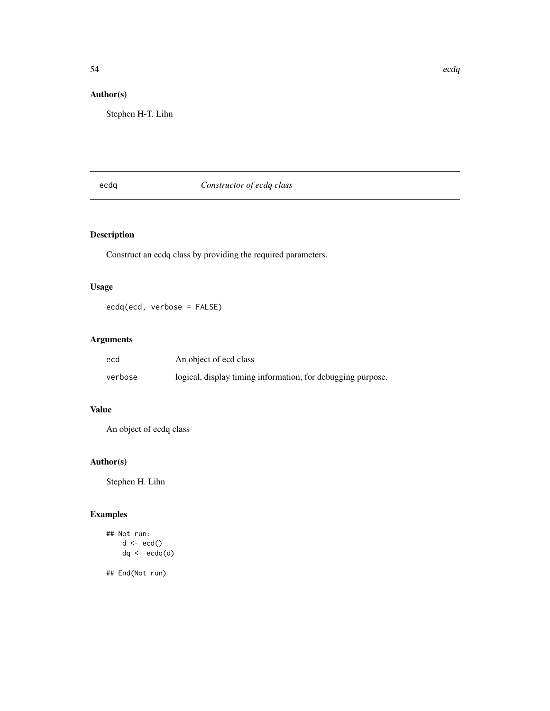# Author(s)

Stephen H-T. Lihn

# ecdq *Constructor of ecdq class*

# Description

Construct an ecdq class by providing the required parameters.

# Usage

ecdq(ecd, verbose = FALSE)

# Arguments

| ecd     | An object of ecd class                                      |
|---------|-------------------------------------------------------------|
| verbose | logical, display timing information, for debugging purpose. |

# Value

An object of ecdq class

# Author(s)

Stephen H. Lihn

# Examples

```
## Not run:
     d <- ecd()
     dq \leftarrow \text{ecd}(d)
```
## End(Not run)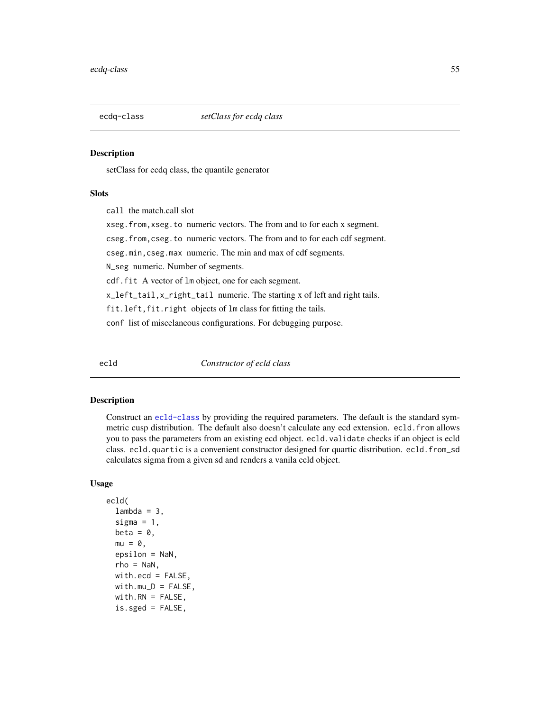setClass for ecdq class, the quantile generator

# Slots

call the match.call slot

xseg.from,xseg.to numeric vectors. The from and to for each x segment.

cseg.from,cseg.to numeric vectors. The from and to for each cdf segment.

cseg.min,cseg.max numeric. The min and max of cdf segments.

N\_seg numeric. Number of segments.

cdf.fit A vector of lm object, one for each segment.

x\_left\_tail,x\_right\_tail numeric. The starting x of left and right tails.

fit.left, fit.right objects of lm class for fitting the tails.

conf list of miscelaneous configurations. For debugging purpose.

ecld *Constructor of ecld class*

#### Description

Construct an [ecld-class](#page-56-0) by providing the required parameters. The default is the standard symmetric cusp distribution. The default also doesn't calculate any ecd extension. ecld.from allows you to pass the parameters from an existing ecd object. ecld.validate checks if an object is ecld class. ecld.quartic is a convenient constructor designed for quartic distribution. ecld.from\_sd calculates sigma from a given sd and renders a vanila ecld object.

#### Usage

```
ecld(
  lambda = 3,
  sigma = 1,
 beta = \theta,
 mu = 0,
  epsilon = NaN,
  rho =NaN,
 with.ecd = FALSE,
 width.mu_D = FALSE,with.RN = FALSE,is.sged = FALSE,
```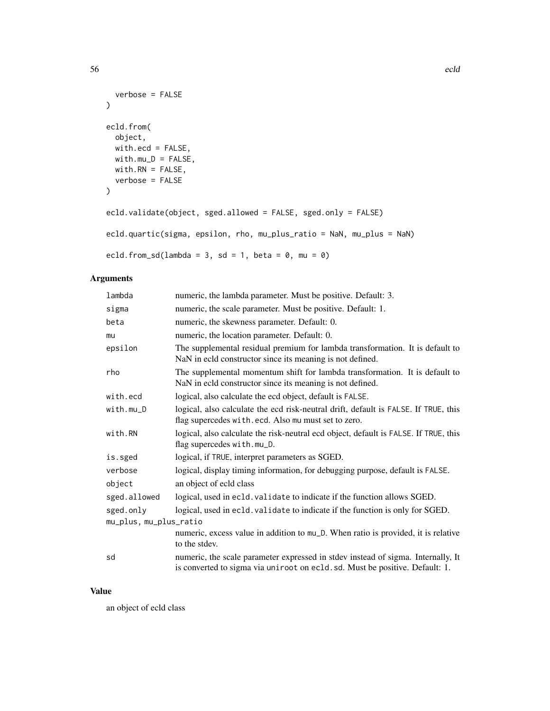```
verbose = FALSE
\mathcal{L}ecld.from(
 object,
 with.ecd = FALSE,
 with.mu_D = FALSE,
 with.RN = FALSE,verbose = FALSE
)
ecld.validate(object, sged.allowed = FALSE, sged.only = FALSE)
ecld.quartic(sigma, epsilon, rho, mu_plus_ratio = NaN, mu_plus = NaN)
ecld.from_sd(lambda = 3, sd = 1, beta = 0, mu = 0)
```
56 ecld extensive contract to the contract of the contract of the contract of the contract of the contract of the contract of the contract of the contract of the contract of the contract of the contract of the contract of

# Arguments

| lambda                 | numeric, the lambda parameter. Must be positive. Default: 3.                                                                                                     |
|------------------------|------------------------------------------------------------------------------------------------------------------------------------------------------------------|
| sigma                  | numeric, the scale parameter. Must be positive. Default: 1.                                                                                                      |
| beta                   | numeric, the skewness parameter. Default: 0.                                                                                                                     |
| mu                     | numeric, the location parameter. Default: 0.                                                                                                                     |
| epsilon                | The supplemental residual premium for lambda transformation. It is default to<br>NaN in ecld constructor since its meaning is not defined.                       |
| rho                    | The supplemental momentum shift for lambda transformation. It is default to<br>NaN in ecld constructor since its meaning is not defined.                         |
| with.ecd               | logical, also calculate the ecd object, default is FALSE.                                                                                                        |
| $with . mu_D$          | logical, also calculate the ecd risk-neutral drift, default is FALSE. If TRUE, this<br>flag supercedes with.ecd. Also mu must set to zero.                       |
| with.RN                | logical, also calculate the risk-neutral ecd object, default is FALSE. If TRUE, this<br>flag supercedes with.mu_D.                                               |
| is.sged                | logical, if TRUE, interpret parameters as SGED.                                                                                                                  |
| verbose                | logical, display timing information, for debugging purpose, default is FALSE.                                                                                    |
| object                 | an object of ecld class                                                                                                                                          |
| sged.allowed           | logical, used in ecld. validate to indicate if the function allows SGED.                                                                                         |
| sged.only              | logical, used in ecld. validate to indicate if the function is only for SGED.                                                                                    |
| mu_plus, mu_plus_ratio |                                                                                                                                                                  |
|                        | numeric, excess value in addition to mu_D. When ratio is provided, it is relative<br>to the stdev.                                                               |
| sd                     | numeric, the scale parameter expressed in stdev instead of sigma. Internally, It<br>is converted to sigma via uniroot on ecld. sd. Must be positive. Default: 1. |

# Value

an object of ecld class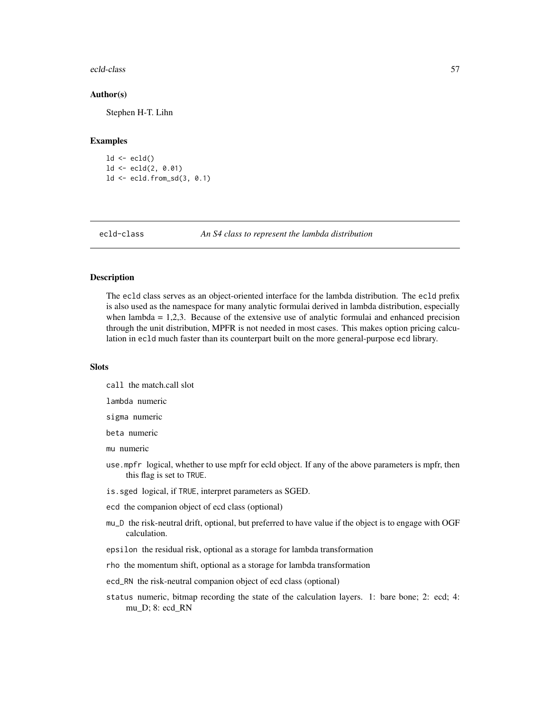#### ecld-class 57

#### Author(s)

Stephen H-T. Lihn

#### Examples

```
ld \leftarrow \text{ecld}()ld \leftarrow \text{ecld}(2, 0.01)ld <- ecld.from_sd(3, 0.1)
```
<span id="page-56-0"></span>

ecld-class *An S4 class to represent the lambda distribution*

### Description

The ecld class serves as an object-oriented interface for the lambda distribution. The ecld prefix is also used as the namespace for many analytic formulai derived in lambda distribution, especially when lambda  $= 1,2,3$ . Because of the extensive use of analytic formulai and enhanced precision through the unit distribution, MPFR is not needed in most cases. This makes option pricing calculation in ecld much faster than its counterpart built on the more general-purpose ecd library.

### Slots

call the match.call slot

lambda numeric

sigma numeric

beta numeric

mu numeric

- use.mpfr logical, whether to use mpfr for ecld object. If any of the above parameters is mpfr, then this flag is set to TRUE.
- is.sged logical, if TRUE, interpret parameters as SGED.
- ecd the companion object of ecd class (optional)
- mu\_D the risk-neutral drift, optional, but preferred to have value if the object is to engage with OGF calculation.
- epsilon the residual risk, optional as a storage for lambda transformation
- rho the momentum shift, optional as a storage for lambda transformation
- ecd\_RN the risk-neutral companion object of ecd class (optional)
- status numeric, bitmap recording the state of the calculation layers. 1: bare bone; 2: ecd; 4: mu\_D; 8: ecd\_RN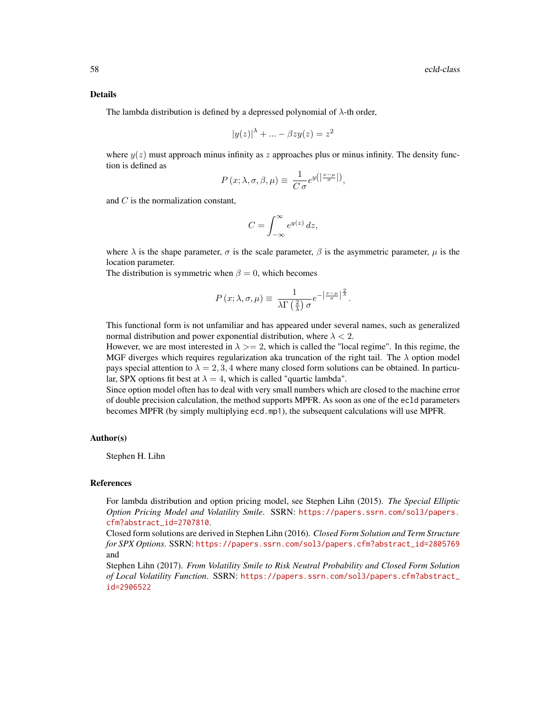#### Details

The lambda distribution is defined by a depressed polynomial of  $\lambda$ -th order,

$$
|y(z)|^{\lambda} + \dots - \beta z y(z) = z^2
$$

where  $y(z)$  must approach minus infinity as z approaches plus or minus infinity. The density function is defined as

$$
P(x; \lambda, \sigma, \beta, \mu) \equiv \frac{1}{C \sigma} e^{y(\left|\frac{x-\mu}{\sigma}\right|)},
$$

and C is the normalization constant,

$$
C = \int_{-\infty}^{\infty} e^{y(z)} dz,
$$

where  $\lambda$  is the shape parameter,  $\sigma$  is the scale parameter,  $\beta$  is the asymmetric parameter,  $\mu$  is the location parameter.

The distribution is symmetric when  $\beta = 0$ , which becomes

$$
P(x; \lambda, \sigma, \mu) \equiv \frac{1}{\lambda \Gamma(\frac{2}{\lambda}) \sigma} e^{-\left|\frac{x-\mu}{\sigma}\right|^{\frac{2}{\lambda}}}.
$$

This functional form is not unfamiliar and has appeared under several names, such as generalized normal distribution and power exponential distribution, where  $\lambda < 2$ .

However, we are most interested in  $\lambda \geq 2$ , which is called the "local regime". In this regime, the MGF diverges which requires regularization aka truncation of the right tail. The  $\lambda$  option model pays special attention to  $\lambda = 2, 3, 4$  where many closed form solutions can be obtained. In particular, SPX options fit best at  $\lambda = 4$ , which is called "quartic lambda".

Since option model often has to deal with very small numbers which are closed to the machine error of double precision calculation, the method supports MPFR. As soon as one of the ecld parameters becomes MPFR (by simply multiplying ecd.mp1), the subsequent calculations will use MPFR.

### Author(s)

Stephen H. Lihn

#### References

For lambda distribution and option pricing model, see Stephen Lihn (2015). *The Special Elliptic Option Pricing Model and Volatility Smile*. SSRN: [https://papers.ssrn.com/sol3/papers.](https://papers.ssrn.com/sol3/papers.cfm?abstract_id=2707810) [cfm?abstract\\_id=2707810](https://papers.ssrn.com/sol3/papers.cfm?abstract_id=2707810).

Closed form solutions are derived in Stephen Lihn (2016). *Closed Form Solution and Term Structure for SPX Options*. SSRN: [https://papers.ssrn.com/sol3/papers.cfm?abstract\\_id=2805769](https://papers.ssrn.com/sol3/papers.cfm?abstract_id=2805769) and

Stephen Lihn (2017). *From Volatility Smile to Risk Neutral Probability and Closed Form Solution of Local Volatility Function*. SSRN: [https://papers.ssrn.com/sol3/papers.cfm?abstract\\_](https://papers.ssrn.com/sol3/papers.cfm?abstract_id=2906522) [id=2906522](https://papers.ssrn.com/sol3/papers.cfm?abstract_id=2906522)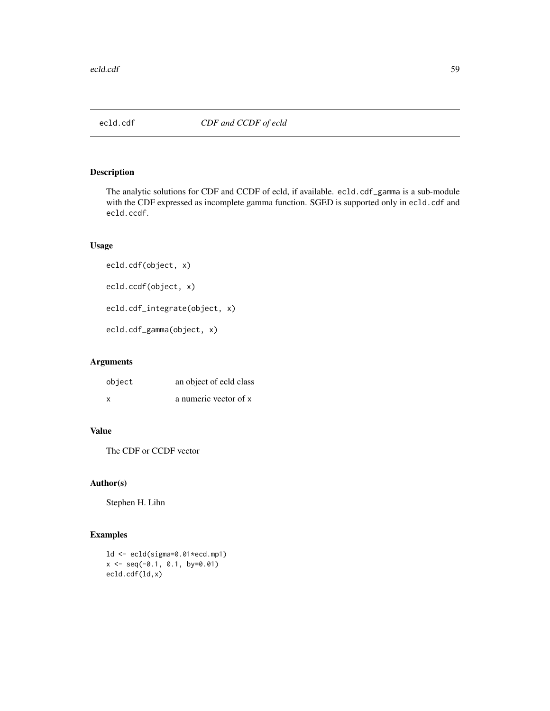The analytic solutions for CDF and CCDF of ecld, if available. ecld.cdf\_gamma is a sub-module with the CDF expressed as incomplete gamma function. SGED is supported only in ecld.cdf and ecld.ccdf.

# Usage

```
ecld.cdf(object, x)
ecld.ccdf(object, x)
ecld.cdf_integrate(object, x)
ecld.cdf_gamma(object, x)
```
### Arguments

| object | an object of ecld class |
|--------|-------------------------|
| X      | a numeric vector of x   |

# Value

The CDF or CCDF vector

# Author(s)

Stephen H. Lihn

# Examples

```
ld <- ecld(sigma=0.01*ecd.mp1)
x \le - seq(-0.1, 0.1, by=0.01)
ecld.cdf(ld,x)
```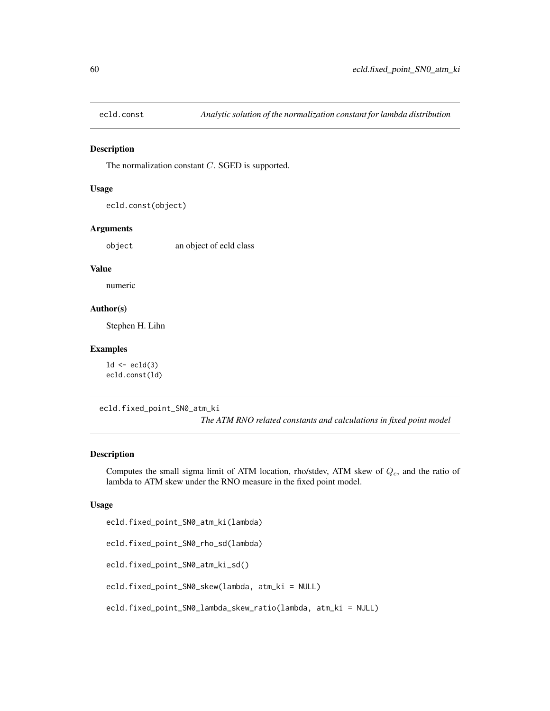The normalization constant C. SGED is supported.

### Usage

```
ecld.const(object)
```
#### Arguments

object an object of ecld class

### Value

numeric

### Author(s)

Stephen H. Lihn

#### Examples

 $ld \leftarrow \text{ecld}(3)$ ecld.const(ld)

ecld.fixed\_point\_SN0\_atm\_ki

*The ATM RNO related constants and calculations in fixed point model*

### Description

Computes the small sigma limit of ATM location, rho/stdev, ATM skew of  $Q_c$ , and the ratio of lambda to ATM skew under the RNO measure in the fixed point model.

#### Usage

```
ecld.fixed_point_SN0_atm_ki(lambda)
```

```
ecld.fixed_point_SN0_rho_sd(lambda)
```

```
ecld.fixed_point_SN0_atm_ki_sd()
```
ecld.fixed\_point\_SN0\_skew(lambda, atm\_ki = NULL)

```
ecld.fixed_point_SN0_lambda_skew_ratio(lambda, atm_ki = NULL)
```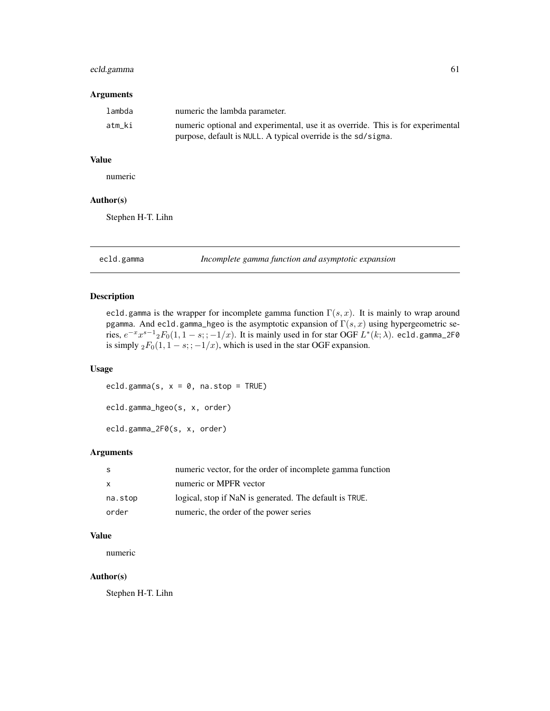# ecld.gamma 61

### Arguments

| lambda | numeric the lambda parameter.                                                   |
|--------|---------------------------------------------------------------------------------|
| atm ki | numeric optional and experimental, use it as override. This is for experimental |
|        | purpose, default is NULL. A typical override is the sd/sigma.                   |

# Value

numeric

# Author(s)

Stephen H-T. Lihn

ecld.gamma *Incomplete gamma function and asymptotic expansion*

### Description

ecld.gamma is the wrapper for incomplete gamma function  $\Gamma(s, x)$ . It is mainly to wrap around pgamma. And ecld.gamma\_hgeo is the asymptotic expansion of  $\Gamma(s, x)$  using hypergeometric series,  $e^{-x}x^{s-1}$ 2 $F_0(1,1-s;;-1/x)$ . It is mainly used in for star OGF  $L^*(k;\lambda)$ . ecld.gamma\_2F0 is simply  ${}_2F_0(1, 1 - s; ; -1/x)$ , which is used in the star OGF expansion.

# Usage

```
ecld.gamma(s, x = 0, na.stop = TRUE)
ecld.gamma_hgeo(s, x, order)
ecld.gamma_2F0(s, x, order)
```
### Arguments

|              | numeric vector, for the order of incomplete gamma function |
|--------------|------------------------------------------------------------|
| $\mathsf{X}$ | numeric or MPFR vector                                     |
| na.stop      | logical, stop if NaN is generated. The default is TRUE.    |
| order        | numeric, the order of the power series                     |

# Value

numeric

# Author(s)

Stephen H-T. Lihn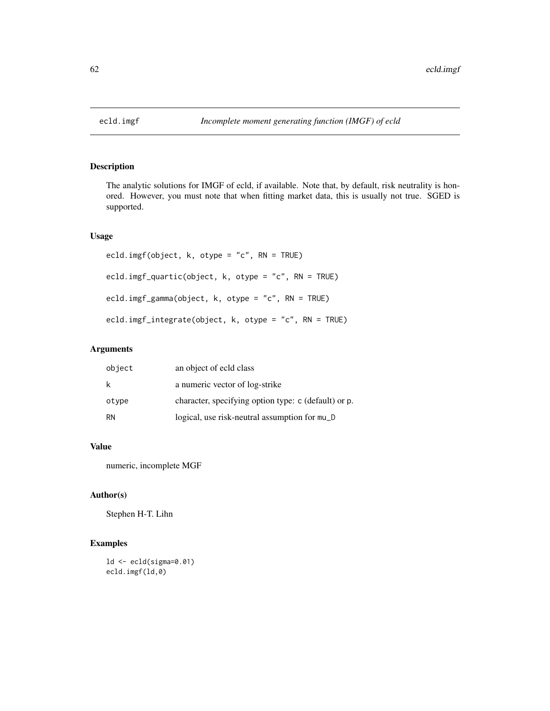The analytic solutions for IMGF of ecld, if available. Note that, by default, risk neutrality is honored. However, you must note that when fitting market data, this is usually not true. SGED is supported.

### Usage

```
ecld.imgf(object, k, otype = "c", RN = TRUE)
ecld.imgf_quartic(object, k, otype = "c", RN = TRUE)
ecld.imgf_gamma(object, k, otype = "c", RN = TRUE)
ecld.imgf_integrate(object, k, otype = "c", RN = TRUE)
```
# Arguments

| object    | an object of ecld class                              |
|-----------|------------------------------------------------------|
| k         | a numeric vector of log-strike                       |
| otype     | character, specifying option type: c (default) or p. |
| <b>RN</b> | logical, use risk-neutral assumption for mu_D        |

# Value

numeric, incomplete MGF

# Author(s)

Stephen H-T. Lihn

# Examples

ld <- ecld(sigma=0.01) ecld.imgf(ld,0)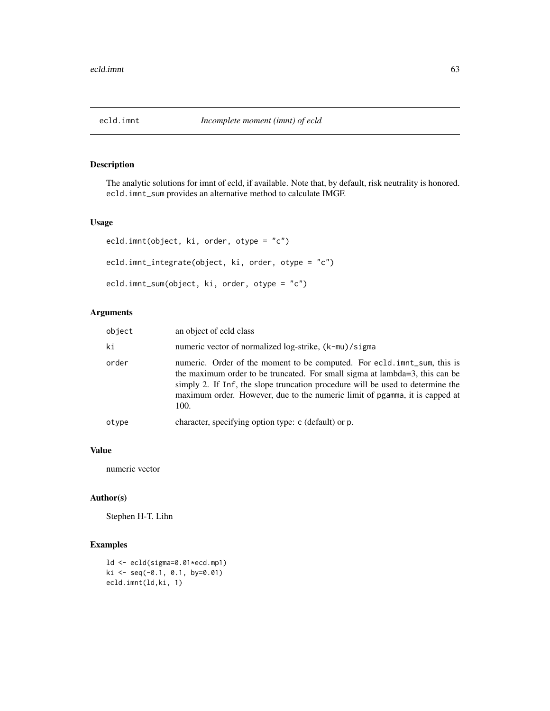The analytic solutions for imnt of ecld, if available. Note that, by default, risk neutrality is honored. ecld.imnt\_sum provides an alternative method to calculate IMGF.

### Usage

```
ecld.imnt(object, ki, order, otype = "c")
ecld.imnt_integrate(object, ki, order, otype = "c")
ecld.imnt_sum(object, ki, order, otype = "c")
```
# Arguments

| object | an object of ecld class                                                                                                                                                                                                                                                                                                         |
|--------|---------------------------------------------------------------------------------------------------------------------------------------------------------------------------------------------------------------------------------------------------------------------------------------------------------------------------------|
| ki     | numeric vector of normalized log-strike, (k-mu)/sigma                                                                                                                                                                                                                                                                           |
| order  | numeric. Order of the moment to be computed. For ecld.imnt_sum, this is<br>the maximum order to be truncated. For small sigma at lambda=3, this can be<br>simply 2. If Inf, the slope truncation procedure will be used to determine the<br>maximum order. However, due to the numeric limit of pgamma, it is capped at<br>100. |
| otype  | character, specifying option type: c (default) or p.                                                                                                                                                                                                                                                                            |

### Value

numeric vector

# Author(s)

Stephen H-T. Lihn

### Examples

```
ld <- ecld(sigma=0.01*ecd.mp1)
ki <- seq(-0.1, 0.1, by=0.01)
ecld.imnt(ld,ki, 1)
```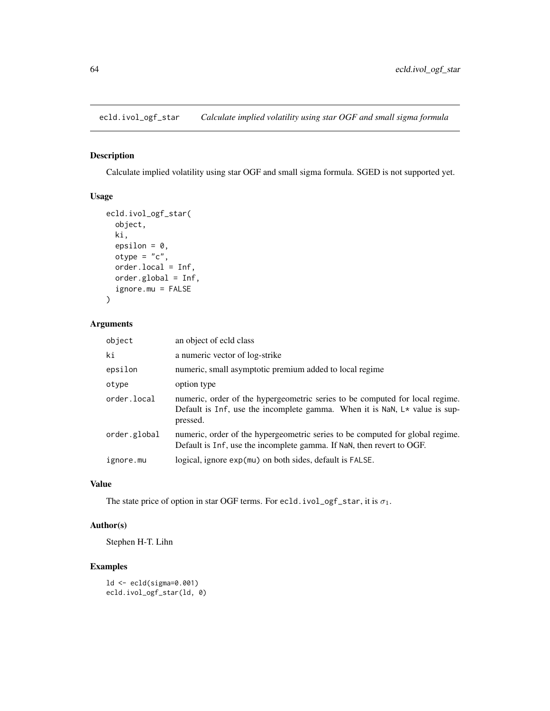ecld.ivol\_ogf\_star *Calculate implied volatility using star OGF and small sigma formula*

# Description

Calculate implied volatility using star OGF and small sigma formula. SGED is not supported yet.

### Usage

```
ecld.ivol_ogf_star(
  object,
 ki,
  epsilon = 0,
 otype = "c",order.local = Inf,
 order.global = Inf,
  ignore.mu = FALSE
)
```
### Arguments

| object       | an object of ecld class                                                                                                                                                  |
|--------------|--------------------------------------------------------------------------------------------------------------------------------------------------------------------------|
| ki           | a numeric vector of log-strike                                                                                                                                           |
| epsilon      | numeric, small asymptotic premium added to local regime                                                                                                                  |
| otype        | option type                                                                                                                                                              |
| order.local  | numeric, order of the hypergeometric series to be computed for local regime.<br>Default is Inf, use the incomplete gamma. When it is NaN, $L*$ value is sup-<br>pressed. |
| order.global | numeric, order of the hypergeometric series to be computed for global regime.<br>Default is Inf, use the incomplete gamma. If NaN, then revert to OGF.                   |
| ignore.mu    | logical, ignore exp(mu) on both sides, default is FALSE.                                                                                                                 |

### Value

The state price of option in star OGF terms. For ecld.ivol\_ogf\_star, it is  $\sigma_1$ .

# Author(s)

Stephen H-T. Lihn

# Examples

ld <- ecld(sigma=0.001) ecld.ivol\_ogf\_star(ld, 0)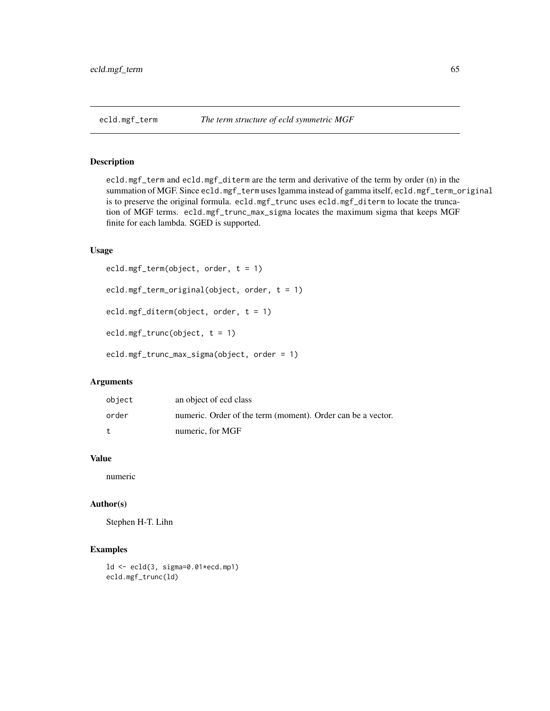ecld.mgf\_term and ecld.mgf\_diterm are the term and derivative of the term by order (n) in the summation of MGF. Since ecld.mgf\_term uses lgamma instead of gamma itself, ecld.mgf\_term\_original is to preserve the original formula. ecld.mgf\_trunc uses ecld.mgf\_diterm to locate the truncation of MGF terms. ecld.mgf\_trunc\_max\_sigma locates the maximum sigma that keeps MGF finite for each lambda. SGED is supported.

#### Usage

```
ecld.mgf_term(object, order, t = 1)
ecld.mgf_term_original(object, order, t = 1)
ecld.mgf_diterm(object, order, t = 1)
ecld.mgf_trunc(object, t = 1)
ecld.mgf_trunc_max_sigma(object, order = 1)
```
### Arguments

| object     | an object of ecd class                                      |
|------------|-------------------------------------------------------------|
| order      | numeric. Order of the term (moment). Order can be a vector. |
| $^{\rm t}$ | numeric, for MGF                                            |

### Value

numeric

#### Author(s)

Stephen H-T. Lihn

### Examples

```
ld <- ecld(3, sigma=0.01*ecd.mp1)
ecld.mgf_trunc(ld)
```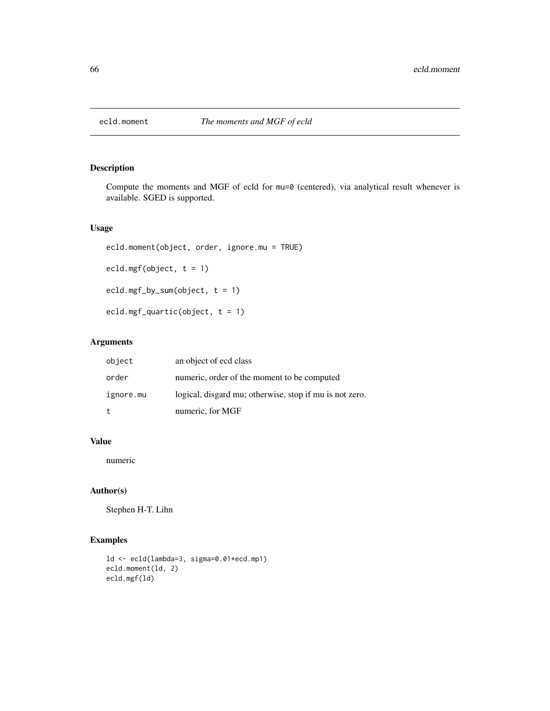Compute the moments and MGF of ecld for mu=0 (centered), via analytical result whenever is available. SGED is supported.

### Usage

```
ecld.moment(object, order, ignore.mu = TRUE)
ecld.mgf(object, t = 1)
ecld.mgf_by_sum(object, t = 1)
ecld.mgf_quartic(object, t = 1)
```
# Arguments

| object    | an object of ecd class                                  |
|-----------|---------------------------------------------------------|
| order     | numeric, order of the moment to be computed             |
| ignore.mu | logical, disgard mu; otherwise, stop if mu is not zero. |
| t         | numeric, for MGF                                        |

# Value

numeric

### Author(s)

Stephen H-T. Lihn

### Examples

```
ld <- ecld(lambda=3, sigma=0.01*ecd.mp1)
ecld.moment(ld, 2)
ecld.mgf(ld)
```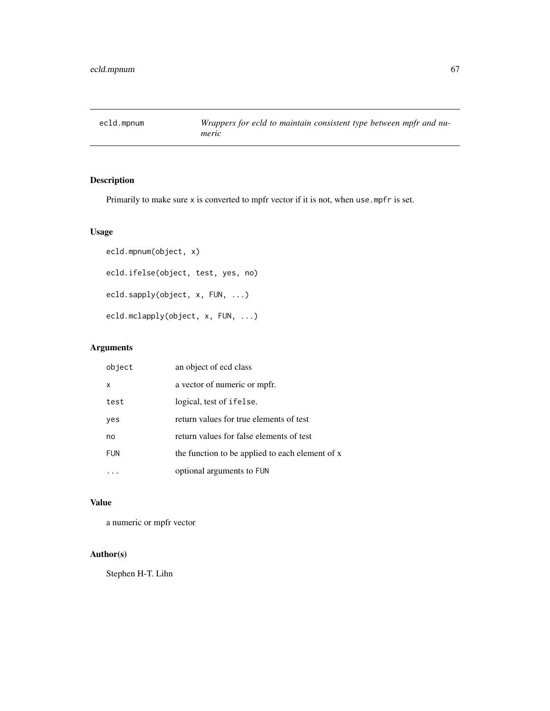Primarily to make sure x is converted to mpfr vector if it is not, when use mpfr is set.

# Usage

```
ecld.mpnum(object, x)
ecld.ifelse(object, test, yes, no)
ecld.sapply(object, x, FUN, ...)
ecld.mclapply(object, x, FUN, ...)
```
# Arguments

| object     | an object of ecd class                          |
|------------|-------------------------------------------------|
| X          | a vector of numeric or mpfr.                    |
| test       | logical, test of ifelse.                        |
| yes        | return values for true elements of test         |
| no         | return values for false elements of test        |
| <b>FUN</b> | the function to be applied to each element of x |
|            | optional arguments to FUN                       |

### Value

a numeric or mpfr vector

# Author(s)

Stephen H-T. Lihn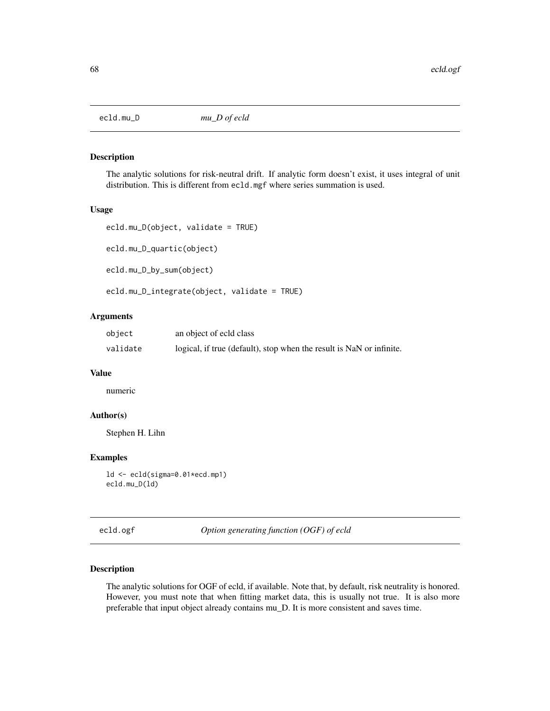The analytic solutions for risk-neutral drift. If analytic form doesn't exist, it uses integral of unit distribution. This is different from ecld.mgf where series summation is used.

#### Usage

```
ecld.mu_D(object, validate = TRUE)
ecld.mu_D_quartic(object)
ecld.mu_D_by_sum(object)
```
ecld.mu\_D\_integrate(object, validate = TRUE)

# Arguments

| object   | an object of ecid class                                              |
|----------|----------------------------------------------------------------------|
| validate | logical, if true (default), stop when the result is NaN or infinite. |

#### Value

numeric

### Author(s)

Stephen H. Lihn

### Examples

```
ld <- ecld(sigma=0.01*ecd.mp1)
ecld.mu_D(ld)
```
ecld.ogf *Option generating function (OGF) of ecld*

### Description

The analytic solutions for OGF of ecld, if available. Note that, by default, risk neutrality is honored. However, you must note that when fitting market data, this is usually not true. It is also more preferable that input object already contains mu\_D. It is more consistent and saves time.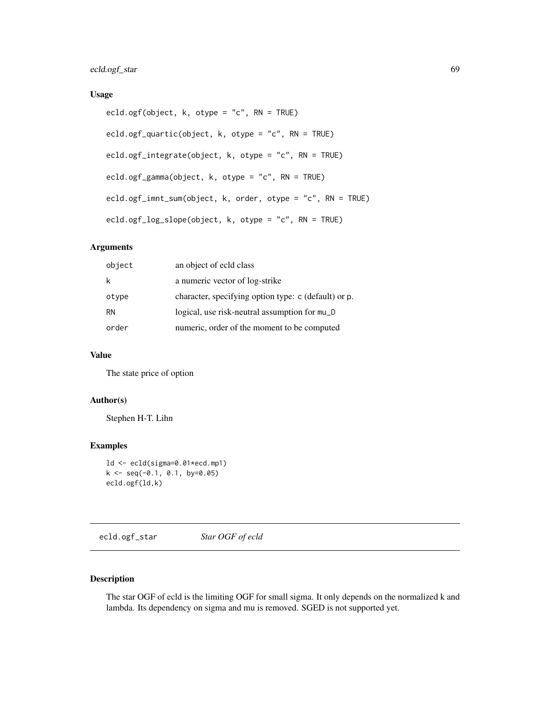# ecld.ogf\_star 69

# Usage

```
ecld.ogf(object, k, otype = "c", RN = TRUE)
ecld.ogf_quartic(object, k, otype = "c", RN = TRUE)
ecld.ogf_integrate(object, k, otype = "c", RN = TRUE)
ecld.ogf_gamma(object, k, otype = "c", RN = TRUE)
ecld.ogf_imnt_sum(object, k, order, otype = "c", RN = TRUE)
ecld.ogf_log_slope(object, k, otype = "c", RN = TRUE)
```
# Arguments

| object    | an object of ecld class                              |
|-----------|------------------------------------------------------|
| k         | a numeric vector of log-strike                       |
| otype     | character, specifying option type: c (default) or p. |
| <b>RN</b> | logical, use risk-neutral assumption for mu_D        |
| order     | numeric, order of the moment to be computed          |

# Value

The state price of option

# Author(s)

Stephen H-T. Lihn

# Examples

```
ld <- ecld(sigma=0.01*ecd.mp1)
k \leq -\text{seq}(-0.1, 0.1, \text{ by=0.05})ecld.ogf(ld,k)
```
ecld.ogf\_star *Star OGF of ecld*

# Description

The star OGF of ecld is the limiting OGF for small sigma. It only depends on the normalized k and lambda. Its dependency on sigma and mu is removed. SGED is not supported yet.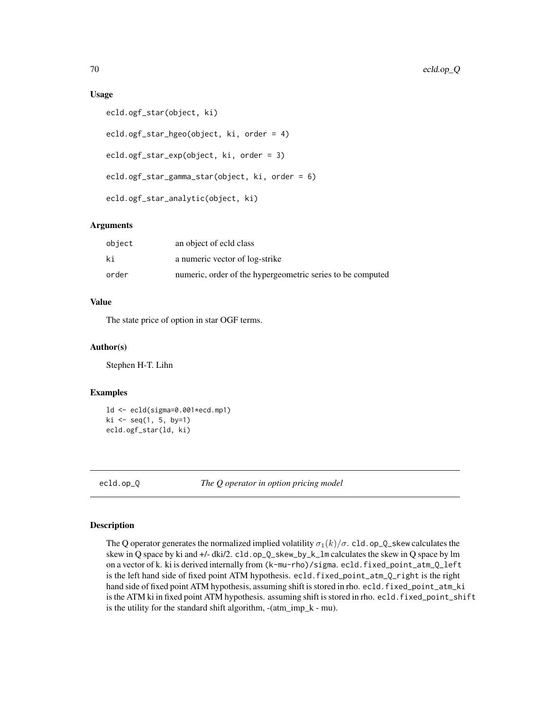### Usage

```
ecld.ogf_star(object, ki)
ecld.ogf_star_hgeo(object, ki, order = 4)
ecld.ogf_star_exp(object, ki, order = 3)
ecld.ogf_star_gamma_star(object, ki, order = 6)
ecld.ogf_star_analytic(object, ki)
```
### Arguments

| object | an object of ecld class                                    |
|--------|------------------------------------------------------------|
| ki     | a numeric vector of log-strike                             |
| order  | numeric, order of the hypergeometric series to be computed |

# Value

The state price of option in star OGF terms.

# Author(s)

Stephen H-T. Lihn

#### Examples

```
ld <- ecld(sigma=0.001*ecd.mp1)
ki \leq -seq(1, 5, by=1)ecld.ogf_star(ld, ki)
```
ecld.op\_Q *The Q operator in option pricing model*

#### Description

The Q operator generates the normalized implied volatility  $\sigma_1(k)/\sigma$ . cld.op\_Q\_skew calculates the skew in Q space by ki and +/- dki/2. cld.op\_Q\_skew\_by\_k\_lm calculates the skew in Q space by lm on a vector of k. ki is derived internally from (k-mu-rho)/sigma. ecld.fixed\_point\_atm\_Q\_left is the left hand side of fixed point ATM hypothesis. ecld.fixed\_point\_atm\_Q\_right is the right hand side of fixed point ATM hypothesis, assuming shift is stored in rho. ecld. fixed\_point\_atm\_ki is the ATM ki in fixed point ATM hypothesis. assuming shift is stored in rho. ecld.fixed\_point\_shift is the utility for the standard shift algorithm, -(atm\_imp\_k - mu).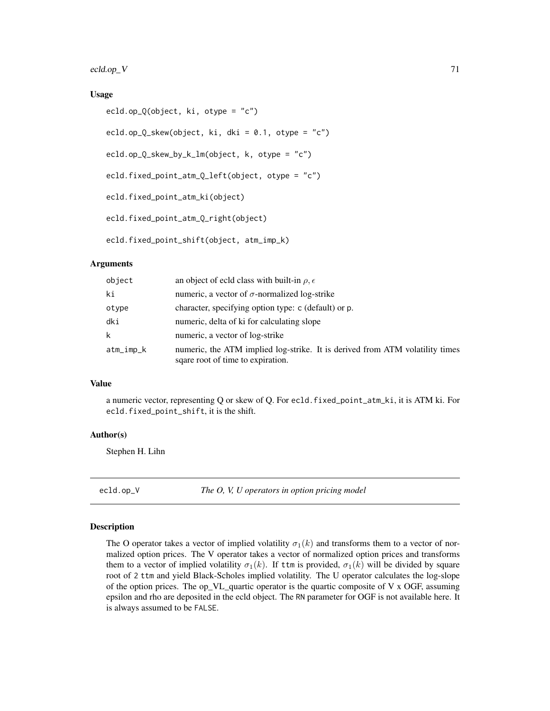ecld.op\_V 71

### Usage

```
ecld.op_Q(object, ki, otype = "c")
ecld.op_Q_skew(object, ki, dki = 0.1, otype = "c")
ecld.op_Q_skew_by_k_lm(object, k, otype = "c")
ecld.fixed_point_atm_Q_left(object, otype = "c")
ecld.fixed_point_atm_ki(object)
ecld.fixed_point_atm_Q_right(object)
ecld.fixed_point_shift(object, atm_imp_k)
```
### Arguments

| object    | an object of ecld class with built-in $\rho, \epsilon$                                                            |
|-----------|-------------------------------------------------------------------------------------------------------------------|
| ki        | numeric, a vector of $\sigma$ -normalized log-strike                                                              |
| otype     | character, specifying option type: c (default) or p.                                                              |
| dki       | numeric, delta of ki for calculating slope                                                                        |
| k         | numeric, a vector of log-strike                                                                                   |
| atm_imp_k | numeric, the ATM implied log-strike. It is derived from ATM volatility times<br>sqare root of time to expiration. |

### Value

a numeric vector, representing Q or skew of Q. For ecld.fixed\_point\_atm\_ki, it is ATM ki. For ecld.fixed\_point\_shift, it is the shift.

#### Author(s)

Stephen H. Lihn

ecld.op\_V *The O, V, U operators in option pricing model*

### Description

The O operator takes a vector of implied volatility  $\sigma_1(k)$  and transforms them to a vector of normalized option prices. The V operator takes a vector of normalized option prices and transforms them to a vector of implied volatility  $\sigma_1(k)$ . If ttm is provided,  $\sigma_1(k)$  will be divided by square root of 2 ttm and yield Black-Scholes implied volatility. The U operator calculates the log-slope of the option prices. The op\_VL\_quartic operator is the quartic composite of V  $\times$  OGF, assuming epsilon and rho are deposited in the ecld object. The RN parameter for OGF is not available here. It is always assumed to be FALSE.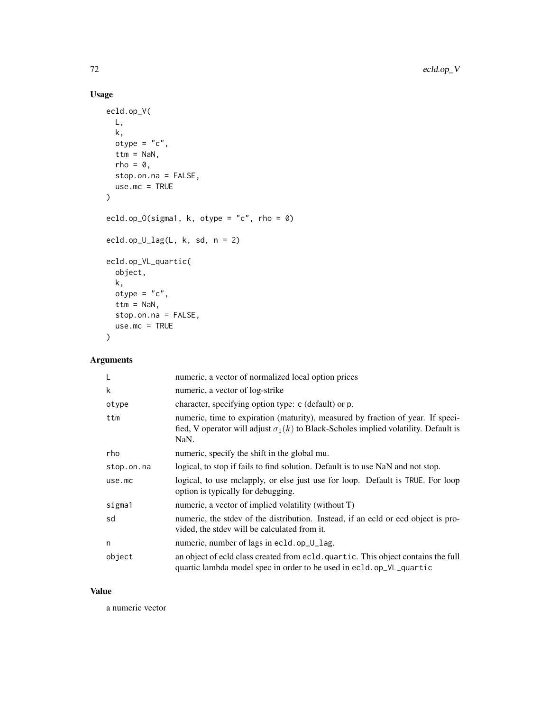# Usage

```
ecld.op_V(
  L,
  k,
  otype = "c",ttm = NaN,
  rho = 0,
  stop.on.na = FALSE,
  use.mc = TRUE
\mathcal{L}ecld.op_O(sigma1, k, otype = "c", rho = 0)
ecld.op_U_lag(L, k, sd, n = 2)
ecld.op_VL_quartic(
  object,
  k,
  otype = "c",ttm = NaN,
  stop.on.na = FALSE,
  use.mc = TRUE
\mathcal{L}
```
# Arguments

| L          | numeric, a vector of normalized local option prices                                                                                                                                   |
|------------|---------------------------------------------------------------------------------------------------------------------------------------------------------------------------------------|
| k          | numeric, a vector of log-strike                                                                                                                                                       |
| otype      | character, specifying option type: c (default) or p.                                                                                                                                  |
| ttm        | numeric, time to expiration (maturity), measured by fraction of year. If speci-<br>fied, V operator will adjust $\sigma_1(k)$ to Black-Scholes implied volatility. Default is<br>NaN. |
| rho        | numeric, specify the shift in the global mu.                                                                                                                                          |
| stop.on.na | logical, to stop if fails to find solution. Default is to use NaN and not stop.                                                                                                       |
| use.mc     | logical, to use mclapply, or else just use for loop. Default is TRUE. For loop<br>option is typically for debugging.                                                                  |
| sigma1     | numeric, a vector of implied volatility (without T)                                                                                                                                   |
| sd         | numeric, the stdev of the distribution. Instead, if an ecld or ecd object is pro-<br>vided, the stdev will be calculated from it.                                                     |
| n          | numeric, number of lags in ec1d.op_U_lag.                                                                                                                                             |
| object     | an object of ecld class created from ecld. quartic. This object contains the full<br>quartic lambda model spec in order to be used in ecld.op_VL_quartic                              |

### Value

a numeric vector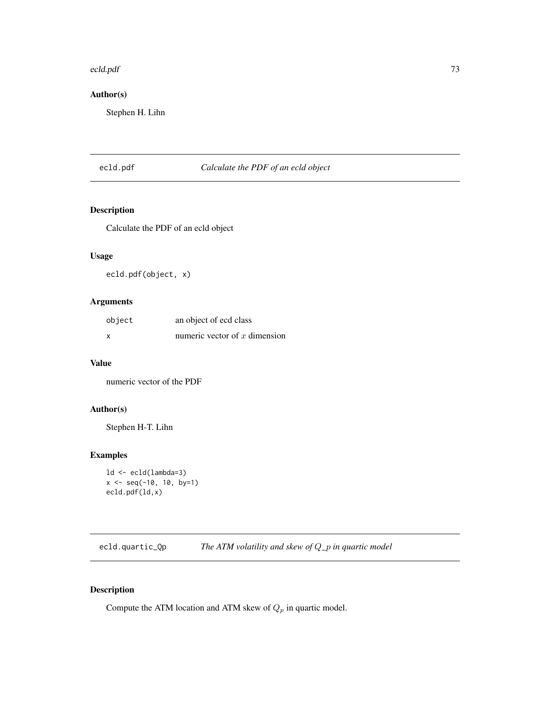#### ecld.pdf 73

# Author(s)

Stephen H. Lihn

## ecld.pdf *Calculate the PDF of an ecld object*

#### Description

Calculate the PDF of an ecld object

## Usage

ecld.pdf(object, x)

## Arguments

| object | an object of ecd class          |
|--------|---------------------------------|
| x      | numeric vector of $x$ dimension |

## Value

numeric vector of the PDF

# Author(s)

Stephen H-T. Lihn

## Examples

```
ld <- ecld(lambda=3)
x <- seq(-10, 10, by=1)
ecld.pdf(ld,x)
```
ecld.quartic\_Qp *The ATM volatility and skew of* Q*\_*p *in quartic model*

## Description

Compute the ATM location and ATM skew of  $Q_p$  in quartic model.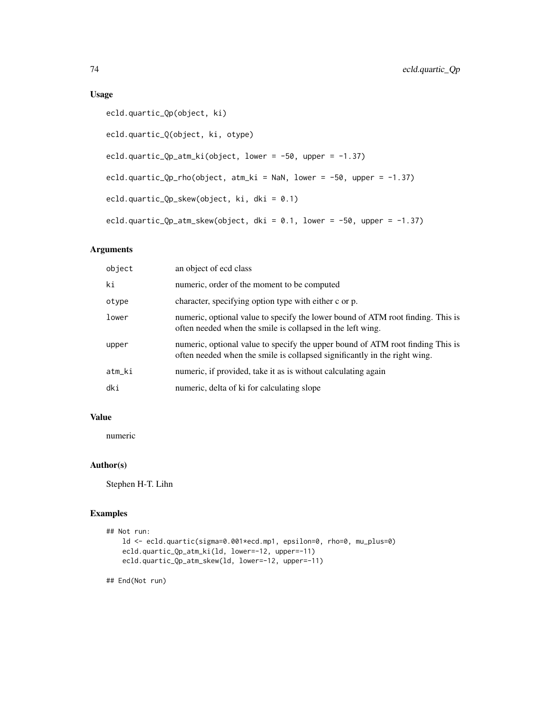## Usage

```
ecld.quartic_Qp(object, ki)
ecld.quartic_Q(object, ki, otype)
ecld.quartic_Qp_atm_ki(object, lower = -50, upper = -1.37)
ecld.quartic_Qp_rho(object, atm_ki = NaN, lower = -50, upper = -1.37)
ecld.quartic_Qp_skew(object, ki, dki = 0.1)
ecld.quartic_Qp_atm_skew(object, dki = 0.1, lower = -50, upper = -1.37)
```
# Arguments

| object | an object of ecd class                                                                                                                                      |
|--------|-------------------------------------------------------------------------------------------------------------------------------------------------------------|
| ki     | numeric, order of the moment to be computed                                                                                                                 |
| otype  | character, specifying option type with either c or p.                                                                                                       |
| lower  | numeric, optional value to specify the lower bound of ATM root finding. This is<br>often needed when the smile is collapsed in the left wing.               |
| upper  | numeric, optional value to specify the upper bound of ATM root finding This is<br>often needed when the smile is collapsed significantly in the right wing. |
| atm_ki | numeric, if provided, take it as is without calculating again                                                                                               |
| dki    | numeric, delta of ki for calculating slope                                                                                                                  |

## Value

numeric

## Author(s)

Stephen H-T. Lihn

## Examples

```
## Not run:
   ld <- ecld.quartic(sigma=0.001*ecd.mp1, epsilon=0, rho=0, mu_plus=0)
   ecld.quartic_Qp_atm_ki(ld, lower=-12, upper=-11)
   ecld.quartic_Qp_atm_skew(ld, lower=-12, upper=-11)
```
## End(Not run)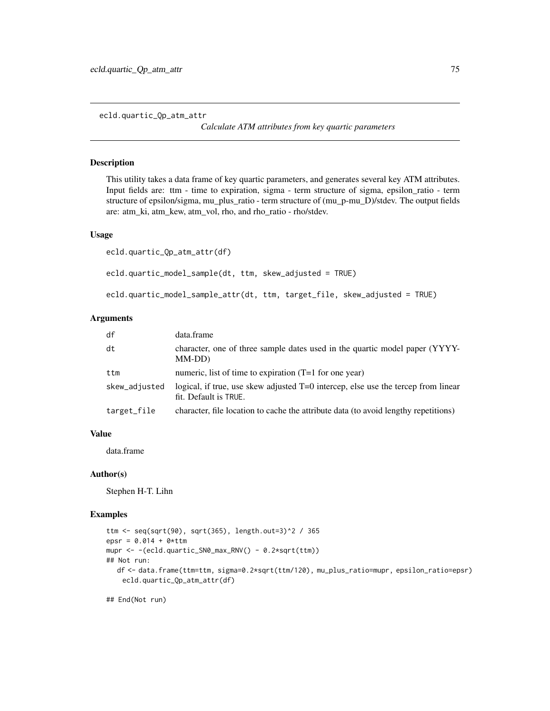ecld.quartic\_Qp\_atm\_attr

*Calculate ATM attributes from key quartic parameters*

## Description

This utility takes a data frame of key quartic parameters, and generates several key ATM attributes. Input fields are: ttm - time to expiration, sigma - term structure of sigma, epsilon\_ratio - term structure of epsilon/sigma, mu\_plus\_ratio - term structure of (mu\_p-mu\_D)/stdev. The output fields are: atm\_ki, atm\_kew, atm\_vol, rho, and rho\_ratio - rho/stdev.

#### Usage

```
ecld.quartic_Qp_atm_attr(df)
ecld.quartic_model_sample(dt, ttm, skew_adjusted = TRUE)
ecld.quartic_model_sample_attr(dt, ttm, target_file, skew_adjusted = TRUE)
```
#### Arguments

| df            | data.frame                                                                                                 |
|---------------|------------------------------------------------------------------------------------------------------------|
| dt            | character, one of three sample dates used in the quartic model paper (YYYY-<br>MM-DD)                      |
| ttm           | numeric, list of time to expiration $(T=1$ for one year)                                                   |
| skew_adjusted | logical, if true, use skew adjusted T=0 intercep, else use the tercep from linear<br>fit. Default is TRUE. |
| target_file   | character, file location to cache the attribute data (to avoid lengthy repetitions)                        |

## Value

data.frame

## Author(s)

Stephen H-T. Lihn

#### Examples

```
ttm <- seq(sqrt(90), sqrt(365), length.out=3)^2 / 365
epsr = 0.014 + 0*ttmmupr <- -(ecld.quartic_SN0_max_RNV() - 0.2*sqrt(ttm))
## Not run:
  df <- data.frame(ttm=ttm, sigma=0.2*sqrt(ttm/120), mu_plus_ratio=mupr, epsilon_ratio=epsr)
   ecld.quartic_Qp_atm_attr(df)
```
## End(Not run)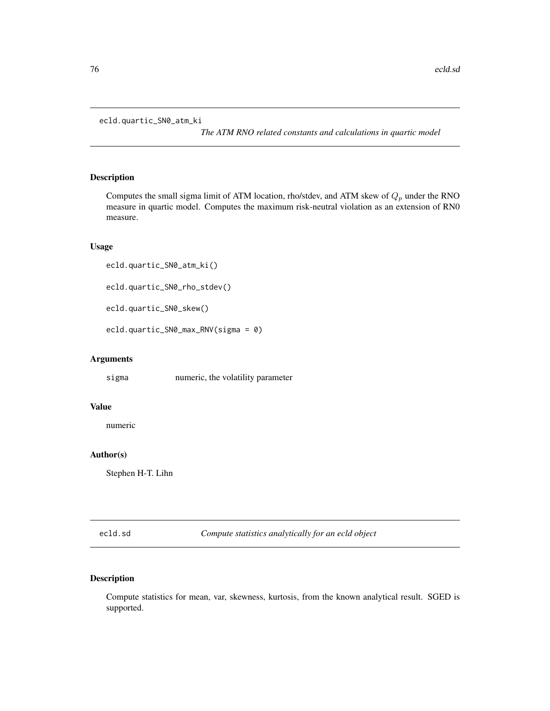```
ecld.quartic_SN0_atm_ki
```
*The ATM RNO related constants and calculations in quartic model*

## Description

Computes the small sigma limit of ATM location, rho/stdev, and ATM skew of  $Q_p$  under the RNO measure in quartic model. Computes the maximum risk-neutral violation as an extension of RN0 measure.

## Usage

```
ecld.quartic_SN0_atm_ki()
```

```
ecld.quartic_SN0_rho_stdev()
```

```
ecld.quartic_SN0_skew()
```
ecld.quartic\_SN0\_max\_RNV(sigma = 0)

## Arguments

sigma numeric, the volatility parameter

## Value

numeric

# Author(s)

Stephen H-T. Lihn

ecld.sd *Compute statistics analytically for an ecld object*

## Description

Compute statistics for mean, var, skewness, kurtosis, from the known analytical result. SGED is supported.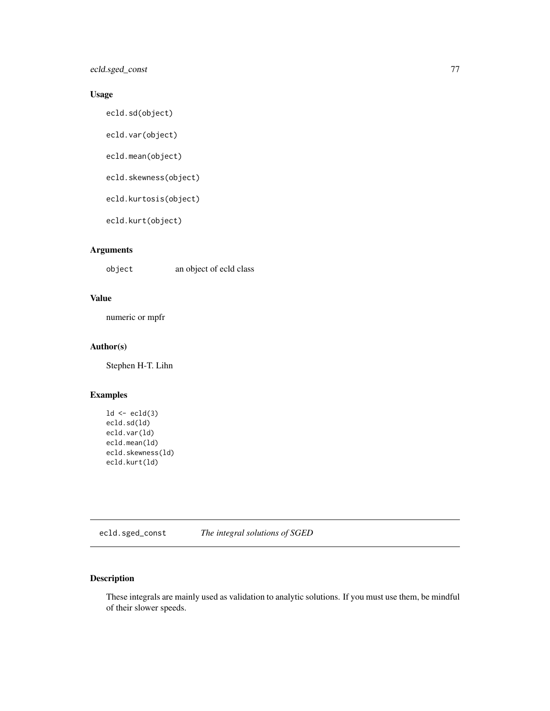ecld.sged\_const 77

## Usage

ecld.sd(object)

ecld.var(object)

ecld.mean(object)

ecld.skewness(object)

ecld.kurtosis(object)

ecld.kurt(object)

# Arguments

object an object of ecld class

# Value

numeric or mpfr

## Author(s)

Stephen H-T. Lihn

# Examples

 $ld < -$  ec $ld(3)$ ecld.sd(ld) ecld.var(ld) ecld.mean(ld) ecld.skewness(ld) ecld.kurt(ld)

ecld.sged\_const *The integral solutions of SGED*

# Description

These integrals are mainly used as validation to analytic solutions. If you must use them, be mindful of their slower speeds.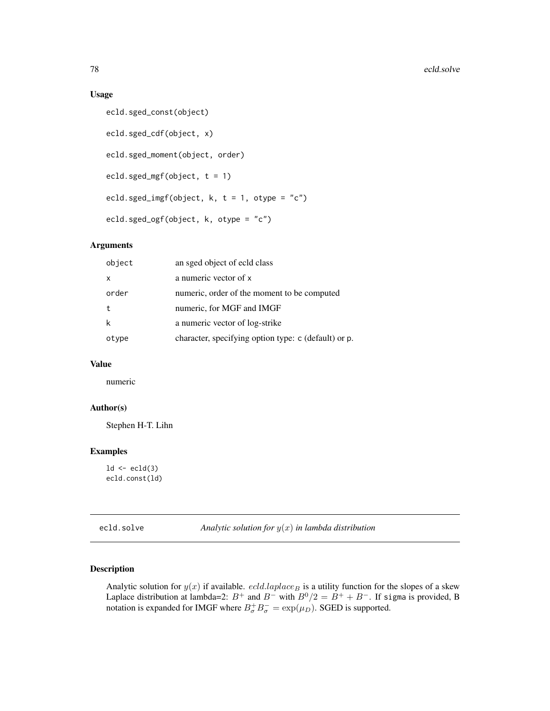#### Usage

```
ecld.sged_const(object)
ecld.sged_cdf(object, x)
ecld.sged_moment(object, order)
ecld.sged_mgf(object, t = 1)
ecld.sged_imgf(object, k, t = 1, otype = "c")
ecld.sged_ogf(object, k, otype = "c")
```
## Arguments

| a numeric vector of x<br>$\mathsf{x}$<br>numeric, order of the moment to be computed<br>order<br>numeric, for MGF and IMGF<br>t<br>k<br>a numeric vector of log-strike<br>character, specifying option type: c (default) or p.<br>otype | object | an sged object of ecld class |
|-----------------------------------------------------------------------------------------------------------------------------------------------------------------------------------------------------------------------------------------|--------|------------------------------|
|                                                                                                                                                                                                                                         |        |                              |
|                                                                                                                                                                                                                                         |        |                              |
|                                                                                                                                                                                                                                         |        |                              |
|                                                                                                                                                                                                                                         |        |                              |
|                                                                                                                                                                                                                                         |        |                              |

#### Value

numeric

#### Author(s)

Stephen H-T. Lihn

## Examples

```
ld \leftarrow \text{ecld}(3)ecld.const(ld)
```
ecld.solve *Analytic solution for* y(x) *in lambda distribution*

# Description

Analytic solution for  $y(x)$  if available. *ecld.laplace* B is a utility function for the slopes of a skew Laplace distribution at lambda=2:  $B^+$  and  $B^-$  with  $B^0/2 = B^+ + B^-$ . If sigma is provided, B notation is expanded for IMGF where  $B^+_{\sigma}B^-_{\sigma} = \exp(\mu_D)$ . SGED is supported.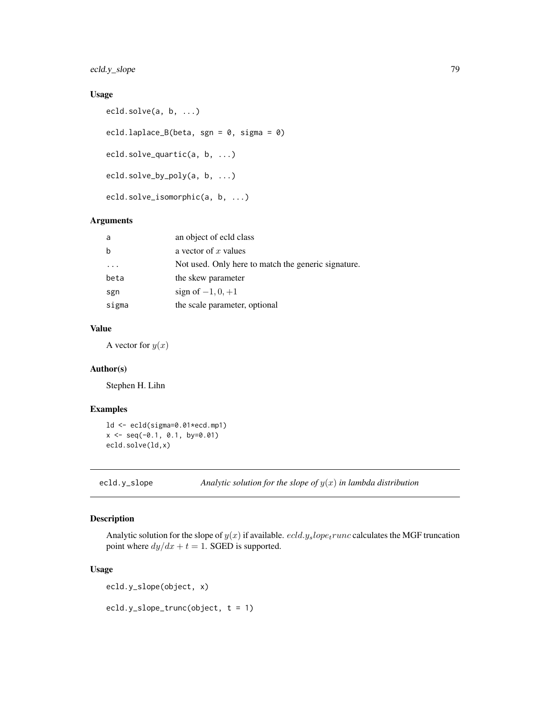ecld.y\_slope 79

# Usage

```
ecld.solve(a, b, ...)
ecld.laplace_B(beta, sgn = 0, sigma = 0)
ecld.solve_quartic(a, b, ...)
ecld.solve_by_poly(a, b, ...)
ecld.solve_isomorphic(a, b, ...)
```
#### Arguments

| a       | an object of ecld class                             |
|---------|-----------------------------------------------------|
| b       | a vector of $x$ values                              |
| $\cdot$ | Not used. Only here to match the generic signature. |
| beta    | the skew parameter                                  |
| sgn     | sign of $-1, 0, +1$                                 |
| sigma   | the scale parameter, optional                       |

## Value

A vector for  $y(x)$ 

#### Author(s)

Stephen H. Lihn

## Examples

```
ld <- ecld(sigma=0.01*ecd.mp1)
x \leq -\text{seq}(-0.1, 0.1, \text{ by} = 0.01)ecld.solve(ld,x)
```
ecld.y\_slope *Analytic solution for the slope of* y(x) *in lambda distribution*

# Description

Analytic solution for the slope of  $y(x)$  if available. *ecld.y<sub>s</sub>lope<sub>t</sub>runc* calculates the MGF truncation point where  $dy/dx + t = 1$ . SGED is supported.

## Usage

ecld.y\_slope(object, x)

ecld.y\_slope\_trunc(object, t = 1)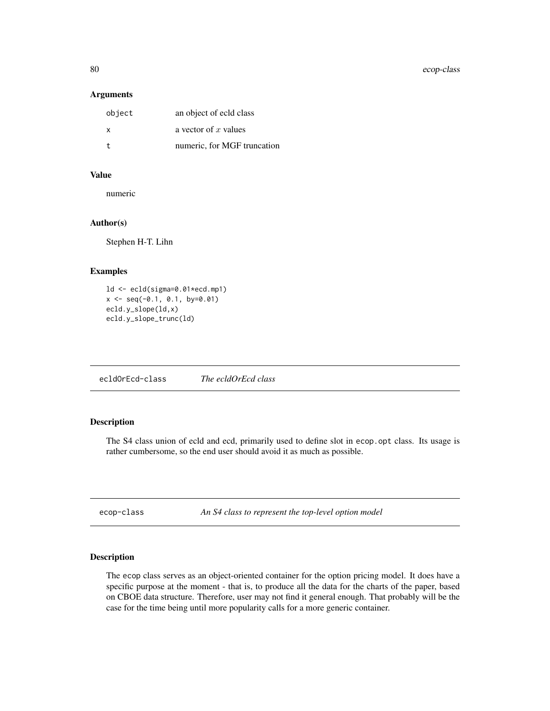80 ecop-class

## Arguments

| object | an object of ecid class     |
|--------|-----------------------------|
| X      | a vector of x values        |
| t.     | numeric, for MGF truncation |

# Value

numeric

## Author(s)

Stephen H-T. Lihn

## Examples

```
ld <- ecld(sigma=0.01*ecd.mp1)
x \le - seq(-0.1, 0.1, by=0.01)
ecld.y_slope(ld,x)
ecld.y_slope_trunc(ld)
```
ecldOrEcd-class *The ecldOrEcd class*

# Description

The S4 class union of ecld and ecd, primarily used to define slot in ecop.opt class. Its usage is rather cumbersome, so the end user should avoid it as much as possible.

ecop-class *An S4 class to represent the top-level option model*

## Description

The ecop class serves as an object-oriented container for the option pricing model. It does have a specific purpose at the moment - that is, to produce all the data for the charts of the paper, based on CBOE data structure. Therefore, user may not find it general enough. That probably will be the case for the time being until more popularity calls for a more generic container.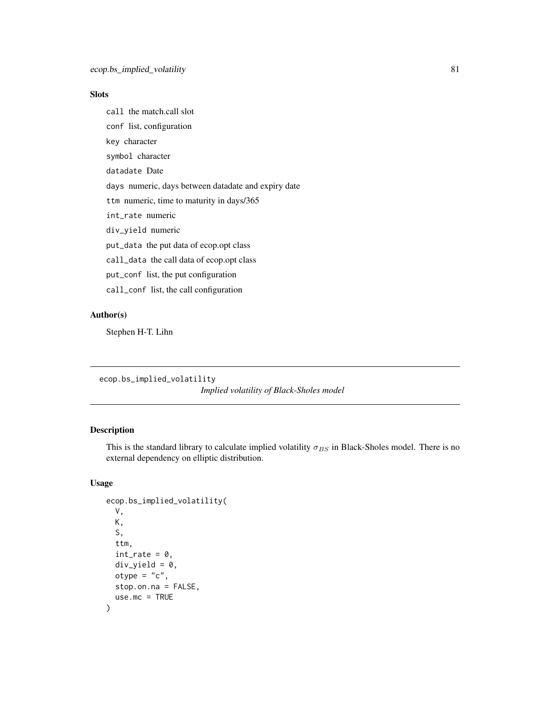# Slots

call the match.call slot

conf list, configuration

key character

symbol character

datadate Date

days numeric, days between datadate and expiry date

ttm numeric, time to maturity in days/365

int\_rate numeric

div\_yield numeric

put\_data the put data of ecop.opt class

call\_data the call data of ecop.opt class

put\_conf list, the put configuration

call\_conf list, the call configuration

## Author(s)

Stephen H-T. Lihn

ecop.bs\_implied\_volatility

*Implied volatility of Black-Sholes model*

# Description

This is the standard library to calculate implied volatility  $\sigma_{BS}$  in Black-Sholes model. There is no external dependency on elliptic distribution.

```
ecop.bs_implied_volatility(
 V,
 K,
  S,
  ttm,
  int_rate = 0,
 div\_yield = 0,
 otype = "c",stop.on.na = FALSE,
  use.mc = TRUE)
```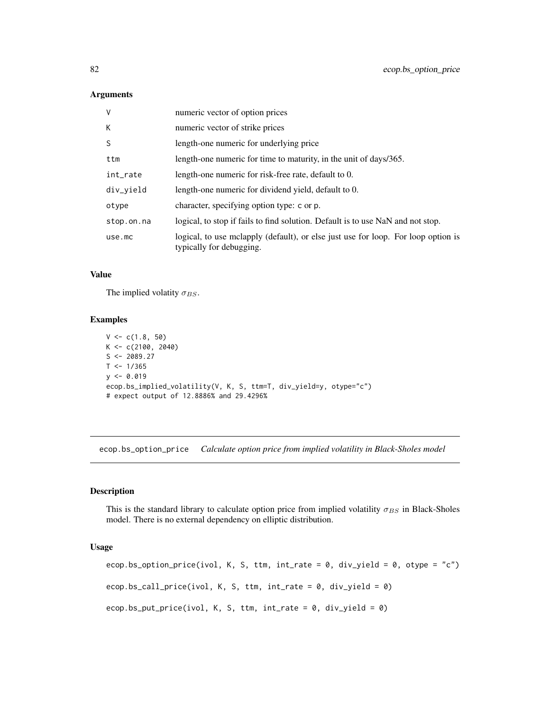| $\vee$     | numeric vector of option prices                                                                               |
|------------|---------------------------------------------------------------------------------------------------------------|
| K          | numeric vector of strike prices                                                                               |
| S          | length-one numeric for underlying price                                                                       |
| ttm        | length-one numeric for time to maturity, in the unit of days/365.                                             |
| int_rate   | length-one numeric for risk-free rate, default to 0.                                                          |
| div_yield  | length-one numeric for dividend yield, default to 0.                                                          |
| otype      | character, specifying option type: c or p.                                                                    |
| stop.on.na | logical, to stop if fails to find solution. Default is to use NaN and not stop.                               |
| use.mc     | logical, to use mclapply (default), or else just use for loop. For loop option is<br>typically for debugging. |

## Value

The implied volatity  $\sigma_{BS}$ .

#### Examples

```
V < -c(1.8, 50)K < -c(2100, 2040)S \leftarrow 2089.27T < -1/365y \le -0.019ecop.bs_implied_volatility(V, K, S, ttm=T, div_yield=y, otype="c")
# expect output of 12.8886% and 29.4296%
```
ecop.bs\_option\_price *Calculate option price from implied volatility in Black-Sholes model*

# Description

This is the standard library to calculate option price from implied volatility  $\sigma_{BS}$  in Black-Sholes model. There is no external dependency on elliptic distribution.

```
ecop.bs_option_price(ivol, K, S, ttm, int_rate = 0, div_yield = 0, otype = "c")
ecop.bs_call_price(ivol, K, S, ttm, int_rate = 0, div_yield = 0)
ecop.bs_put_price(ivol, K, S, ttm, int_rate = 0, div_yield = 0)
```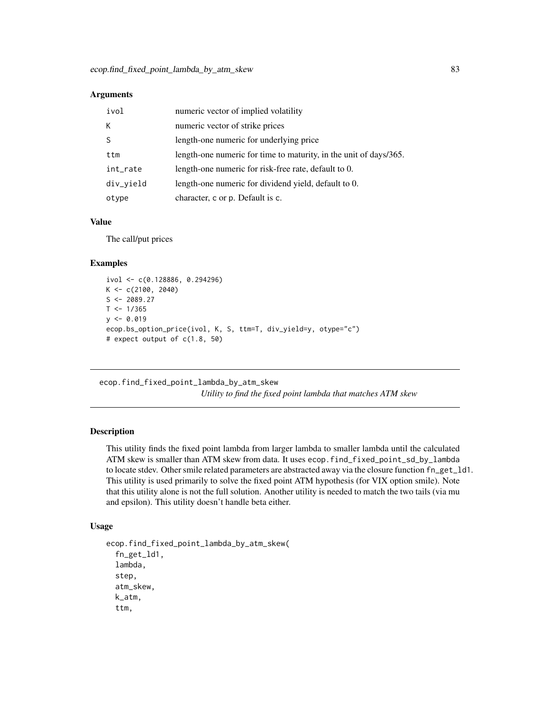| ivol      | numeric vector of implied volatility                              |
|-----------|-------------------------------------------------------------------|
| К         | numeric vector of strike prices                                   |
|           | length-one numeric for underlying price                           |
| ttm       | length-one numeric for time to maturity, in the unit of days/365. |
| int_rate  | length-one numeric for risk-free rate, default to 0.              |
| div_yield | length-one numeric for dividend yield, default to 0.              |
| otype     | character, c or p. Default is c.                                  |

## Value

The call/put prices

#### Examples

```
ivol <- c(0.128886, 0.294296)
K < -c(2100, 2040)S < -2089.27T < -1/365y \le -0.019ecop.bs_option_price(ivol, K, S, ttm=T, div_yield=y, otype="c")
# expect output of c(1.8, 50)
```
ecop.find\_fixed\_point\_lambda\_by\_atm\_skew *Utility to find the fixed point lambda that matches ATM skew*

#### Description

This utility finds the fixed point lambda from larger lambda to smaller lambda until the calculated ATM skew is smaller than ATM skew from data. It uses ecop.find\_fixed\_point\_sd\_by\_lambda to locate stdev. Other smile related parameters are abstracted away via the closure function fn\_get\_ld1. This utility is used primarily to solve the fixed point ATM hypothesis (for VIX option smile). Note that this utility alone is not the full solution. Another utility is needed to match the two tails (via mu and epsilon). This utility doesn't handle beta either.

```
ecop.find_fixed_point_lambda_by_atm_skew(
  fn_get_ld1,
  lambda,
  step,
  atm_skew,
  k_atm,
  ttm,
```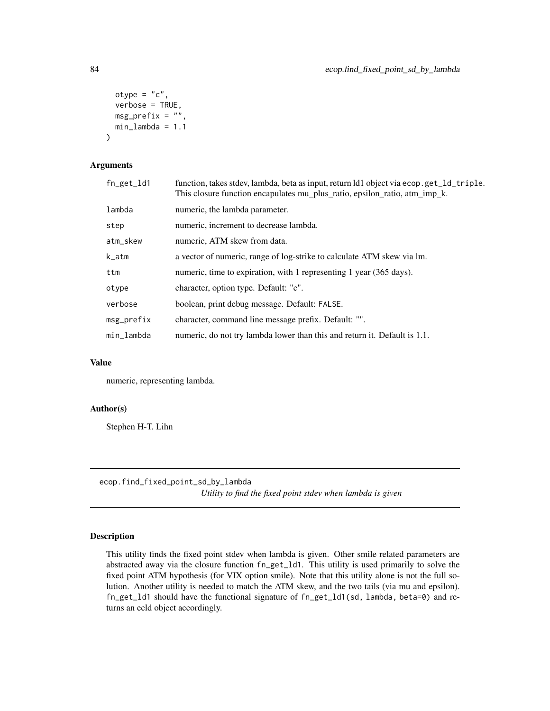```
otype = "c",verbose = TRUE,
 msg\_prefix = "",min_lambda = 1.1
)
```

| $fn\_get\_ld1$ | function, takes stdev, lambda, beta as input, return ld1 object via ecop.get_ld_triple.<br>This closure function encapulates mu_plus_ratio, epsilon_ratio, atm_imp_k. |
|----------------|-----------------------------------------------------------------------------------------------------------------------------------------------------------------------|
| lambda         | numeric, the lambda parameter.                                                                                                                                        |
| step           | numeric, increment to decrease lambda.                                                                                                                                |
| atm_skew       | numeric, ATM skew from data.                                                                                                                                          |
| k_atm          | a vector of numeric, range of log-strike to calculate ATM skew via lm.                                                                                                |
| ttm            | numeric, time to expiration, with 1 representing 1 year (365 days).                                                                                                   |
| otype          | character, option type. Default: "c".                                                                                                                                 |
| verbose        | boolean, print debug message. Default: FALSE.                                                                                                                         |
| $msg\_prefix$  | character, command line message prefix. Default: "".                                                                                                                  |
| min_lambda     | numeric, do not try lambda lower than this and return it. Default is 1.1.                                                                                             |

#### Value

numeric, representing lambda.

#### Author(s)

Stephen H-T. Lihn

ecop.find\_fixed\_point\_sd\_by\_lambda

*Utility to find the fixed point stdev when lambda is given*

# Description

This utility finds the fixed point stdev when lambda is given. Other smile related parameters are abstracted away via the closure function fn\_get\_ld1. This utility is used primarily to solve the fixed point ATM hypothesis (for VIX option smile). Note that this utility alone is not the full solution. Another utility is needed to match the ATM skew, and the two tails (via mu and epsilon). fn\_get\_ld1 should have the functional signature of fn\_get\_ld1(sd, lambda, beta=0) and returns an ecld object accordingly.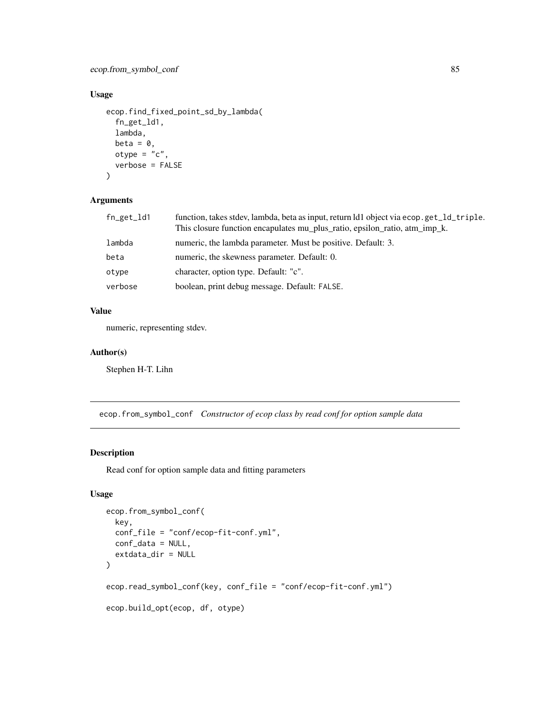ecop.from\_symbol\_conf 85

## Usage

```
ecop.find_fixed_point_sd_by_lambda(
  fn_get_ld1,
  lambda,
 beta = \theta,
 otype = "c".
  verbose = FALSE
)
```
# Arguments

| fn_get_ld1 | function, takes stdev, lambda, beta as input, return ld1 object via ecop.get_1d_triple.<br>This closure function encapulates mu_plus_ratio, epsilon_ratio, atm_imp_k. |
|------------|-----------------------------------------------------------------------------------------------------------------------------------------------------------------------|
| lambda     | numeric, the lambda parameter. Must be positive. Default: 3.                                                                                                          |
| beta       | numeric, the skewness parameter. Default: 0.                                                                                                                          |
| otype      | character, option type. Default: "c".                                                                                                                                 |
| verbose    | boolean, print debug message. Default: FALSE.                                                                                                                         |

## Value

numeric, representing stdev.

## Author(s)

Stephen H-T. Lihn

ecop.from\_symbol\_conf *Constructor of ecop class by read conf for option sample data*

#### Description

Read conf for option sample data and fitting parameters

```
ecop.from_symbol_conf(
  key,
  conf_file = "conf/ecop-fit-conf.yml",
 conf_data = NULL,
  extdata_dir = NULL
\mathcal{L}ecop.read_symbol_conf(key, conf_file = "conf/ecop-fit-conf.yml")
ecop.build_opt(ecop, df, otype)
```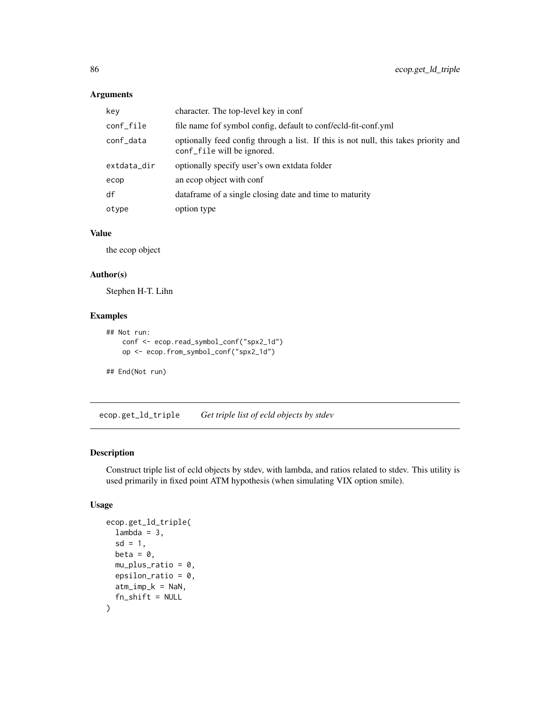| key         | character. The top-level key in conf                                                                              |
|-------------|-------------------------------------------------------------------------------------------------------------------|
| conf_file   | file name fof symbol config, default to conf/ecld-fit-conf.yml                                                    |
| conf_data   | optionally feed config through a list. If this is not null, this takes priority and<br>conf_file will be ignored. |
| extdata_dir | optionally specify user's own extdata folder                                                                      |
| ecop        | an ecop object with conf                                                                                          |
| df          | data frame of a single closing date and time to maturity                                                          |
| otype       | option type                                                                                                       |

# Value

the ecop object

#### Author(s)

Stephen H-T. Lihn

## Examples

```
## Not run:
   conf <- ecop.read_symbol_conf("spx2_1d")
   op <- ecop.from_symbol_conf("spx2_1d")
```
## End(Not run)

ecop.get\_ld\_triple *Get triple list of ecld objects by stdev*

# Description

Construct triple list of ecld objects by stdev, with lambda, and ratios related to stdev. This utility is used primarily in fixed point ATM hypothesis (when simulating VIX option smile).

```
ecop.get_ld_triple(
  lambda = 3,
  sd = 1,
  beta = \theta.
  mu_plus_ratio = 0,
  epsilon_ratio = 0,
  atm\_imp_k = NaN,
  fn\_shift = NULL\mathcal{E}
```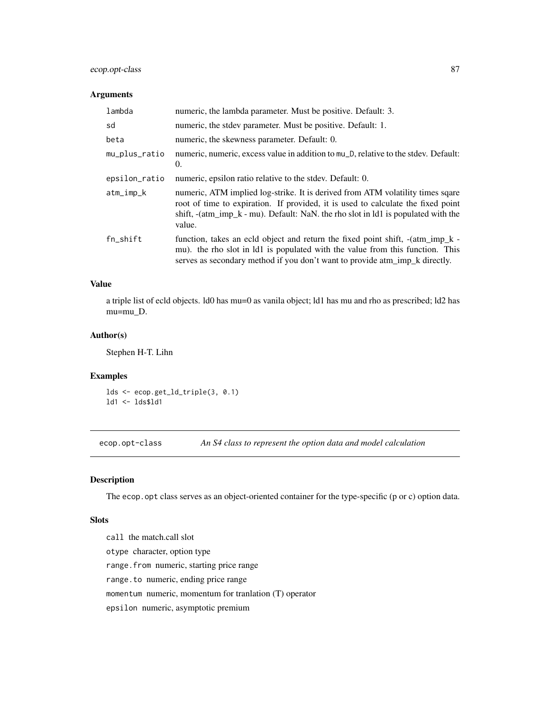## ecop.opt-class 87

## Arguments

| lambda        | numeric, the lambda parameter. Must be positive. Default: 3.                                                                                                                                                                                                          |
|---------------|-----------------------------------------------------------------------------------------------------------------------------------------------------------------------------------------------------------------------------------------------------------------------|
| sd            | numeric, the stdev parameter. Must be positive. Default: 1.                                                                                                                                                                                                           |
| beta          | numeric, the skewness parameter. Default: 0.                                                                                                                                                                                                                          |
| mu_plus_ratio | numeric, numeric, excess value in addition to mu_D, relative to the stdev. Default:<br>0.                                                                                                                                                                             |
| epsilon_ratio | numeric, epsilon ratio relative to the stdev. Default: 0.                                                                                                                                                                                                             |
| atm_imp_k     | numeric, ATM implied log-strike. It is derived from ATM volatility times sqare<br>root of time to expiration. If provided, it is used to calculate the fixed point<br>shift, $-(atm\_imp_k - mu)$ . Default: NaN, the rho slot in 1d1 is populated with the<br>value. |
| fn_shift      | function, takes an ecld object and return the fixed point shift, $-(atm\_imp_k -$<br>mu). the rho slot in 1d1 is populated with the value from this function. This<br>serves as secondary method if you don't want to provide atm_imp_k directly.                     |

#### Value

a triple list of ecld objects. ld0 has mu=0 as vanila object; ld1 has mu and rho as prescribed; ld2 has mu=mu\_D.

## Author(s)

Stephen H-T. Lihn

## Examples

lds <- ecop.get\_ld\_triple(3, 0.1) ld1 <- lds\$ld1

ecop.opt-class *An S4 class to represent the option data and model calculation*

# Description

The ecop.opt class serves as an object-oriented container for the type-specific (p or c) option data.

#### Slots

call the match.call slot otype character, option type range.from numeric, starting price range range.to numeric, ending price range momentum numeric, momentum for tranlation (T) operator epsilon numeric, asymptotic premium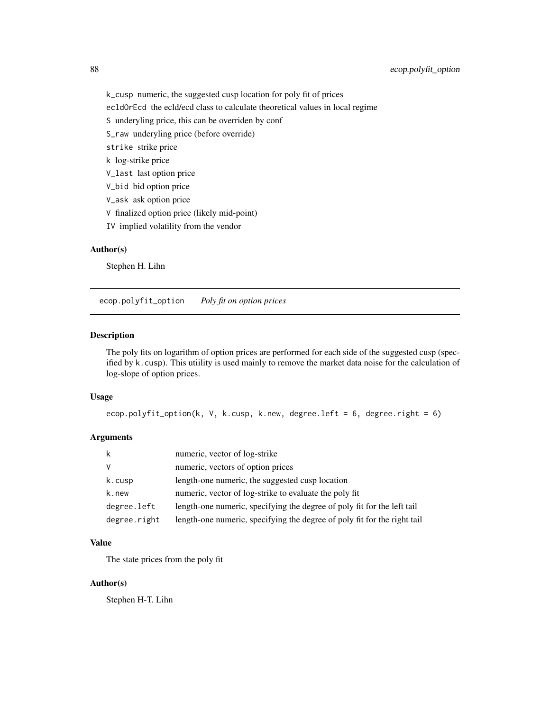k\_cusp numeric, the suggested cusp location for poly fit of prices

ecldOrEcd the ecld/ecd class to calculate theoretical values in local regime

- S underyling price, this can be overriden by conf
- S\_raw underyling price (before override)
- strike strike price
- k log-strike price
- V\_last last option price
- V\_bid bid option price
- V\_ask ask option price
- V finalized option price (likely mid-point)
- IV implied volatility from the vendor

#### Author(s)

Stephen H. Lihn

ecop.polyfit\_option *Poly fit on option prices*

#### Description

The poly fits on logarithm of option prices are performed for each side of the suggested cusp (specified by k.cusp). This utiility is used mainly to remove the market data noise for the calculation of log-slope of option prices.

#### Usage

```
ecop.polyfit_option(k, V, k.cusp, k.new, degree.left = 6, degree.right = 6)
```
## Arguments

| k            | numeric, vector of log-strike                                            |
|--------------|--------------------------------------------------------------------------|
| V            | numeric, vectors of option prices                                        |
| k.cusp       | length-one numeric, the suggested cusp location                          |
| k.new        | numeric, vector of log-strike to evaluate the poly fit                   |
| degree.left  | length-one numeric, specifying the degree of poly fit for the left tail  |
| degree.right | length-one numeric, specifying the degree of poly fit for the right tail |

#### Value

The state prices from the poly fit

## Author(s)

Stephen H-T. Lihn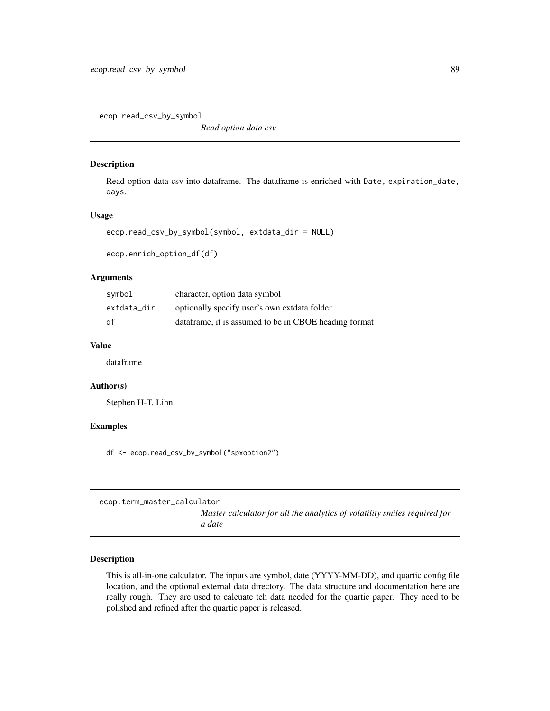ecop.read\_csv\_by\_symbol

*Read option data csv*

## Description

Read option data csv into dataframe. The dataframe is enriched with Date, expiration\_date, days.

#### Usage

```
ecop.read_csv_by_symbol(symbol, extdata_dir = NULL)
```
ecop.enrich\_option\_df(df)

#### Arguments

| symbol      | character, option data symbol                         |
|-------------|-------------------------------------------------------|
| extdata_dir | optionally specify user's own extdata folder          |
| df          | dataframe, it is assumed to be in CBOE heading format |

## Value

dataframe

## Author(s)

Stephen H-T. Lihn

#### Examples

df <- ecop.read\_csv\_by\_symbol("spxoption2")

ecop.term\_master\_calculator

*Master calculator for all the analytics of volatility smiles required for a date*

#### Description

This is all-in-one calculator. The inputs are symbol, date (YYYY-MM-DD), and quartic config file location, and the optional external data directory. The data structure and documentation here are really rough. They are used to calcuate teh data needed for the quartic paper. They need to be polished and refined after the quartic paper is released.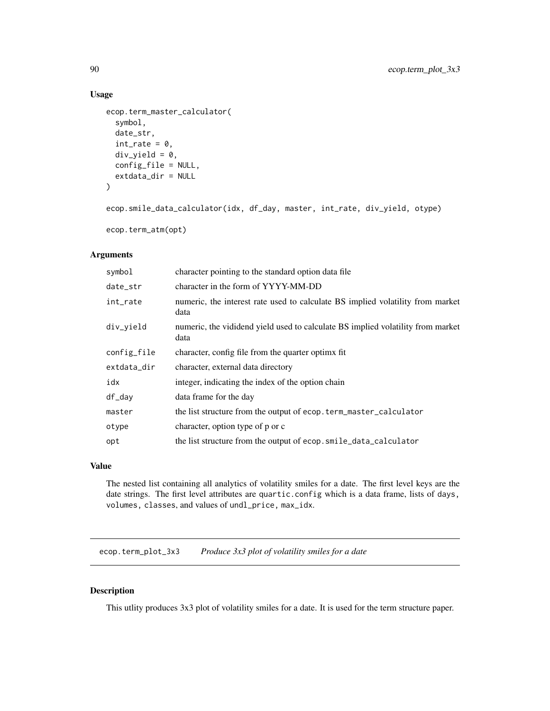# Usage

```
ecop.term_master_calculator(
  symbol,
  date_str,
  int_rate = 0,div\_yield = 0,
  config_file = NULL,
  extdata_dir = NULL
)
```

```
ecop.smile_data_calculator(idx, df_day, master, int_rate, div_yield, otype)
```

```
ecop.term_atm(opt)
```
## Arguments

| character pointing to the standard option data file                                     |
|-----------------------------------------------------------------------------------------|
| character in the form of YYYY-MM-DD                                                     |
| numeric, the interest rate used to calculate BS implied volatility from market<br>data  |
| numeric, the vididend yield used to calculate BS implied volatility from market<br>data |
| character, config file from the quarter optime fit.                                     |
| character, external data directory                                                      |
| integer, indicating the index of the option chain                                       |
| data frame for the day                                                                  |
| the list structure from the output of ecop. term_master_calculator                      |
| character, option type of p or c                                                        |
| the list structure from the output of ecop.smile_data_calculator                        |
|                                                                                         |

#### Value

The nested list containing all analytics of volatility smiles for a date. The first level keys are the date strings. The first level attributes are quartic.config which is a data frame, lists of days, volumes, classes, and values of undl\_price, max\_idx.

ecop.term\_plot\_3x3 *Produce 3x3 plot of volatility smiles for a date*

# Description

This utlity produces 3x3 plot of volatility smiles for a date. It is used for the term structure paper.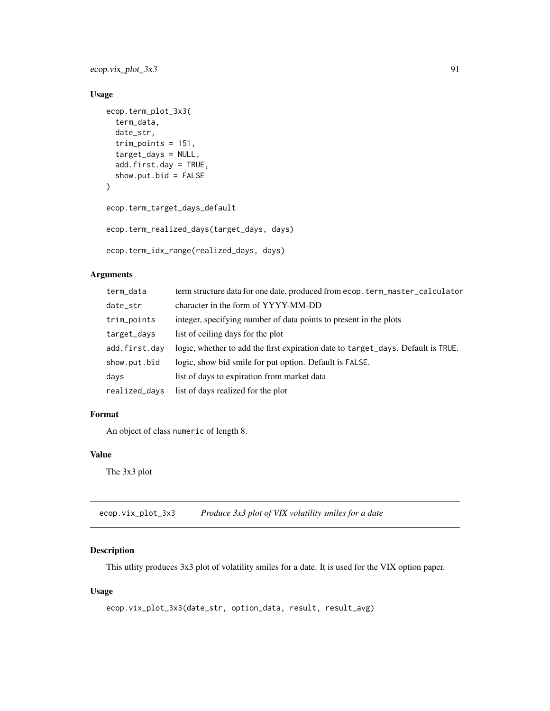ecop.vix\_plot\_3x3 91

## Usage

```
ecop.term_plot_3x3(
 term_data,
 date_str,
 trim_points = 151,
  target_days = NULL,
 add.first.day = TRUE,
 show.put.bid = FALSE)
ecop.term_target_days_default
ecop.term_realized_days(target_days, days)
```
ecop.term\_idx\_range(realized\_days, days)

#### Arguments

| term_data     | term structure data for one date, produced from ecop. term_master_calculator     |
|---------------|----------------------------------------------------------------------------------|
| date_str      | character in the form of YYYY-MM-DD                                              |
| trim_points   | integer, specifying number of data points to present in the plots                |
| target_days   | list of ceiling days for the plot                                                |
| add.first.day | logic, whether to add the first expiration date to target_days. Default is TRUE. |
| show.put.bid  | logic, show bid smile for put option. Default is FALSE.                          |
| days          | list of days to expiration from market data                                      |
| realized_days | list of days realized for the plot                                               |

## Format

An object of class numeric of length 8.

## Value

The 3x3 plot

ecop.vix\_plot\_3x3 *Produce 3x3 plot of VIX volatility smiles for a date*

## Description

This utlity produces 3x3 plot of volatility smiles for a date. It is used for the VIX option paper.

```
ecop.vix_plot_3x3(date_str, option_data, result, result_avg)
```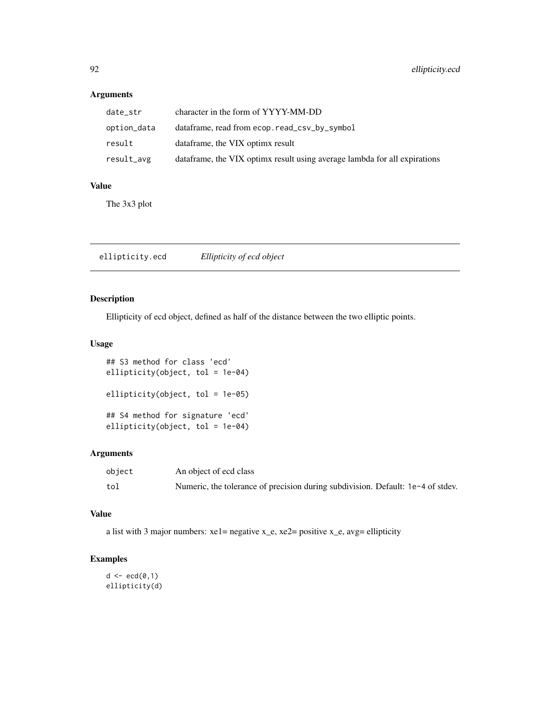| date str    | character in the form of YYYY-MM-DD                                       |
|-------------|---------------------------------------------------------------------------|
| option_data | dataframe, read from ecop. read_csv_by_symbol                             |
| result      | dataframe, the VIX optimx result                                          |
| result_avg  | dataframe, the VIX optimx result using average lambda for all expirations |

## Value

The 3x3 plot

ellipticity.ecd *Ellipticity of ecd object*

# Description

Ellipticity of ecd object, defined as half of the distance between the two elliptic points.

## Usage

## S3 method for class 'ecd' ellipticity(object, tol = 1e-04) ellipticity(object, tol = 1e-05) ## S4 method for signature 'ecd' ellipticity(object, tol = 1e-04)

## Arguments

| object | An object of ecd class                                                          |
|--------|---------------------------------------------------------------------------------|
| tol    | Numeric, the tolerance of precision during subdivision. Default: 1e-4 of stdev. |

# Value

a list with 3 major numbers: xe1= negative x\_e, xe2= positive x\_e, avg= ellipticity

# Examples

 $d \leftarrow \text{ecd}(0,1)$ ellipticity(d)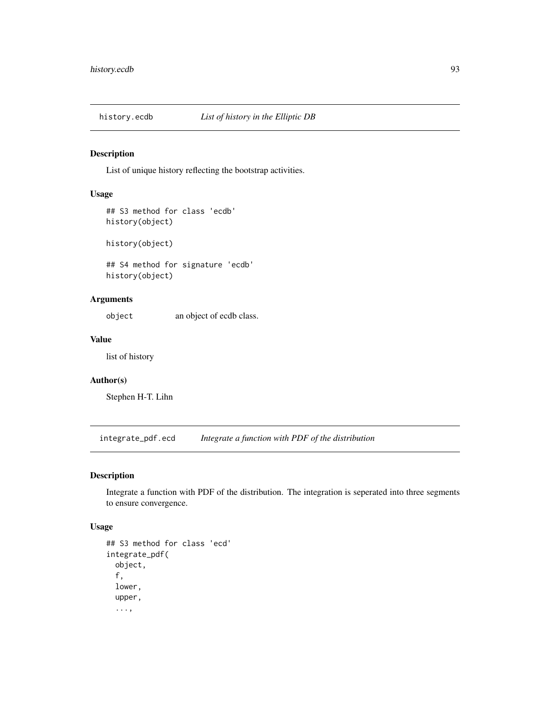## Description

List of unique history reflecting the bootstrap activities.

#### Usage

```
## S3 method for class 'ecdb'
history(object)
```
history(object)

## S4 method for signature 'ecdb' history(object)

# Arguments

object an object of ecdb class.

## Value

list of history

# Author(s)

Stephen H-T. Lihn

integrate\_pdf.ecd *Integrate a function with PDF of the distribution*

## Description

Integrate a function with PDF of the distribution. The integration is seperated into three segments to ensure convergence.

```
## S3 method for class 'ecd'
integrate_pdf(
 object,
  f,
 lower,
  upper,
  ...,
```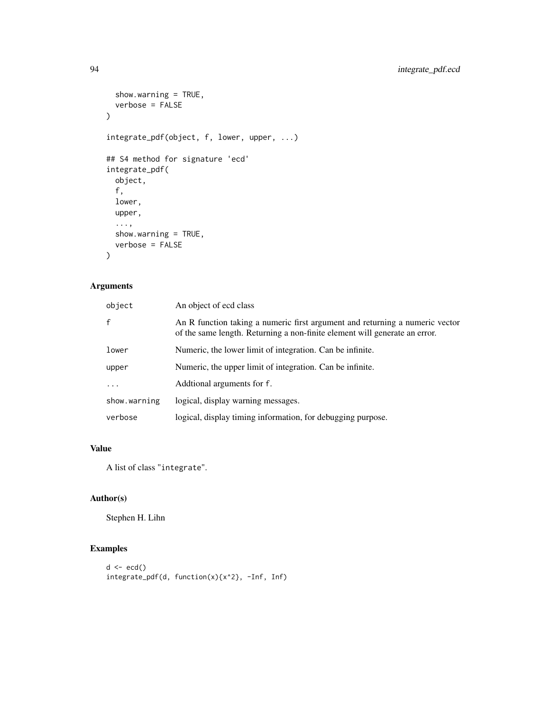```
show.warning = TRUE,
 verbose = FALSE
\lambdaintegrate_pdf(object, f, lower, upper, ...)
## S4 method for signature 'ecd'
integrate_pdf(
 object,
 f,
 lower,
 upper,
  ...,
 show.warning = TRUE,
 verbose = FALSE
)
```

| object       | An object of ecd class                                                                                                                                     |
|--------------|------------------------------------------------------------------------------------------------------------------------------------------------------------|
| f            | An R function taking a numeric first argument and returning a numeric vector<br>of the same length. Returning a non-finite element will generate an error. |
| lower        | Numeric, the lower limit of integration. Can be infinite.                                                                                                  |
| upper        | Numeric, the upper limit of integration. Can be infinite.                                                                                                  |
| $\ddots$     | Additional arguments for f.                                                                                                                                |
| show.warning | logical, display warning messages.                                                                                                                         |
| verbose      | logical, display timing information, for debugging purpose.                                                                                                |

## Value

A list of class "integrate".

# Author(s)

Stephen H. Lihn

# Examples

```
d \leftarrow \text{ecd}()integrate_pdf(d, function(x){x^2}, -Inf, Inf)
```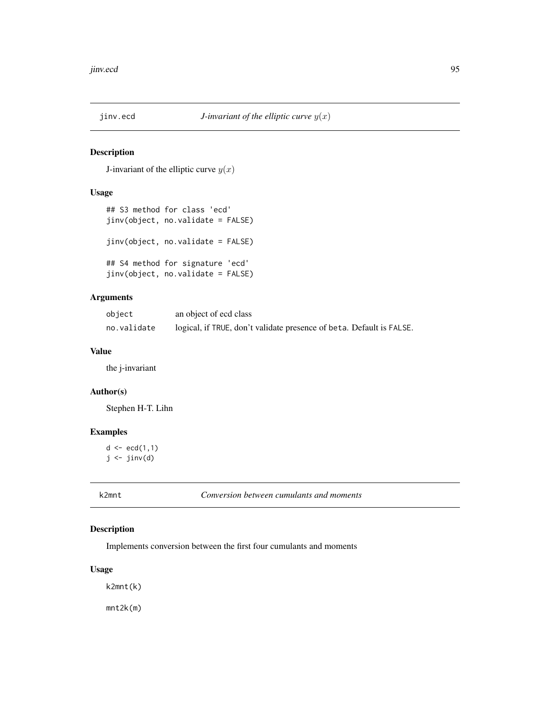## Description

J-invariant of the elliptic curve  $y(x)$ 

# Usage

```
## S3 method for class 'ecd'
jinv(object, no.validate = FALSE)
jinv(object, no.validate = FALSE)
## S4 method for signature 'ecd'
jinv(object, no.validate = FALSE)
```
# Arguments

| object      | an object of ecd class                                               |
|-------------|----------------------------------------------------------------------|
| no.validate | logical, if TRUE, don't validate presence of beta. Default is FALSE. |

## Value

the j-invariant

#### Author(s)

Stephen H-T. Lihn

# Examples

 $d \leq -ecd(1,1)$  $j \leftarrow j$ inv $(d)$ 

k2mnt *Conversion between cumulants and moments*

## Description

Implements conversion between the first four cumulants and moments

## Usage

k2mnt(k)

mnt2k(m)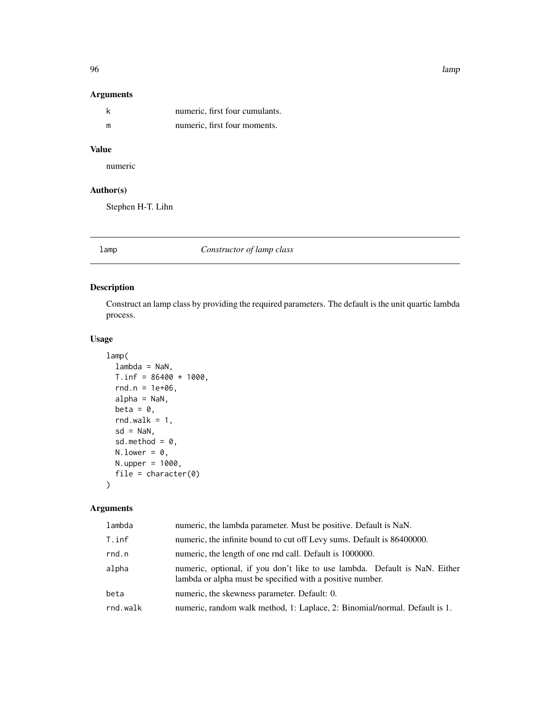96 lamp

# Arguments

|   | numeric, first four cumulants. |
|---|--------------------------------|
| m | numeric, first four moments.   |

# Value

numeric

# Author(s)

Stephen H-T. Lihn

# lamp *Constructor of lamp class*

## Description

Construct an lamp class by providing the required parameters. The default is the unit quartic lambda process.

## Usage

```
lamp(
  lambda = NaN,
  T.inf = 86400 * 1000,rnd.n = 1e+06,
  alpha = NaN,
  beta = \theta,
  rnd.walk = 1,
  sd = NaN,
  sd.method = 0,N. lower = \theta,
  N.upper = 1000,
  file = character(0)
\mathcal{E}
```
# Arguments

| lambda   | numeric, the lambda parameter. Must be positive. Default is NaN.                                                                        |
|----------|-----------------------------------------------------------------------------------------------------------------------------------------|
| T.inf    | numeric, the infinite bound to cut off Levy sums. Default is 86400000.                                                                  |
| rnd.n    | numeric, the length of one rnd call. Default is 1000000.                                                                                |
| alpha    | numeric, optional, if you don't like to use lambda. Default is NaN. Either<br>lambda or alpha must be specified with a positive number. |
| beta     | numeric, the skewness parameter. Default: 0.                                                                                            |
| rnd.walk | numeric, random walk method, 1: Laplace, 2: Binomial/normal. Default is 1.                                                              |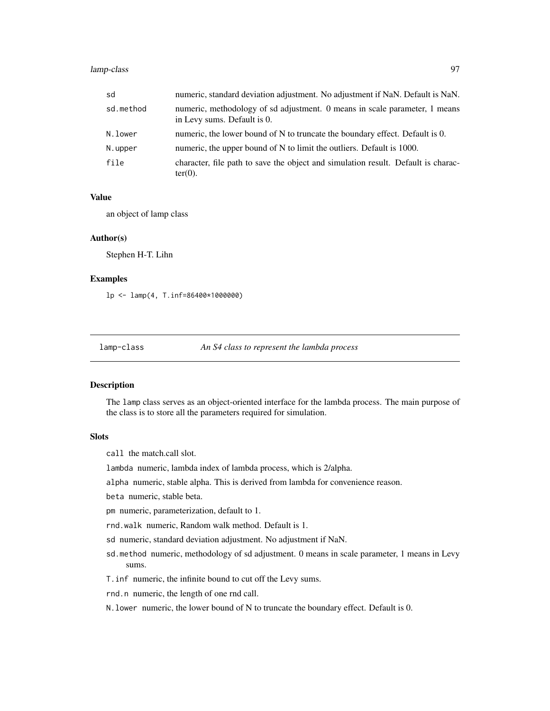## lamp-class 97

| sd        | numeric, standard deviation adjustment. No adjustment if NaN. Default is NaN.                             |
|-----------|-----------------------------------------------------------------------------------------------------------|
| sd.method | numeric, methodology of sd adjustment. 0 means in scale parameter, 1 means<br>in Levy sums. Default is 0. |
| N.lower   | numeric, the lower bound of N to truncate the boundary effect. Default is 0.                              |
| N.upper   | numeric, the upper bound of N to limit the outliers. Default is 1000.                                     |
| file      | character, file path to save the object and simulation result. Default is charac-<br>$ter(0)$ .           |

#### Value

an object of lamp class

#### Author(s)

Stephen H-T. Lihn

#### Examples

lp <- lamp(4, T.inf=86400\*1000000)

lamp-class *An S4 class to represent the lambda process*

#### Description

The lamp class serves as an object-oriented interface for the lambda process. The main purpose of the class is to store all the parameters required for simulation.

### **Slots**

call the match.call slot.

lambda numeric, lambda index of lambda process, which is 2/alpha.

alpha numeric, stable alpha. This is derived from lambda for convenience reason.

beta numeric, stable beta.

pm numeric, parameterization, default to 1.

rnd.walk numeric, Random walk method. Default is 1.

sd numeric, standard deviation adjustment. No adjustment if NaN.

sd.method numeric, methodology of sd adjustment. 0 means in scale parameter, 1 means in Levy sums.

T.inf numeric, the infinite bound to cut off the Levy sums.

rnd.n numeric, the length of one rnd call.

N.lower numeric, the lower bound of N to truncate the boundary effect. Default is 0.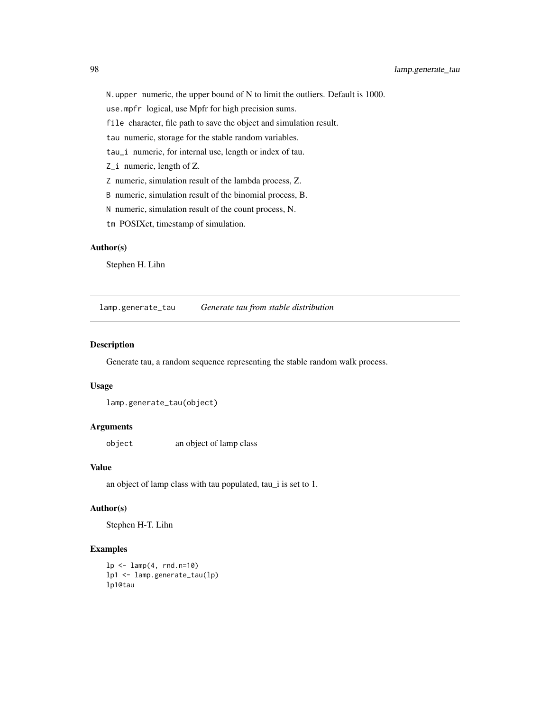N.upper numeric, the upper bound of N to limit the outliers. Default is 1000.

use.mpfr logical, use Mpfr for high precision sums.

file character, file path to save the object and simulation result.

tau numeric, storage for the stable random variables.

tau\_i numeric, for internal use, length or index of tau.

Z\_i numeric, length of Z.

Z numeric, simulation result of the lambda process, Z.

B numeric, simulation result of the binomial process, B.

N numeric, simulation result of the count process, N.

tm POSIXct, timestamp of simulation.

#### Author(s)

Stephen H. Lihn

lamp.generate\_tau *Generate tau from stable distribution*

## Description

Generate tau, a random sequence representing the stable random walk process.

## Usage

lamp.generate\_tau(object)

#### Arguments

object an object of lamp class

#### Value

an object of lamp class with tau populated, tau\_i is set to 1.

## Author(s)

Stephen H-T. Lihn

#### Examples

```
lp \leftarrow lamp(4, rnd.n=10)lp1 <- lamp.generate_tau(lp)
lp1@tau
```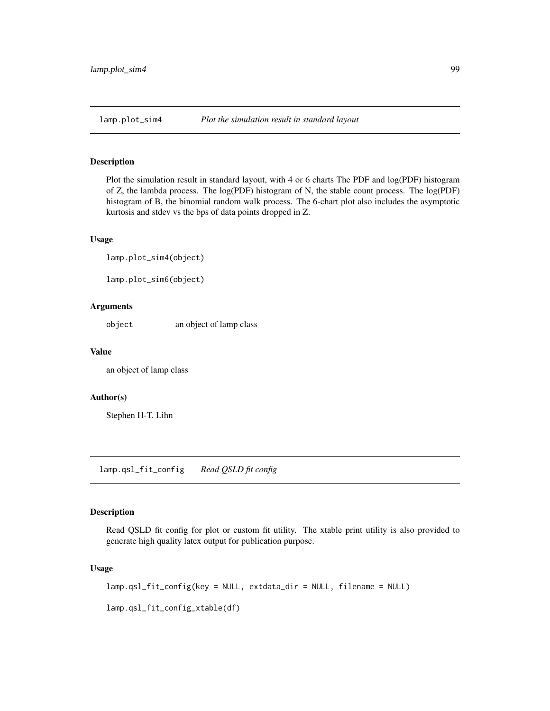## Description

Plot the simulation result in standard layout, with 4 or 6 charts The PDF and log(PDF) histogram of Z, the lambda process. The log(PDF) histogram of N, the stable count process. The log(PDF) histogram of B, the binomial random walk process. The 6-chart plot also includes the asymptotic kurtosis and stdev vs the bps of data points dropped in Z.

#### Usage

lamp.plot\_sim4(object)

lamp.plot\_sim6(object)

## Arguments

object an object of lamp class

#### Value

an object of lamp class

#### Author(s)

Stephen H-T. Lihn

lamp.qsl\_fit\_config *Read QSLD fit config*

#### Description

Read QSLD fit config for plot or custom fit utility. The xtable print utility is also provided to generate high quality latex output for publication purpose.

#### Usage

lamp.qsl\_fit\_config(key = NULL, extdata\_dir = NULL, filename = NULL)

lamp.qsl\_fit\_config\_xtable(df)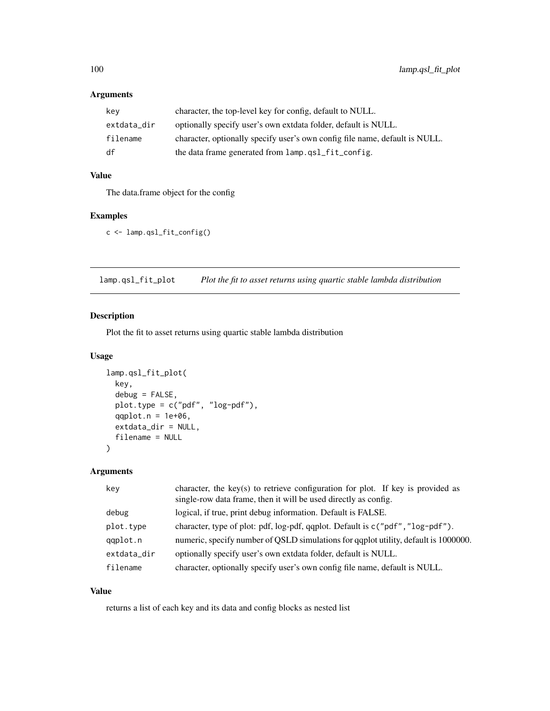| key         | character, the top-level key for config, default to NULL.                   |
|-------------|-----------------------------------------------------------------------------|
| extdata_dir | optionally specify user's own extdata folder, default is NULL.              |
| filename    | character, optionally specify user's own config file name, default is NULL. |
| df          | the data frame generated from lamp.gsl_fit_config.                          |

# Value

The data.frame object for the config

## Examples

c <- lamp.qsl\_fit\_config()

lamp.qsl\_fit\_plot *Plot the fit to asset returns using quartic stable lambda distribution*

## Description

Plot the fit to asset returns using quartic stable lambda distribution

## Usage

```
lamp.qsl_fit_plot(
 key,
  debug = FALSE,
 plot.type = c("pdf", "log-pdf"),
  qqplot.n = 1e+06,
  extdata_dir = NULL,
  filename = NULL
\mathcal{L}
```
## Arguments

| key         | character, the key(s) to retrieve configuration for plot. If key is provided as<br>single-row data frame, then it will be used directly as config. |
|-------------|----------------------------------------------------------------------------------------------------------------------------------------------------|
| debug       | logical, if true, print debug information. Default is FALSE.                                                                                       |
| plot.type   | character, type of plot: pdf, log-pdf, qqplot. Default is c("pdf", "log-pdf").                                                                     |
| qqplot.n    | numeric, specify number of QSLD simulations for qqplot utility, default is 1000000.                                                                |
| extdata_dir | optionally specify user's own extdata folder, default is NULL.                                                                                     |
| filename    | character, optionally specify user's own config file name, default is NULL.                                                                        |

## Value

returns a list of each key and its data and config blocks as nested list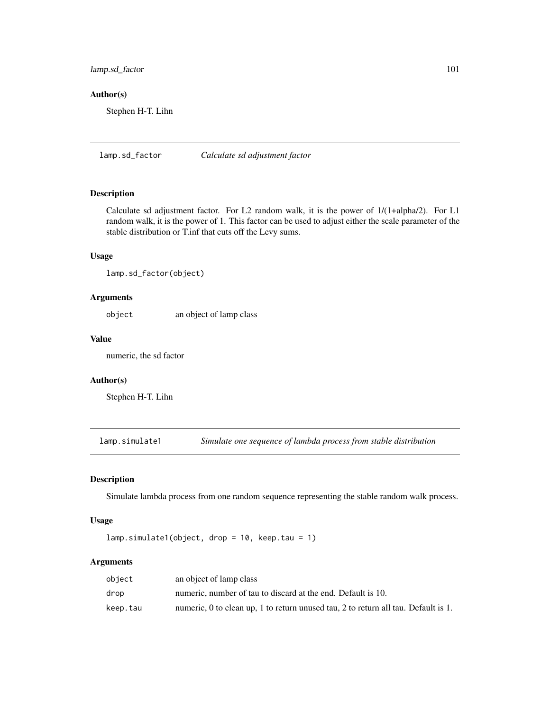## lamp.sd\_factor 101

## Author(s)

Stephen H-T. Lihn

lamp.sd\_factor *Calculate sd adjustment factor*

## Description

Calculate sd adjustment factor. For L2 random walk, it is the power of 1/(1+alpha/2). For L1 random walk, it is the power of 1. This factor can be used to adjust either the scale parameter of the stable distribution or T.inf that cuts off the Levy sums.

## Usage

lamp.sd\_factor(object)

## Arguments

object an object of lamp class

#### Value

numeric, the sd factor

## Author(s)

Stephen H-T. Lihn

lamp.simulate1 *Simulate one sequence of lambda process from stable distribution*

# Description

Simulate lambda process from one random sequence representing the stable random walk process.

#### Usage

lamp.simulate1(object, drop = 10, keep.tau = 1)

## Arguments

| object   | an object of lamp class                                                            |
|----------|------------------------------------------------------------------------------------|
| drop     | numeric, number of tau to discard at the end. Default is 10.                       |
| keep.tau | numeric, 0 to clean up, 1 to return unused tau, 2 to return all tau. Default is 1. |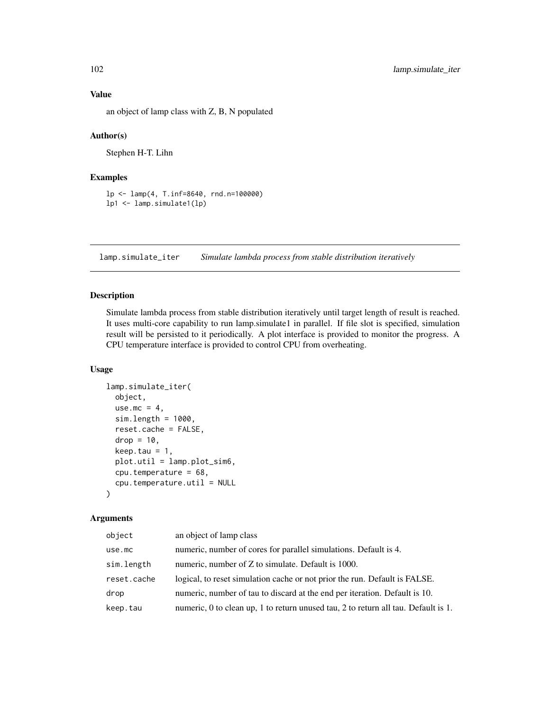an object of lamp class with Z, B, N populated

#### Author(s)

Stephen H-T. Lihn

## Examples

```
lp <- lamp(4, T.inf=8640, rnd.n=100000)
lp1 <- lamp.simulate1(lp)
```
lamp.simulate\_iter *Simulate lambda process from stable distribution iteratively*

## Description

Simulate lambda process from stable distribution iteratively until target length of result is reached. It uses multi-core capability to run lamp.simulate1 in parallel. If file slot is specified, simulation result will be persisted to it periodically. A plot interface is provided to monitor the progress. A CPU temperature interface is provided to control CPU from overheating.

#### Usage

```
lamp.simulate_iter(
 object,
 use.mc = 4,
  sim.length = 1000,reset.cache = FALSE,
  drop = 10,keep.tau = 1,
 plot.util = lamp.plot_sim6,
 cpu.temperature = 68,
  cpu.temperature.util = NULL)
```
# Arguments

| object      | an object of lamp class                                                            |
|-------------|------------------------------------------------------------------------------------|
| use.mc      | numeric, number of cores for parallel simulations. Default is 4.                   |
| sim.length  | numeric, number of Z to simulate. Default is 1000.                                 |
| reset.cache | logical, to reset simulation cache or not prior the run. Default is FALSE.         |
| drop        | numeric, number of tau to discard at the end per iteration. Default is 10.         |
| keep.tau    | numeric, 0 to clean up, 1 to return unused tau, 2 to return all tau. Default is 1. |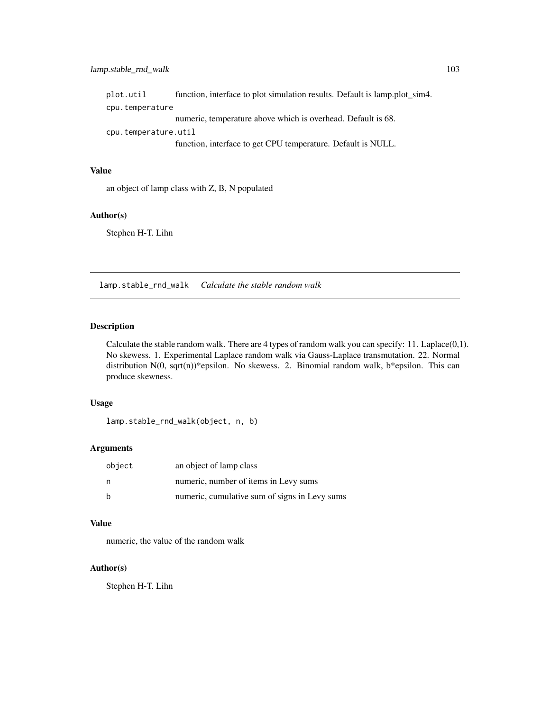## lamp.stable\_rnd\_walk 103

plot.util function, interface to plot simulation results. Default is lamp.plot\_sim4. cpu.temperature numeric, temperature above which is overhead. Default is 68. cpu.temperature.util function, interface to get CPU temperature. Default is NULL.

#### Value

an object of lamp class with Z, B, N populated

#### Author(s)

Stephen H-T. Lihn

lamp.stable\_rnd\_walk *Calculate the stable random walk*

## Description

Calculate the stable random walk. There are 4 types of random walk you can specify: 11. Laplace(0,1). No skewess. 1. Experimental Laplace random walk via Gauss-Laplace transmutation. 22. Normal distribution  $N(0, \text{sqrt}(n))^*$ epsilon. No skewess. 2. Binomial random walk, b\*epsilon. This can produce skewness.

## Usage

```
lamp.stable_rnd_walk(object, n, b)
```
#### Arguments

| object | an object of lamp class                       |
|--------|-----------------------------------------------|
|        | numeric, number of items in Levy sums         |
|        | numeric, cumulative sum of signs in Levy sums |

#### Value

numeric, the value of the random walk

#### Author(s)

Stephen H-T. Lihn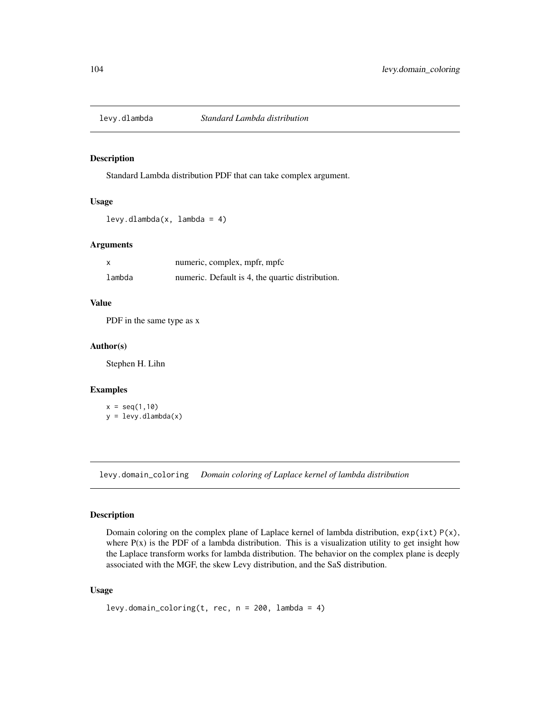## Description

Standard Lambda distribution PDF that can take complex argument.

## Usage

levy.dlambda(x, lambda = 4)

## Arguments

| x      | numeric, complex, mpfr, mpfc                     |
|--------|--------------------------------------------------|
| lambda | numeric. Default is 4, the quartic distribution. |

#### Value

PDF in the same type as x

#### Author(s)

Stephen H. Lihn

## Examples

 $x = seq(1, 10)$  $y = \text{levy}.d\text{lambda}(x)$ 

levy.domain\_coloring *Domain coloring of Laplace kernel of lambda distribution*

## Description

Domain coloring on the complex plane of Laplace kernel of lambda distribution,  $exp(ixt) P(x)$ , where  $P(x)$  is the PDF of a lambda distribution. This is a visualization utility to get insight how the Laplace transform works for lambda distribution. The behavior on the complex plane is deeply associated with the MGF, the skew Levy distribution, and the SaS distribution.

```
levy.domain_coloring(t, rec, n = 200, lambda = 4)
```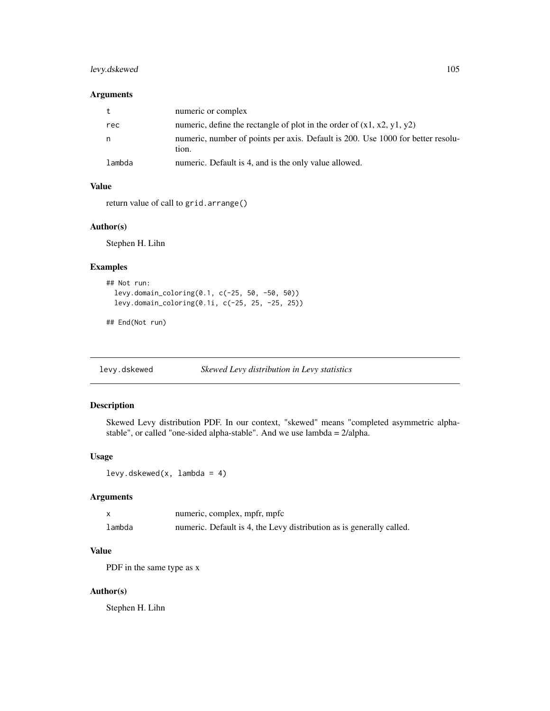## levy.dskewed 105

#### Arguments

|        | numeric or complex                                                              |
|--------|---------------------------------------------------------------------------------|
| rec    | numeric, define the rectangle of plot in the order of $(x1, x2, y1, y2)$        |
| n.     | numeric, number of points per axis. Default is 200. Use 1000 for better resolu- |
|        | tion.                                                                           |
| lambda | numeric. Default is 4, and is the only value allowed.                           |

## Value

return value of call to grid.arrange()

#### Author(s)

Stephen H. Lihn

#### Examples

```
## Not run:
 levy.domain_coloring(0.1, c(-25, 50, -50, 50))
 levy.domain_coloring(0.1i, c(-25, 25, -25, 25))
```
## End(Not run)

levy.dskewed *Skewed Levy distribution in Levy statistics*

## Description

Skewed Levy distribution PDF. In our context, "skewed" means "completed asymmetric alphastable", or called "one-sided alpha-stable". And we use lambda = 2/alpha.

## Usage

levy.dskewed(x, lambda = 4)

# Arguments

|        | numeric, complex, mpfr, mpfc                                         |
|--------|----------------------------------------------------------------------|
| lambda | numeric. Default is 4, the Levy distribution as is generally called. |

## Value

PDF in the same type as x

# Author(s)

Stephen H. Lihn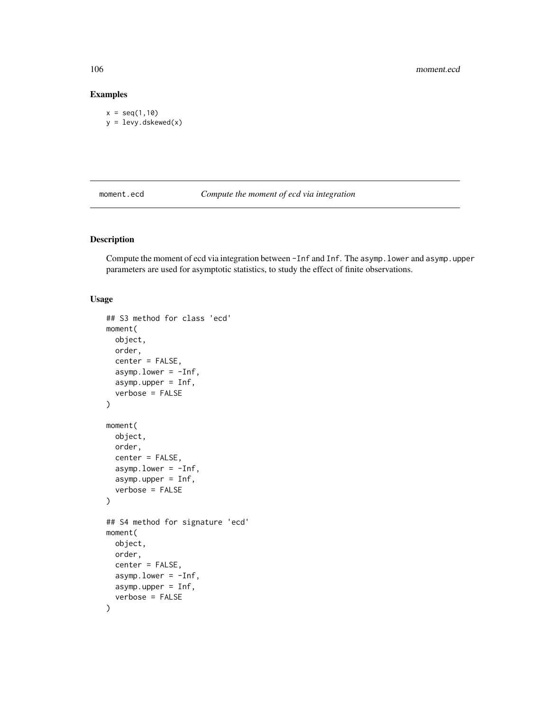## Examples

```
x = seq(1, 10)y = levy.dskewed(x)
```
moment.ecd *Compute the moment of ecd via integration*

## Description

Compute the moment of ecd via integration between -Inf and Inf. The asymp. lower and asymp. upper parameters are used for asymptotic statistics, to study the effect of finite observations.

```
## S3 method for class 'ecd'
moment(
 object,
 order,
  center = FALSE,
  asymp.lower = -Inf,
  asymp.upper = Inf,
  verbose = FALSE
)
moment(
 object,
 order,
  center = FALSE,
  asymp.lower = -Inf,
  asymp.upper = Inf,
  verbose = FALSE
)
## S4 method for signature 'ecd'
moment(
 object,
  order,
  center = FALSE,
  asymp.lower = -Inf,
  asymp.upper = Inf,
  verbose = FALSE
\mathcal{E}
```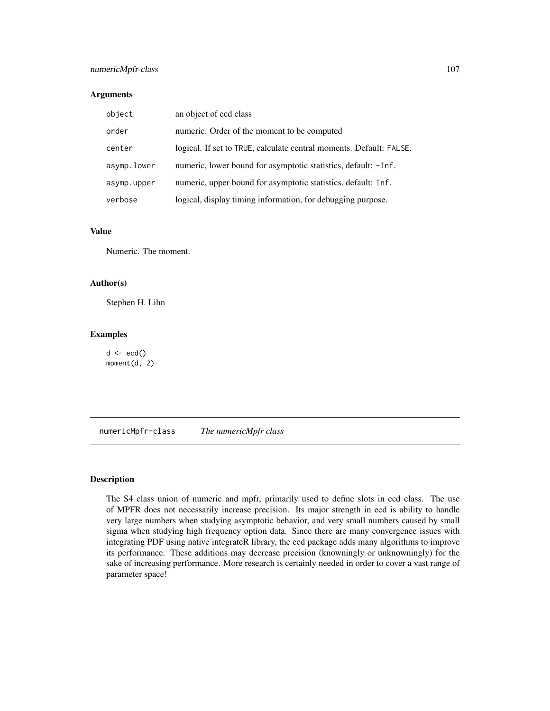## numericMpfr-class 107

## Arguments

| object      | an object of ecd class                                              |
|-------------|---------------------------------------------------------------------|
| order       | numeric. Order of the moment to be computed                         |
| center      | logical. If set to TRUE, calculate central moments. Default: FALSE. |
| asymp.lower | numeric, lower bound for asymptotic statistics, default: -Inf.      |
| asymp.upper | numeric, upper bound for asymptotic statistics, default: Inf.       |
| verbose     | logical, display timing information, for debugging purpose.         |

### Value

Numeric. The moment.

## Author(s)

Stephen H. Lihn

#### Examples

 $d \leq -\text{ecd}(\cdot)$ moment(d, 2)

numericMpfr-class *The numericMpfr class*

# Description

The S4 class union of numeric and mpfr, primarily used to define slots in ecd class. The use of MPFR does not necessarily increase precision. Its major strength in ecd is ability to handle very large numbers when studying asymptotic behavior, and very small numbers caused by small sigma when studying high frequency option data. Since there are many convergence issues with integrating PDF using native integrateR library, the ecd package adds many algorithms to improve its performance. These additions may decrease precision (knowningly or unknowningly) for the sake of increasing performance. More research is certainly needed in order to cover a vast range of parameter space!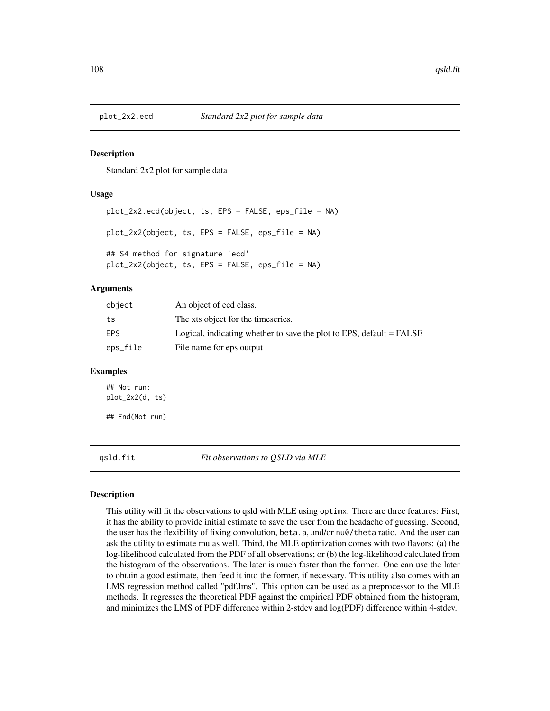#### Description

Standard 2x2 plot for sample data

#### Usage

```
plot_2x2.ecd(object, ts, EPS = FALSE, eps_file = NA)
plot_2x2(object, ts, EPS = FALSE, eps_file = NA)
## S4 method for signature 'ecd'
plot_2x2(object, ts, EPS = FALSE, eps_file = NA)
```
#### Arguments

| object     | An object of ecd class.                                              |
|------------|----------------------------------------------------------------------|
| ts         | The xts object for the timeseries.                                   |
| <b>EPS</b> | Logical, indicating whether to save the plot to EPS, default = FALSE |
| eps_file   | File name for eps output                                             |

#### Examples

## Not run: plot\_2x2(d, ts) ## End(Not run)

qsld.fit *Fit observations to QSLD via MLE*

#### Description

This utility will fit the observations to qsld with MLE using optimx. There are three features: First, it has the ability to provide initial estimate to save the user from the headache of guessing. Second, the user has the flexibility of fixing convolution, beta.a, and/or nu0/theta ratio. And the user can ask the utility to estimate mu as well. Third, the MLE optimization comes with two flavors: (a) the log-likelihood calculated from the PDF of all observations; or (b) the log-likelihood calculated from the histogram of the observations. The later is much faster than the former. One can use the later to obtain a good estimate, then feed it into the former, if necessary. This utility also comes with an LMS regression method called "pdf.lms". This option can be used as a preprocessor to the MLE methods. It regresses the theoretical PDF against the empirical PDF obtained from the histogram, and minimizes the LMS of PDF difference within 2-stdev and log(PDF) difference within 4-stdev.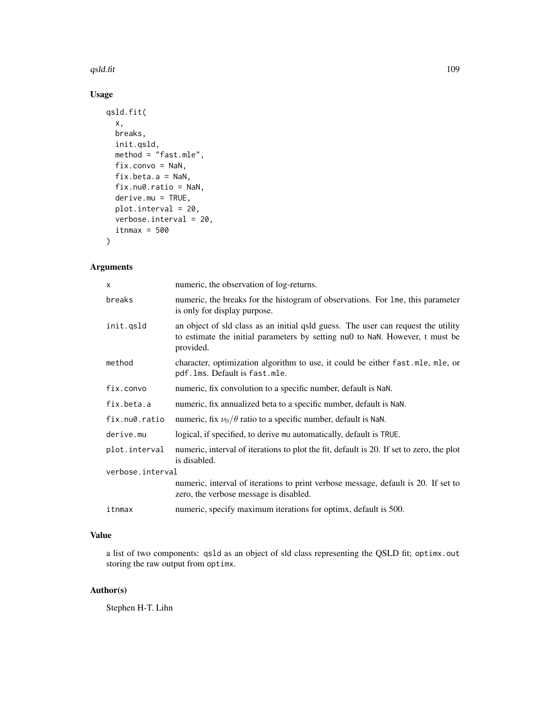#### qsld.fit the contract of the contract of the contract of the contract of the contract of the contract of the contract of the contract of the contract of the contract of the contract of the contract of the contract of the c

# Usage

```
qsld.fit(
  x,
 breaks,
 init.qsld,
 method = "fast.mle",
 fix.convo = NaN,
 fix.beta.a = NaN,
  fix.nu0.ratio = NaN,
 derive.mu = TRUE,
 plot.interval = 20,
 verbose.interval = 20,
  itmax = 500\mathcal{L}
```
# Arguments

| numeric, the observation of log-returns.                                                                                                                                       |  |  |
|--------------------------------------------------------------------------------------------------------------------------------------------------------------------------------|--|--|
| numeric, the breaks for the histogram of observations. For lme, this parameter<br>is only for display purpose.                                                                 |  |  |
| an object of sld class as an initial qsld guess. The user can request the utility<br>to estimate the initial parameters by setting nu0 to NaN. However, t must be<br>provided. |  |  |
| character, optimization algorithm to use, it could be either fast.mle, mle, or<br>pdf.lms. Default is fast.mle.                                                                |  |  |
| numeric, fix convolution to a specific number, default is NaN.                                                                                                                 |  |  |
| numeric, fix annualized beta to a specific number, default is NaN.                                                                                                             |  |  |
| numeric, fix $\nu_0/\theta$ ratio to a specific number, default is NaN.                                                                                                        |  |  |
| logical, if specified, to derive mu automatically, default is TRUE.                                                                                                            |  |  |
| numeric, interval of iterations to plot the fit, default is 20. If set to zero, the plot<br>is disabled.                                                                       |  |  |
| verbose.interval                                                                                                                                                               |  |  |
| numeric, interval of iterations to print verbose message, default is 20. If set to<br>zero, the verbose message is disabled.                                                   |  |  |
| numeric, specify maximum iterations for optimx, default is 500.                                                                                                                |  |  |
|                                                                                                                                                                                |  |  |

#### Value

a list of two components: qsld as an object of sld class representing the QSLD fit; optimx.out storing the raw output from optimx.

### Author(s)

Stephen H-T. Lihn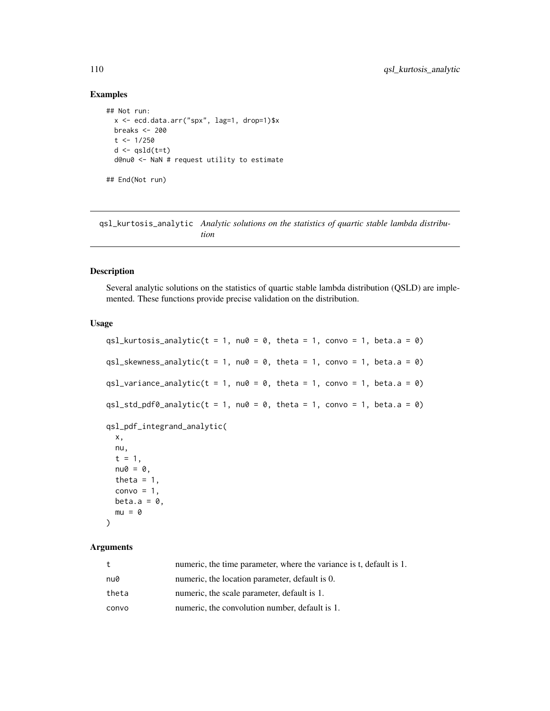### Examples

```
## Not run:
 x <- ecd.data.arr("spx", lag=1, drop=1)$x
 breaks <- 200
 t < -1/250d \leftarrow qsld(t=t)d@nu0 <- NaN # request utility to estimate
## End(Not run)
```
qsl\_kurtosis\_analytic *Analytic solutions on the statistics of quartic stable lambda distribution*

#### Description

Several analytic solutions on the statistics of quartic stable lambda distribution (QSLD) are implemented. These functions provide precise validation on the distribution.

#### Usage

```
qsl_kurtosis_analytic(t = 1, nu0 = 0, theta = 1, convo = 1, beta.a = 0)
qsl_skewness_analytic(t = 1, nu0 = 0, theta = 1, convo = 1, beta.a = 0)
qsl_variance_analytic(t = 1, nu0 = 0, theta = 1, convo = 1, beta.a = 0)
qsl_std_pdf0_analytic(t = 1, nu0 = 0, theta = 1, convo = 1, beta.a = 0)
qsl_pdf_integrand_analytic(
 x,
 nu,
 t = 1,
 nu0 = 0,
 theta = 1,
 convo = 1,
 beta.a = 0,
 mu = 0)
```
#### Arguments

| t     | numeric, the time parameter, where the variance is t, default is 1. |
|-------|---------------------------------------------------------------------|
| nu0   | numeric, the location parameter, default is 0.                      |
| theta | numeric, the scale parameter, default is 1.                         |
| convo | numeric, the convolution number, default is 1.                      |

<span id="page-109-0"></span>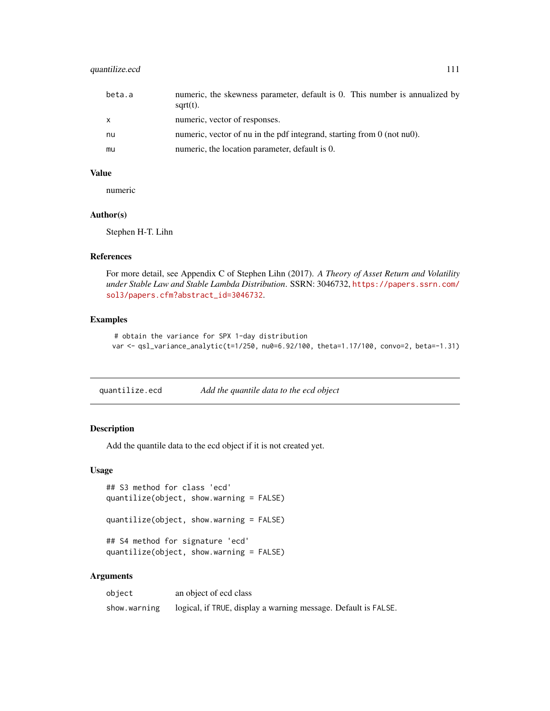#### <span id="page-110-0"></span>quantilize.ecd 111

| beta.a       | numeric, the skewness parameter, default is 0. This number is annualized by<br>$sqrt(t)$ . |
|--------------|--------------------------------------------------------------------------------------------|
| $\mathsf{x}$ | numeric, vector of responses.                                                              |
| nu           | numeric, vector of nu in the pdf integrand, starting from $0$ (not nu0).                   |
| mu           | numeric, the location parameter, default is 0.                                             |

### Value

numeric

#### Author(s)

Stephen H-T. Lihn

#### References

For more detail, see Appendix C of Stephen Lihn (2017). *A Theory of Asset Return and Volatility under Stable Law and Stable Lambda Distribution*. SSRN: 3046732, [https://papers.ssrn.com/](https://papers.ssrn.com/sol3/papers.cfm?abstract_id=3046732) [sol3/papers.cfm?abstract\\_id=3046732](https://papers.ssrn.com/sol3/papers.cfm?abstract_id=3046732).

#### Examples

```
# obtain the variance for SPX 1-day distribution
var <- qsl_variance_analytic(t=1/250, nu0=6.92/100, theta=1.17/100, convo=2, beta=-1.31)
```
quantilize.ecd *Add the quantile data to the ecd object*

#### Description

Add the quantile data to the ecd object if it is not created yet.

#### Usage

```
## S3 method for class 'ecd'
quantilize(object, show.warning = FALSE)
quantilize(object, show.warning = FALSE)
```

```
## S4 method for signature 'ecd'
quantilize(object, show.warning = FALSE)
```
#### Arguments

| object       | an object of ecd class                                         |
|--------------|----------------------------------------------------------------|
| show.warning | logical, if TRUE, display a warning message. Default is FALSE. |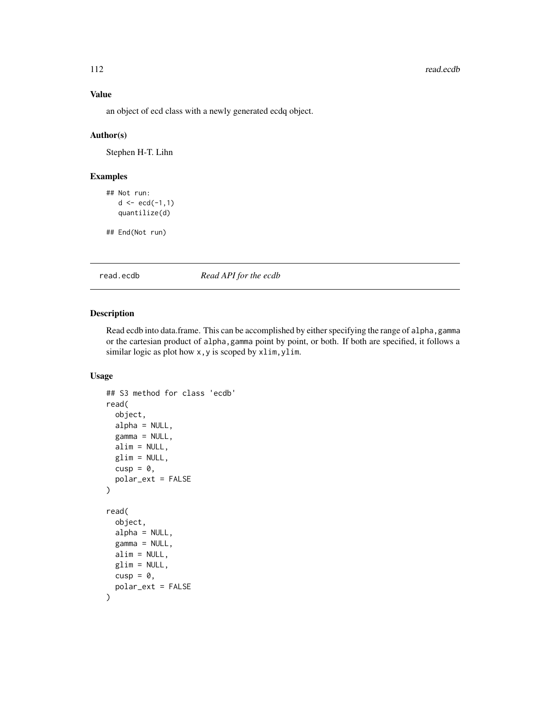#### 112 read.ecdb

#### Value

an object of ecd class with a newly generated ecdq object.

#### Author(s)

Stephen H-T. Lihn

### Examples

```
## Not run:
   d \leftarrow \text{ecd}(-1, 1)quantilize(d)
```
## End(Not run)

read.ecdb *Read API for the ecdb*

#### Description

Read ecdb into data.frame. This can be accomplished by either specifying the range of alpha, gamma or the cartesian product of alpha,gamma point by point, or both. If both are specified, it follows a similar logic as plot how x, y is scoped by xlim, ylim.

#### Usage

```
## S3 method for class 'ecdb'
read(
  object,
  alpha = NULL,
  gamma = NULL,alim = NULL,
 glim = NULL,
 cusp = \emptyset,
 polar_ext = FALSE
\lambdaread(
  object,
  alpha = NULL,
  gamma = NULL,
 alim = NULL,
 glim = NULL,
  cusp = \emptyset,
  polar_ext = FALSE
)
```
<span id="page-111-0"></span>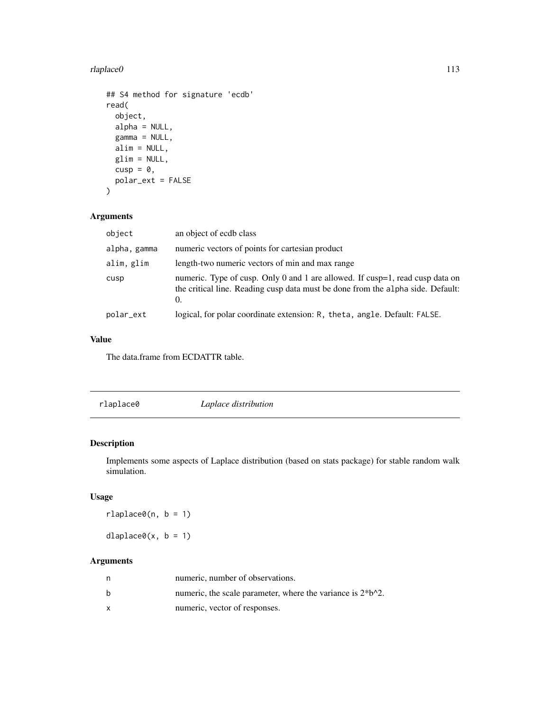#### <span id="page-112-0"></span>rlaplace0 113

```
## S4 method for signature 'ecdb'
read(
 object,
 alpha = NULL,
  gamma = NULL,
 alim = NULL,
 glim = NULL,
 cusp = \emptyset,
 polar_ext = FALSE
)
```
#### Arguments

| object       | an object of ecdb class                                                                                                                                                        |
|--------------|--------------------------------------------------------------------------------------------------------------------------------------------------------------------------------|
| alpha, gamma | numeric vectors of points for cartesian product                                                                                                                                |
| alim, glim   | length-two numeric vectors of min and max range                                                                                                                                |
| cusp         | numeric. Type of cusp. Only 0 and 1 are allowed. If cusp=1, read cusp data on<br>the critical line. Reading cusp data must be done from the alpha side. Default:<br>$\Omega$ . |
| polar_ext    | logical, for polar coordinate extension: R, theta, angle. Default: FALSE.                                                                                                      |

#### Value

The data.frame from ECDATTR table.

| Laplace distribution |
|----------------------|
|----------------------|

### Description

Implements some aspects of Laplace distribution (based on stats package) for stable random walk simulation.

#### Usage

 $r$ laplace $\theta$ (n, b = 1)

 $dlaplace0(x, b = 1)$ 

#### Arguments

| n | numeric, number of observations.                                |
|---|-----------------------------------------------------------------|
| b | numeric, the scale parameter, where the variance is $2 * b^2$ . |
|   | numeric, vector of responses.                                   |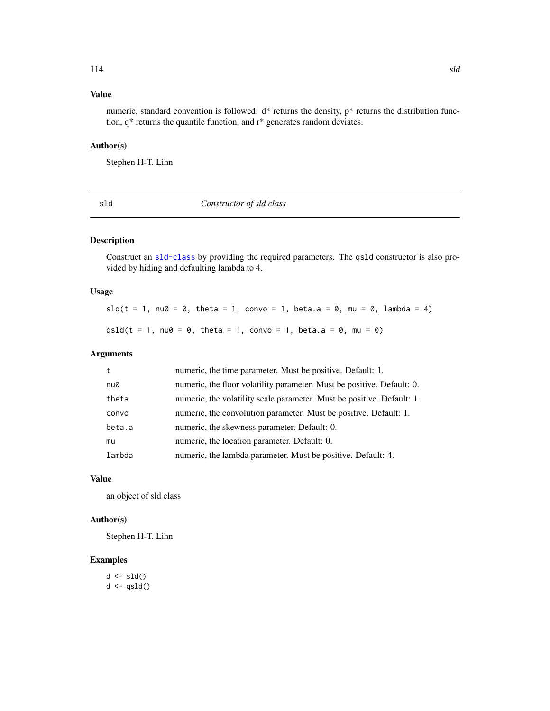### <span id="page-113-0"></span>Value

numeric, standard convention is followed:  $d^*$  returns the density,  $p^*$  returns the distribution function, q\* returns the quantile function, and r\* generates random deviates.

### Author(s)

Stephen H-T. Lihn

sld *Constructor of sld class*

#### Description

Construct an [sld-class](#page-114-0) by providing the required parameters. The qsld constructor is also provided by hiding and defaulting lambda to 4.

#### Usage

sld(t = 1, nu0 = 0, theta = 1, convo = 1, beta.a = 0, mu = 0, lambda = 4) qsld(t = 1, nu0 = 0, theta = 1, convo = 1, beta.a = 0, mu = 0)

#### Arguments

| t      | numeric, the time parameter. Must be positive. Default: 1.             |
|--------|------------------------------------------------------------------------|
| nu0    | numeric, the floor volatility parameter. Must be positive. Default: 0. |
| theta  | numeric, the volatility scale parameter. Must be positive. Default: 1. |
| convo  | numeric, the convolution parameter. Must be positive. Default: 1.      |
| beta.a | numeric, the skewness parameter. Default: 0.                           |
| mu     | numeric, the location parameter. Default: 0.                           |
| lambda | numeric, the lambda parameter. Must be positive. Default: 4.           |

#### Value

an object of sld class

#### Author(s)

Stephen H-T. Lihn

#### Examples

 $d \leftarrow$ sld()  $d \leftarrow qsld()$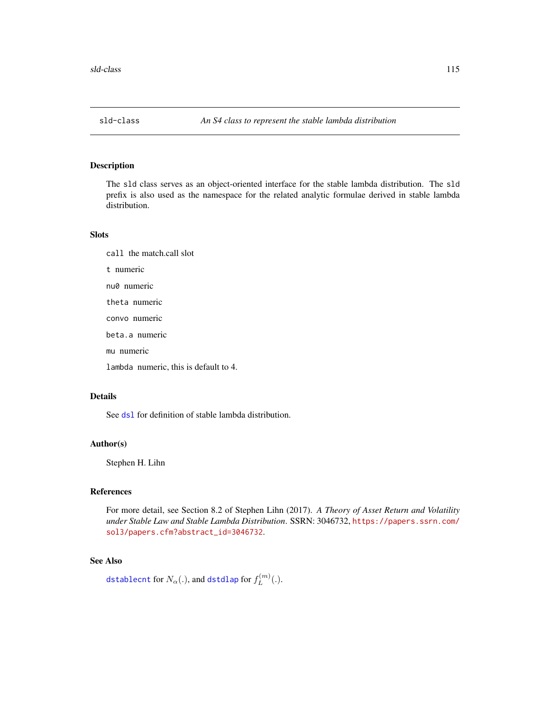<span id="page-114-1"></span><span id="page-114-0"></span>

The sld class serves as an object-oriented interface for the stable lambda distribution. The sld prefix is also used as the namespace for the related analytic formulae derived in stable lambda distribution.

#### Slots

call the match.call slot t numeric nu0 numeric theta numeric convo numeric beta.a numeric mu numeric lambda numeric, this is default to 4.

#### Details

See ds1 for definition of stable lambda distribution.

#### Author(s)

Stephen H. Lihn

#### References

For more detail, see Section 8.2 of Stephen Lihn (2017). *A Theory of Asset Return and Volatility under Stable Law and Stable Lambda Distribution*. SSRN: 3046732, [https://papers.ssrn.com/](https://papers.ssrn.com/sol3/papers.cfm?abstract_id=3046732) [sol3/papers.cfm?abstract\\_id=3046732](https://papers.ssrn.com/sol3/papers.cfm?abstract_id=3046732).

#### See Also

[dstablecnt](#page-11-0) for  $N_\alpha(.)$ , and [dstdlap](#page-12-0) for  $f_L^{(m)}$  $L^{(m)}(.)$ .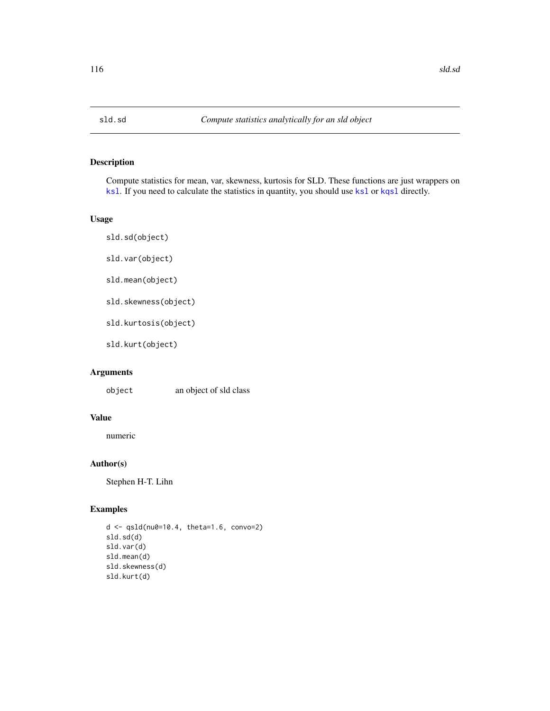<span id="page-115-0"></span>

Compute statistics for mean, var, skewness, kurtosis for SLD. These functions are just wrappers on [ksl](#page-8-1). If you need to calculate the statistics in quantity, you should use ksl or [kqsl](#page-8-1) directly.

#### Usage

sld.sd(object) sld.var(object) sld.mean(object)

sld.skewness(object)

sld.kurtosis(object)

sld.kurt(object)

#### Arguments

object an object of sld class

#### Value

numeric

#### Author(s)

Stephen H-T. Lihn

#### Examples

```
d <- qsld(nu0=10.4, theta=1.6, convo=2)
sld.sd(d)
sld.var(d)
sld.mean(d)
sld.skewness(d)
sld.kurt(d)
```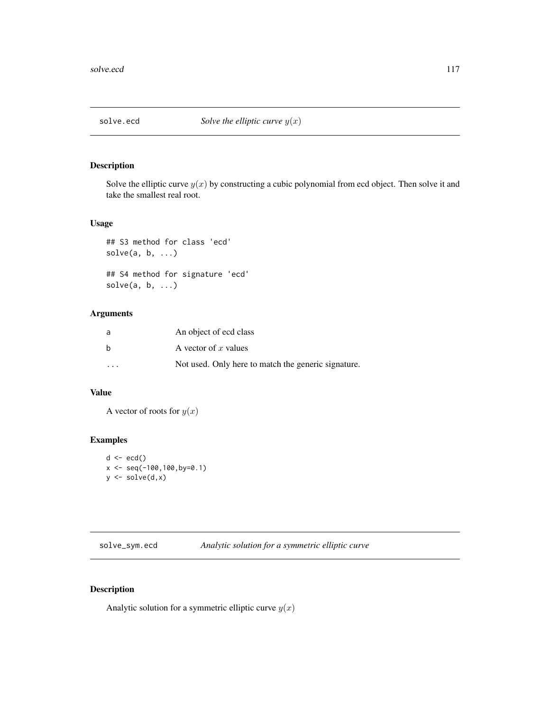<span id="page-116-0"></span>

Solve the elliptic curve  $y(x)$  by constructing a cubic polynomial from ecd object. Then solve it and take the smallest real root.

#### Usage

```
## S3 method for class 'ecd'
solve(a, b, ...)## S4 method for signature 'ecd'
solve(a, b, ...)
```
#### Arguments

| a         | An object of ecd class                              |
|-----------|-----------------------------------------------------|
| b         | A vector of x values                                |
| $\ddotsc$ | Not used. Only here to match the generic signature. |

#### Value

A vector of roots for  $y(x)$ 

# Examples

```
d \leftarrow \text{ecd}()x \leftarrow \text{seq}(-100, 100, \text{by=0.1})y \leftarrow solve(d, x)
```
solve\_sym.ecd *Analytic solution for a symmetric elliptic curve*

#### Description

Analytic solution for a symmetric elliptic curve  $y(x)$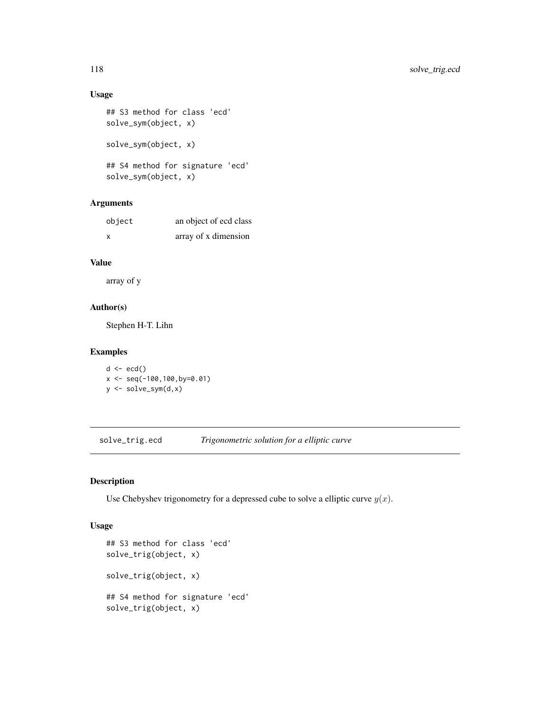### Usage

```
## S3 method for class 'ecd'
solve_sym(object, x)
solve_sym(object, x)
## S4 method for signature 'ecd'
solve_sym(object, x)
```
# Arguments

| object | an object of ecd class |
|--------|------------------------|
| X      | array of x dimension   |

# Value

array of y

#### Author(s)

Stephen H-T. Lihn

#### Examples

```
d \leftarrow \text{ecd}()x \leq -\text{seq}(-100, 100, \text{by=0.01})y <- solve_sym(d,x)
```
solve\_trig.ecd *Trigonometric solution for a elliptic curve*

### Description

Use Chebyshev trigonometry for a depressed cube to solve a elliptic curve  $y(x)$ .

#### Usage

```
## S3 method for class 'ecd'
solve_trig(object, x)
solve_trig(object, x)
## S4 method for signature 'ecd'
solve_trig(object, x)
```
<span id="page-117-0"></span>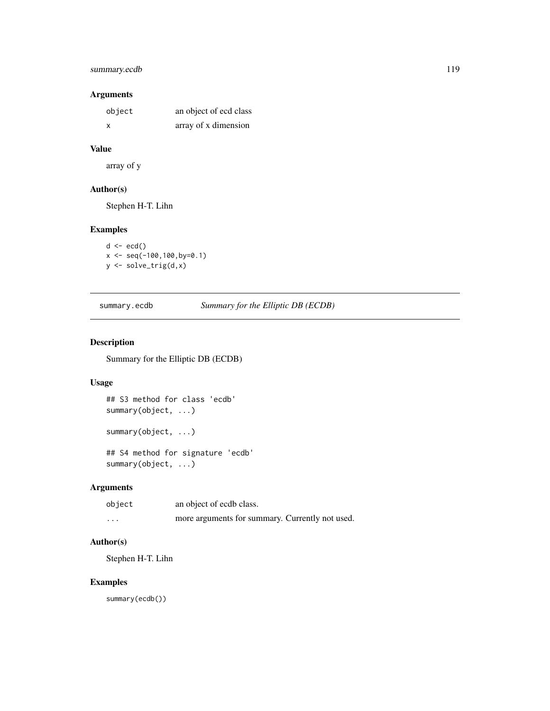#### <span id="page-118-0"></span>summary.ecdb 119

# Arguments

| object | an object of ecd class |
|--------|------------------------|
| X      | array of x dimension   |

# Value

array of y

### Author(s)

Stephen H-T. Lihn

#### Examples

```
d \leftarrow \text{ecd}()x \leq -\text{seq}(-100, 100, \text{by=0.1})y <- solve_trig(d,x)
```
summary.ecdb *Summary for the Elliptic DB (ECDB)*

#### Description

Summary for the Elliptic DB (ECDB)

#### Usage

```
## S3 method for class 'ecdb'
summary(object, ...)
summary(object, ...)
## S4 method for signature 'ecdb'
summary(object, ...)
```
### Arguments

| object | an object of ecdb class.                        |
|--------|-------------------------------------------------|
| .      | more arguments for summary. Currently not used. |

#### Author(s)

Stephen H-T. Lihn

#### Examples

summary(ecdb())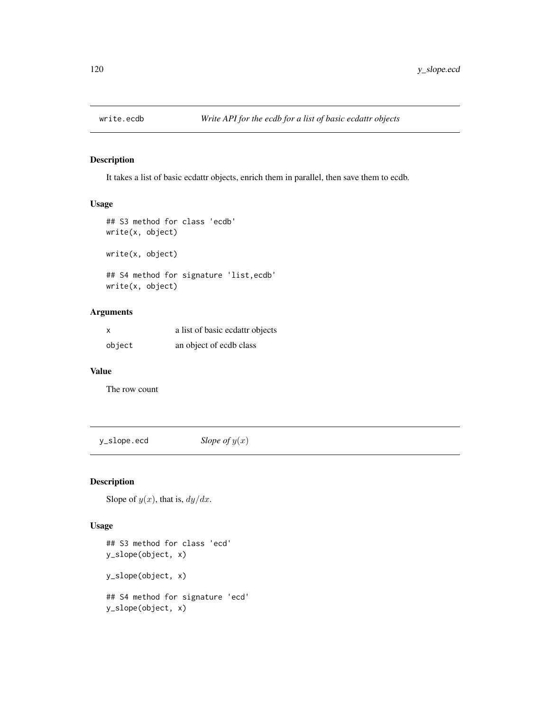<span id="page-119-0"></span>

It takes a list of basic ecdattr objects, enrich them in parallel, then save them to ecdb.

#### Usage

```
## S3 method for class 'ecdb'
write(x, object)
write(x, object)
## S4 method for signature 'list,ecdb'
write(x, object)
```
#### Arguments

| x      | a list of basic ecdattr objects |
|--------|---------------------------------|
| object | an object of ecdb class         |

#### Value

The row count

 $y$ **\_slope.ecd** *Slope of*  $y(x)$ 

#### Description

Slope of  $y(x)$ , that is,  $dy/dx$ .

#### Usage

```
## S3 method for class 'ecd'
y_slope(object, x)
y_slope(object, x)
## S4 method for signature 'ecd'
y_slope(object, x)
```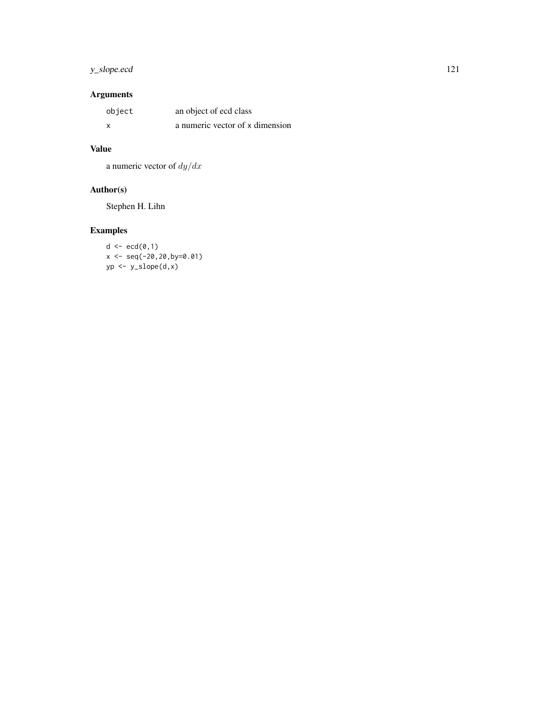# y\_slope.ecd 121

# Arguments

| object | an object of ecd class          |
|--------|---------------------------------|
|        | a numeric vector of x dimension |

# Value

a numeric vector of  $dy/dx$ 

# Author(s)

Stephen H. Lihn

# Examples

 $d \leftarrow \operatorname{ecd}(\emptyset, 1)$ x <- seq(-20,20,by=0.01)  $yp \leftarrow y\_slope(d, x)$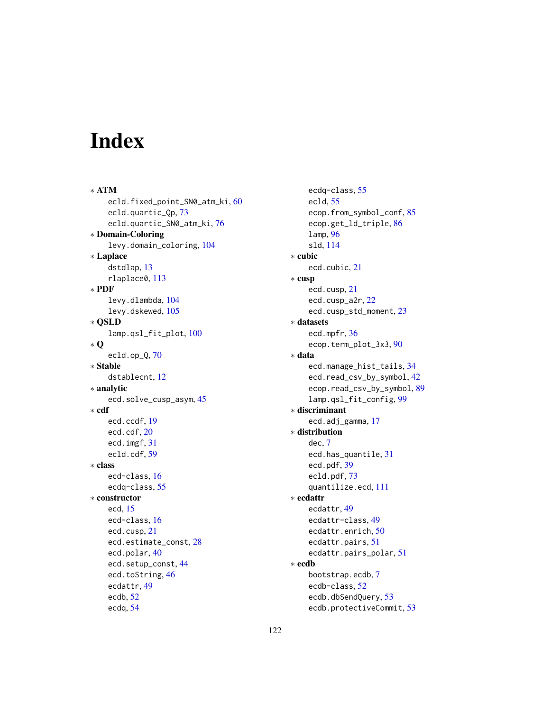# Index

∗ ATM ecld.fixed\_point\_SN0\_atm\_ki, [60](#page-59-0) ecld.quartic\_Qp, [73](#page-72-0) ecld.quartic\_SN0\_atm\_ki, [76](#page-75-0) ∗ Domain-Coloring levy.domain\_coloring, [104](#page-103-0) ∗ Laplace dstdlap, [13](#page-12-1) rlaplace0, [113](#page-112-0) ∗ PDF levy.dlambda, [104](#page-103-0) levy.dskewed, [105](#page-104-0) ∗ QSLD lamp.qsl\_fit\_plot, [100](#page-99-0) ∗ Q ecld.op\_Q, [70](#page-69-0) ∗ Stable dstablecnt, [12](#page-11-1) ∗ analytic ecd.solve\_cusp\_asym, [45](#page-44-0) ∗ cdf ecd.ccdf, [19](#page-18-0) ecd.cdf, [20](#page-19-0) ecd.imgf, [31](#page-30-0) ecld.cdf, [59](#page-58-0) ∗ class ecd-class, [16](#page-15-0) ecdq-class, [55](#page-54-0) ∗ constructor ecd, [15](#page-14-0) ecd-class, [16](#page-15-0) ecd.cusp, [21](#page-20-0) ecd.estimate\_const, [28](#page-27-0) ecd.polar, [40](#page-39-0) ecd.setup\_const, [44](#page-43-0) ecd.toString, [46](#page-45-0) ecdattr, [49](#page-48-0) ecdb, [52](#page-51-0) ecdq, [54](#page-53-0)

ecdq-class, [55](#page-54-0) ecld, [55](#page-54-0) ecop.from\_symbol\_conf, [85](#page-84-0) ecop.get\_ld\_triple, [86](#page-85-0) lamp, [96](#page-95-0) sld, [114](#page-113-0) ∗ cubic ecd.cubic, [21](#page-20-0) ∗ cusp ecd.cusp, [21](#page-20-0) ecd.cusp\_a2r, [22](#page-21-0) ecd.cusp\_std\_moment, [23](#page-22-0) ∗ datasets ecd.mpfr, [36](#page-35-0) ecop.term\_plot\_3x3, [90](#page-89-0) ∗ data ecd.manage\_hist\_tails, [34](#page-33-0) ecd.read\_csv\_by\_symbol, [42](#page-41-0) ecop.read\_csv\_by\_symbol, [89](#page-88-0) lamp.qsl\_fit\_config, [99](#page-98-0) ∗ discriminant ecd.adj\_gamma, [17](#page-16-0) ∗ distribution dec, [7](#page-6-0) ecd.has\_quantile, [31](#page-30-0) ecd.pdf, [39](#page-38-0) ecld.pdf, [73](#page-72-0) quantilize.ecd, [111](#page-110-0) ∗ ecdattr ecdattr, [49](#page-48-0) ecdattr-class, [49](#page-48-0) ecdattr.enrich, [50](#page-49-0) ecdattr.pairs, [51](#page-50-0) ecdattr.pairs\_polar, [51](#page-50-0) ∗ ecdb bootstrap.ecdb, [7](#page-6-0) ecdb-class, [52](#page-51-0) ecdb.dbSendQuery, [53](#page-52-0) ecdb.protectiveCommit, [53](#page-52-0)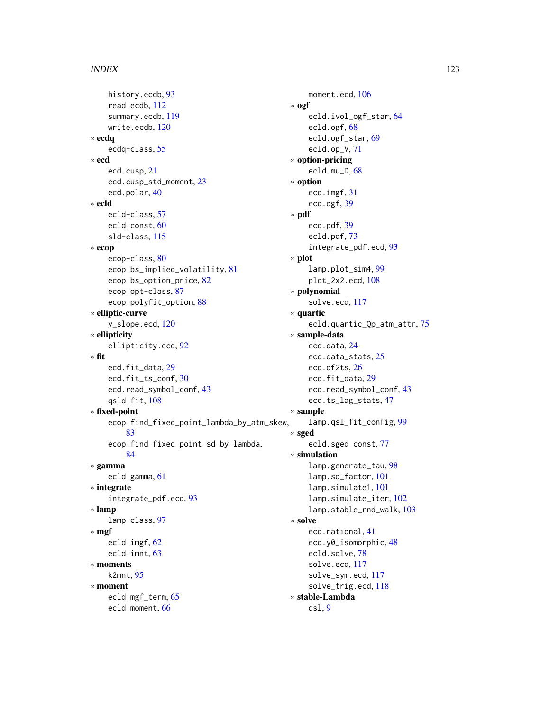```
history.ecdb, 93
    read.ecdb, 112
    summary.ecdb, 119
    write.ecdb, 120
∗ ecdq
    ecdq-class, 55
∗ ecd
    ecd.cusp, 21
    ecd.cusp_std_moment, 23
    ecd.polar, 40
∗ ecld
    ecld-class, 57
    ecld.const, 60
    sld-class, 115
∗ ecop
    ecop-class, 80
    ecop.bs_implied_volatility, 81
    ecop.bs_option_price, 82
    ecop.opt-class, 87
    ecop.polyfit_option, 88
∗ elliptic-curve
    y_slope.ecd, 120
∗ ellipticity
    ellipticity.ecd, 92
∗ fit
    ecd.fit_data, 29
    ecd.fit_ts_conf, 30
    ecd.read_symbol_conf, 43
    qsld.fit, 108
∗ fixed-point
    ecop.find_fixed_point_lambda_by_atm_skew,
        83
    ecop.find_fixed_point_sd_by_lambda,
        84
∗ gamma
    ecld.gamma, 61
∗ integrate
    integrate_pdf.ecd, 93
∗ lamp
    lamp-class, 97
∗ mgf
    ecld.imgf, 62
    ecld.imnt, 63
∗ moments
    k2mnt, 95
∗ moment
    ecld.mgf_term, 65
    ecld.moment, 66
```

```
moment.ecd, 106
∗ ogf
    ecld.ivol_ogf_star, 64
    ecld.ogf, 68
    ecld.ogf_star, 69
    ecld.op_V, 71
∗ option-pricing
    ecld.mu_D, 68
∗ option
    ecd.imgf, 31
    ecd.ogf, 39
∗ pdf
    ecd.pdf, 39
    ecld.pdf, 73
    integrate_pdf.ecd, 93
∗ plot
    lamp.plot_sim4, 99
    plot_2x2.ecd, 108
∗ polynomial
    solve.ecd, 117
∗ quartic
    ecld.quartic_Qp_atm_attr, 75
∗ sample-data
    ecd.data, 24
    ecd.data_stats, 25
    ecd.df2ts, 26
    ecd.fit_data, 29
    ecd.read_symbol_conf, 43
    ecd.ts_lag_stats, 47
∗ sample
    lamp.qsl_fit_config, 99
∗ sged
    ecld.sged_const, 77
∗ simulation
    lamp.generate_tau, 98
    lamp.sd_factor, 101
    lamp.simulate1, 101
    lamp.simulate_iter, 102
    lamp.stable_rnd_walk, 103
∗ solve
    ecd.rational, 41
    ecd.y0_isomorphic, 48
    ecld.solve, 78
    solve.ecd, 117
    solve_sym.ecd, 117
    solve_trig.ecd, 118
∗ stable-Lambda
    dsl, 9
```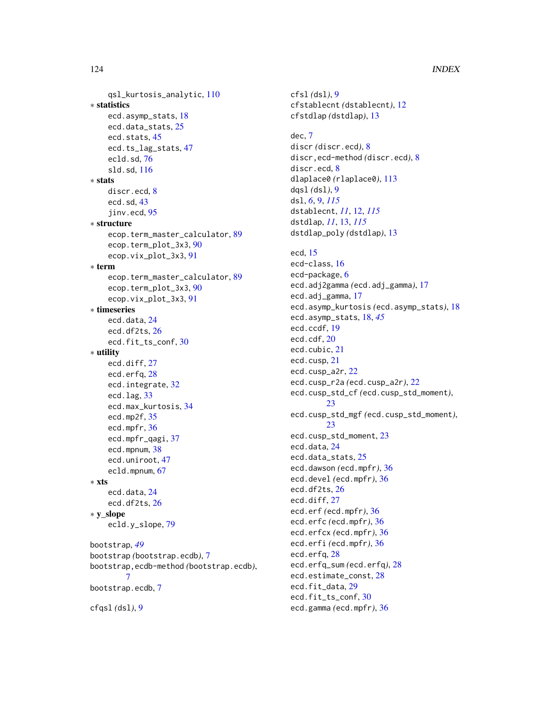qsl\_kurtosis\_analytic, [110](#page-109-0) ∗ statistics ecd.asymp\_stats, [18](#page-17-0) ecd.data\_stats, [25](#page-24-0) ecd.stats, [45](#page-44-0) ecd.ts\_lag\_stats, [47](#page-46-0) ecld.sd, [76](#page-75-0) sld.sd, [116](#page-115-0) ∗ stats discr.ecd, [8](#page-7-0) ecd.sd, [43](#page-42-0) jinv.ecd, [95](#page-94-0) ∗ structure ecop.term\_master\_calculator, [89](#page-88-0) ecop.term\_plot\_3x3, [90](#page-89-0) ecop.vix\_plot\_3x3, [91](#page-90-0) ∗ term ecop.term\_master\_calculator, [89](#page-88-0) ecop.term\_plot\_3x3, [90](#page-89-0) ecop.vix\_plot\_3x3, [91](#page-90-0) ∗ timeseries ecd.data, [24](#page-23-0) ecd.df2ts, [26](#page-25-0) ecd.fit\_ts\_conf, [30](#page-29-0) ∗ utility ecd.diff, [27](#page-26-0) ecd.erfq, [28](#page-27-0) ecd.integrate, [32](#page-31-0) ecd.lag, [33](#page-32-0) ecd.max\_kurtosis, [34](#page-33-0) ecd.mp2f, [35](#page-34-0) ecd.mpfr, [36](#page-35-0) ecd.mpfr\_qagi, [37](#page-36-0) ecd.mpnum, [38](#page-37-0) ecd.uniroot, [47](#page-46-0) ecld.mpnum, [67](#page-66-0) ∗ xts ecd.data, [24](#page-23-0) ecd.df2ts, [26](#page-25-0) ∗ y\_slope ecld.y\_slope, [79](#page-78-0) bootstrap, *[49](#page-48-0)* bootstrap *(*bootstrap.ecdb*)*, [7](#page-6-0) bootstrap,ecdb-method *(*bootstrap.ecdb*)*, [7](#page-6-0) bootstrap.ecdb, [7](#page-6-0) cfqsl *(*dsl*)*, [9](#page-8-2)

cfsl *(*dsl*)*, [9](#page-8-2) cfstablecnt *(*dstablecnt*)*, [12](#page-11-1) cfstdlap *(*dstdlap*)*, [13](#page-12-1) dec, [7](#page-6-0) discr *(*discr.ecd*)*, [8](#page-7-0) discr,ecd-method *(*discr.ecd*)*, [8](#page-7-0) discr.ecd, [8](#page-7-0) dlaplace0 *(*rlaplace0*)*, [113](#page-112-0) dqsl *(*dsl*)*, [9](#page-8-2) dsl, *[6](#page-5-0)*, [9,](#page-8-2) *[115](#page-114-1)* dstablecnt, *[11](#page-10-0)*, [12,](#page-11-1) *[115](#page-114-1)* dstdlap, *[11](#page-10-0)*, [13,](#page-12-1) *[115](#page-114-1)* dstdlap\_poly *(*dstdlap*)*, [13](#page-12-1) ecd, [15](#page-14-0) ecd-class, [16](#page-15-0) ecd-package, [6](#page-5-0) ecd.adj2gamma *(*ecd.adj\_gamma*)*, [17](#page-16-0) ecd.adj\_gamma, [17](#page-16-0) ecd.asymp\_kurtosis *(*ecd.asymp\_stats*)*, [18](#page-17-0) ecd.asymp\_stats, [18,](#page-17-0) *[45](#page-44-0)* ecd.ccdf, [19](#page-18-0) ecd.cdf, [20](#page-19-0) ecd.cubic, [21](#page-20-0) ecd.cusp, [21](#page-20-0) ecd.cusp\_a2r, [22](#page-21-0) ecd.cusp\_r2a *(*ecd.cusp\_a2r*)*, [22](#page-21-0) ecd.cusp\_std\_cf *(*ecd.cusp\_std\_moment*)*, [23](#page-22-0) ecd.cusp\_std\_mgf *(*ecd.cusp\_std\_moment*)*, [23](#page-22-0) ecd.cusp\_std\_moment, [23](#page-22-0) ecd.data, [24](#page-23-0) ecd.data\_stats, [25](#page-24-0) ecd.dawson *(*ecd.mpfr*)*, [36](#page-35-0) ecd.devel *(*ecd.mpfr*)*, [36](#page-35-0) ecd.df2ts, [26](#page-25-0) ecd.diff, [27](#page-26-0) ecd.erf *(*ecd.mpfr*)*, [36](#page-35-0) ecd.erfc *(*ecd.mpfr*)*, [36](#page-35-0) ecd.erfcx *(*ecd.mpfr*)*, [36](#page-35-0) ecd.erfi *(*ecd.mpfr*)*, [36](#page-35-0) ecd.erfq, [28](#page-27-0) ecd.erfq\_sum *(*ecd.erfq*)*, [28](#page-27-0) ecd.estimate\_const, [28](#page-27-0) ecd.fit\_data, [29](#page-28-0) ecd.fit\_ts\_conf, [30](#page-29-0) ecd.gamma *(*ecd.mpfr*)*, [36](#page-35-0)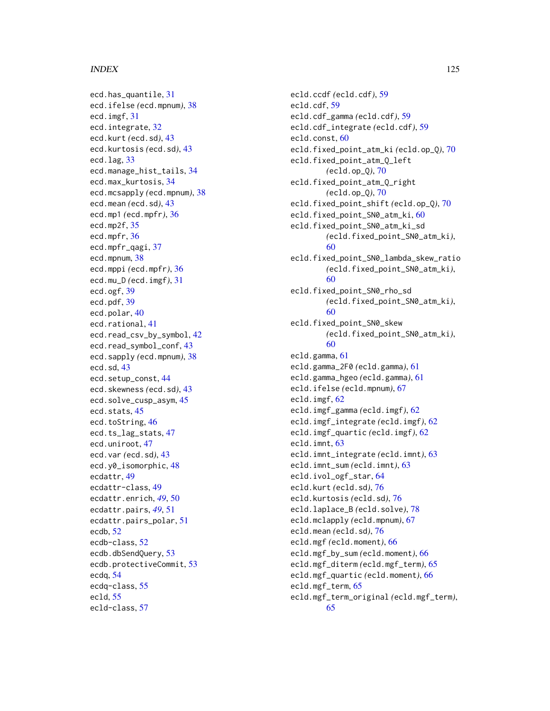ecd.has\_quantile, [31](#page-30-0) ecd.ifelse *(*ecd.mpnum*)*, [38](#page-37-0) ecd.imgf, [31](#page-30-0) ecd.integrate, [32](#page-31-0) ecd.kurt *(*ecd.sd*)*, [43](#page-42-0) ecd.kurtosis *(*ecd.sd*)*, [43](#page-42-0) ecd.lag, [33](#page-32-0) ecd.manage\_hist\_tails, [34](#page-33-0) ecd.max\_kurtosis, [34](#page-33-0) ecd.mcsapply *(*ecd.mpnum*)*, [38](#page-37-0) ecd.mean *(*ecd.sd*)*, [43](#page-42-0) ecd.mp1 *(*ecd.mpfr*)*, [36](#page-35-0) ecd.mp2f, [35](#page-34-0) ecd.mpfr, [36](#page-35-0) ecd.mpfr\_qagi, [37](#page-36-0) ecd.mpnum, [38](#page-37-0) ecd.mppi *(*ecd.mpfr*)*, [36](#page-35-0) ecd.mu\_D *(*ecd.imgf*)*, [31](#page-30-0) ecd.ogf, [39](#page-38-0) ecd.pdf, [39](#page-38-0) ecd.polar, [40](#page-39-0) ecd.rational, [41](#page-40-0) ecd.read\_csv\_by\_symbol, [42](#page-41-0) ecd.read\_symbol\_conf, [43](#page-42-0) ecd.sapply *(*ecd.mpnum*)*, [38](#page-37-0) ecd.sd, [43](#page-42-0) ecd.setup\_const, [44](#page-43-0) ecd.skewness *(*ecd.sd*)*, [43](#page-42-0) ecd.solve\_cusp\_asym, [45](#page-44-0) ecd.stats, [45](#page-44-0) ecd.toString, [46](#page-45-0) ecd.ts\_lag\_stats, [47](#page-46-0) ecd.uniroot, [47](#page-46-0) ecd.var *(*ecd.sd*)*, [43](#page-42-0) ecd.y0\_isomorphic, [48](#page-47-0) ecdattr, [49](#page-48-0) ecdattr-class, [49](#page-48-0) ecdattr.enrich, *[49](#page-48-0)*, [50](#page-49-0) ecdattr.pairs, *[49](#page-48-0)*, [51](#page-50-0) ecdattr.pairs\_polar, [51](#page-50-0) ecdb, [52](#page-51-0) ecdb-class, [52](#page-51-0) ecdb.dbSendQuery, [53](#page-52-0) ecdb.protectiveCommit, [53](#page-52-0) ecdq, [54](#page-53-0) ecdq-class, [55](#page-54-0) ecld, [55](#page-54-0) ecld-class, [57](#page-56-0)

ecld.ccdf *(*ecld.cdf*)*, [59](#page-58-0) ecld.cdf, [59](#page-58-0) ecld.cdf\_gamma *(*ecld.cdf*)*, [59](#page-58-0) ecld.cdf\_integrate *(*ecld.cdf*)*, [59](#page-58-0) ecld.const, [60](#page-59-0) ecld.fixed\_point\_atm\_ki *(*ecld.op\_Q*)*, [70](#page-69-0) ecld.fixed\_point\_atm\_Q\_left *(*ecld.op\_Q*)*, [70](#page-69-0) ecld.fixed\_point\_atm\_Q\_right *(*ecld.op\_Q*)*, [70](#page-69-0) ecld.fixed\_point\_shift *(*ecld.op\_Q*)*, [70](#page-69-0) ecld.fixed\_point\_SN0\_atm\_ki, [60](#page-59-0) ecld.fixed\_point\_SN0\_atm\_ki\_sd *(*ecld.fixed\_point\_SN0\_atm\_ki*)*, [60](#page-59-0) ecld.fixed\_point\_SN0\_lambda\_skew\_ratio *(*ecld.fixed\_point\_SN0\_atm\_ki*)*, [60](#page-59-0) ecld.fixed\_point\_SN0\_rho\_sd *(*ecld.fixed\_point\_SN0\_atm\_ki*)*, [60](#page-59-0) ecld.fixed\_point\_SN0\_skew *(*ecld.fixed\_point\_SN0\_atm\_ki*)*, [60](#page-59-0) ecld.gamma, [61](#page-60-0) ecld.gamma\_2F0 *(*ecld.gamma*)*, [61](#page-60-0) ecld.gamma\_hgeo *(*ecld.gamma*)*, [61](#page-60-0) ecld.ifelse *(*ecld.mpnum*)*, [67](#page-66-0) ecld.imgf, [62](#page-61-0) ecld.imgf\_gamma *(*ecld.imgf*)*, [62](#page-61-0) ecld.imgf\_integrate *(*ecld.imgf*)*, [62](#page-61-0) ecld.imgf\_quartic *(*ecld.imgf*)*, [62](#page-61-0) ecld.imnt, [63](#page-62-0) ecld.imnt\_integrate *(*ecld.imnt*)*, [63](#page-62-0) ecld.imnt\_sum *(*ecld.imnt*)*, [63](#page-62-0) ecld.ivol\_ogf\_star, [64](#page-63-0) ecld.kurt *(*ecld.sd*)*, [76](#page-75-0) ecld.kurtosis *(*ecld.sd*)*, [76](#page-75-0) ecld.laplace\_B *(*ecld.solve*)*, [78](#page-77-0) ecld.mclapply *(*ecld.mpnum*)*, [67](#page-66-0) ecld.mean *(*ecld.sd*)*, [76](#page-75-0) ecld.mgf *(*ecld.moment*)*, [66](#page-65-0) ecld.mgf\_by\_sum *(*ecld.moment*)*, [66](#page-65-0) ecld.mgf\_diterm *(*ecld.mgf\_term*)*, [65](#page-64-0) ecld.mgf\_quartic *(*ecld.moment*)*, [66](#page-65-0) ecld.mgf\_term, [65](#page-64-0) ecld.mgf\_term\_original *(*ecld.mgf\_term*)*, [65](#page-64-0)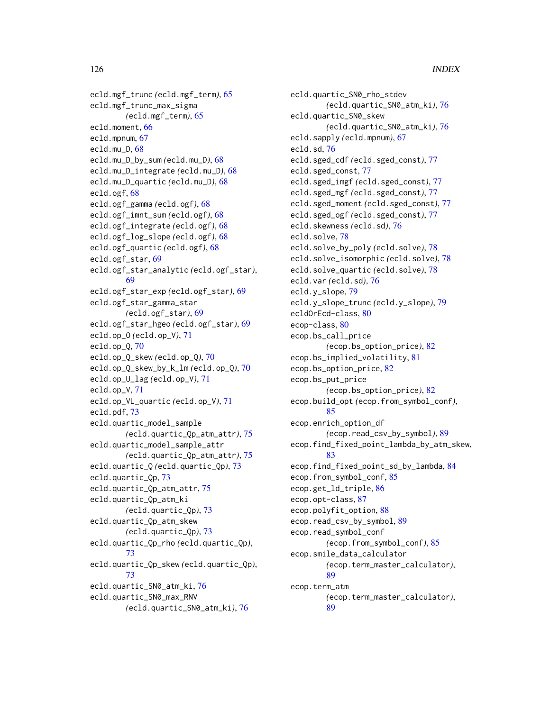ecld.mgf\_trunc *(*ecld.mgf\_term*)*, [65](#page-64-0) ecld.mgf\_trunc\_max\_sigma *(*ecld.mgf\_term*)*, [65](#page-64-0) ecld.moment, [66](#page-65-0) ecld.mpnum, [67](#page-66-0) ecld.mu\_D, [68](#page-67-0) ecld.mu\_D\_by\_sum *(*ecld.mu\_D*)*, [68](#page-67-0) ecld.mu\_D\_integrate *(*ecld.mu\_D*)*, [68](#page-67-0) ecld.mu\_D\_quartic *(*ecld.mu\_D*)*, [68](#page-67-0) ecld.ogf, [68](#page-67-0) ecld.ogf\_gamma *(*ecld.ogf*)*, [68](#page-67-0) ecld.ogf\_imnt\_sum *(*ecld.ogf*)*, [68](#page-67-0) ecld.ogf\_integrate *(*ecld.ogf*)*, [68](#page-67-0) ecld.ogf\_log\_slope *(*ecld.ogf*)*, [68](#page-67-0) ecld.ogf\_quartic *(*ecld.ogf*)*, [68](#page-67-0) ecld.ogf\_star, [69](#page-68-0) ecld.ogf\_star\_analytic *(*ecld.ogf\_star*)*, [69](#page-68-0) ecld.ogf\_star\_exp *(*ecld.ogf\_star*)*, [69](#page-68-0) ecld.ogf\_star\_gamma\_star *(*ecld.ogf\_star*)*, [69](#page-68-0) ecld.ogf\_star\_hgeo *(*ecld.ogf\_star*)*, [69](#page-68-0) ecld.op\_O *(*ecld.op\_V*)*, [71](#page-70-0) ecld.op\_Q, [70](#page-69-0) ecld.op\_Q\_skew *(*ecld.op\_Q*)*, [70](#page-69-0) ecld.op\_Q\_skew\_by\_k\_lm *(*ecld.op\_Q*)*, [70](#page-69-0) ecld.op\_U\_lag *(*ecld.op\_V*)*, [71](#page-70-0) ecld.op\_V, [71](#page-70-0) ecld.op\_VL\_quartic *(*ecld.op\_V*)*, [71](#page-70-0) ecld.pdf, [73](#page-72-0) ecld.quartic\_model\_sample *(*ecld.quartic\_Qp\_atm\_attr*)*, [75](#page-74-0) ecld.quartic\_model\_sample\_attr *(*ecld.quartic\_Qp\_atm\_attr*)*, [75](#page-74-0) ecld.quartic\_Q *(*ecld.quartic\_Qp*)*, [73](#page-72-0) ecld.quartic\_Qp, [73](#page-72-0) ecld.quartic\_Qp\_atm\_attr, [75](#page-74-0) ecld.quartic\_Qp\_atm\_ki *(*ecld.quartic\_Qp*)*, [73](#page-72-0) ecld.quartic\_Qp\_atm\_skew *(*ecld.quartic\_Qp*)*, [73](#page-72-0) ecld.quartic\_Qp\_rho *(*ecld.quartic\_Qp*)*, [73](#page-72-0) ecld.quartic\_Qp\_skew *(*ecld.quartic\_Qp*)*, [73](#page-72-0) ecld.quartic\_SN0\_atm\_ki, [76](#page-75-0) ecld.quartic\_SN0\_max\_RNV *(*ecld.quartic\_SN0\_atm\_ki*)*, [76](#page-75-0)

ecld.quartic\_SN0\_rho\_stdev *(*ecld.quartic\_SN0\_atm\_ki*)*, [76](#page-75-0) ecld.quartic\_SN0\_skew *(*ecld.quartic\_SN0\_atm\_ki*)*, [76](#page-75-0) ecld.sapply *(*ecld.mpnum*)*, [67](#page-66-0) ecld.sd, [76](#page-75-0) ecld.sged\_cdf *(*ecld.sged\_const*)*, [77](#page-76-0) ecld.sged\_const, [77](#page-76-0) ecld.sged\_imgf *(*ecld.sged\_const*)*, [77](#page-76-0) ecld.sged\_mgf *(*ecld.sged\_const*)*, [77](#page-76-0) ecld.sged\_moment *(*ecld.sged\_const*)*, [77](#page-76-0) ecld.sged\_ogf *(*ecld.sged\_const*)*, [77](#page-76-0) ecld.skewness *(*ecld.sd*)*, [76](#page-75-0) ecld.solve, [78](#page-77-0) ecld.solve\_by\_poly *(*ecld.solve*)*, [78](#page-77-0) ecld.solve\_isomorphic *(*ecld.solve*)*, [78](#page-77-0) ecld.solve\_quartic *(*ecld.solve*)*, [78](#page-77-0) ecld.var *(*ecld.sd*)*, [76](#page-75-0) ecld.y\_slope, [79](#page-78-0) ecld.y\_slope\_trunc *(*ecld.y\_slope*)*, [79](#page-78-0) ecldOrEcd-class, [80](#page-79-0) ecop-class, [80](#page-79-0) ecop.bs\_call\_price *(*ecop.bs\_option\_price*)*, [82](#page-81-0) ecop.bs\_implied\_volatility, [81](#page-80-0) ecop.bs\_option\_price, [82](#page-81-0) ecop.bs\_put\_price *(*ecop.bs\_option\_price*)*, [82](#page-81-0) ecop.build\_opt *(*ecop.from\_symbol\_conf*)*, [85](#page-84-0) ecop.enrich\_option\_df *(*ecop.read\_csv\_by\_symbol*)*, [89](#page-88-0) ecop.find\_fixed\_point\_lambda\_by\_atm\_skew, [83](#page-82-0) ecop.find\_fixed\_point\_sd\_by\_lambda, [84](#page-83-0) ecop.from\_symbol\_conf, [85](#page-84-0) ecop.get\_ld\_triple, [86](#page-85-0) ecop.opt-class, [87](#page-86-0) ecop.polyfit\_option, [88](#page-87-0) ecop.read\_csv\_by\_symbol, [89](#page-88-0) ecop.read\_symbol\_conf *(*ecop.from\_symbol\_conf*)*, [85](#page-84-0) ecop.smile\_data\_calculator *(*ecop.term\_master\_calculator*)*, [89](#page-88-0) ecop.term\_atm *(*ecop.term\_master\_calculator*)*, [89](#page-88-0)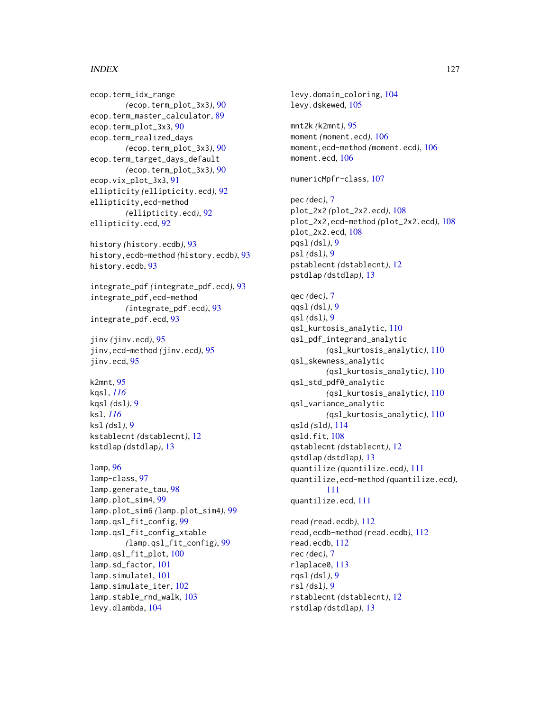ecop.term\_idx\_range *(*ecop.term\_plot\_3x3*)*, [90](#page-89-0) ecop.term\_master\_calculator, [89](#page-88-0) ecop.term\_plot\_3x3, [90](#page-89-0) ecop.term\_realized\_days *(*ecop.term\_plot\_3x3*)*, [90](#page-89-0) ecop.term\_target\_days\_default *(*ecop.term\_plot\_3x3*)*, [90](#page-89-0) ecop.vix\_plot\_3x3, [91](#page-90-0) ellipticity *(*ellipticity.ecd*)*, [92](#page-91-0) ellipticity,ecd-method *(*ellipticity.ecd*)*, [92](#page-91-0) ellipticity.ecd, [92](#page-91-0)

history *(*history.ecdb*)*, [93](#page-92-0) history,ecdb-method *(*history.ecdb*)*, [93](#page-92-0) history.ecdb, [93](#page-92-0)

integrate\_pdf *(*integrate\_pdf.ecd*)*, [93](#page-92-0) integrate\_pdf,ecd-method *(*integrate\_pdf.ecd*)*, [93](#page-92-0) integrate\_pdf.ecd, [93](#page-92-0)

jinv *(*jinv.ecd*)*, [95](#page-94-0) jinv,ecd-method *(*jinv.ecd*)*, [95](#page-94-0) jinv.ecd, [95](#page-94-0)

k2mnt, [95](#page-94-0) kqsl, *[116](#page-115-0)* kqsl *(*dsl*)*, [9](#page-8-2) ksl, *[116](#page-115-0)* ksl *(*dsl*)*, [9](#page-8-2) kstablecnt *(*dstablecnt*)*, [12](#page-11-1) kstdlap *(*dstdlap*)*, [13](#page-12-1)

```
lamp, 96
lamp-class, 97
lamp.generate_tau, 98
lamp.plot_sim4, 99
lamp.plot_sim6 (lamp.plot_sim4), 99
lamp.qsl_fit_config, 99
lamp.qsl_fit_config_xtable
        (lamp.qsl_fit_config), 99
lamp.qsl_fit_plot, 100
lamp.sd_factor, 101
lamp.simulate1, 101
lamp.simulate_iter, 102
lamp.stable_rnd_walk, 103
levy.dlambda, 104
```
levy.domain\_coloring, [104](#page-103-0) levy.dskewed, [105](#page-104-0) mnt2k *(*k2mnt*)*, [95](#page-94-0) moment *(*moment.ecd*)*, [106](#page-105-0) moment,ecd-method *(*moment.ecd*)*, [106](#page-105-0) moment.ecd, [106](#page-105-0) numericMpfr-class, [107](#page-106-0) pec *(*dec*)*, [7](#page-6-0) plot\_2x2 *(*plot\_2x2.ecd*)*, [108](#page-107-0) plot\_2x2,ecd-method *(*plot\_2x2.ecd*)*, [108](#page-107-0) plot\_2x2.ecd, [108](#page-107-0) pqsl *(*dsl*)*, [9](#page-8-2) psl *(*dsl*)*, [9](#page-8-2) pstablecnt *(*dstablecnt*)*, [12](#page-11-1) pstdlap *(*dstdlap*)*, [13](#page-12-1) qec *(*dec*)*, [7](#page-6-0) qqsl *(*dsl*)*, [9](#page-8-2) qsl *(*dsl*)*, [9](#page-8-2) qsl\_kurtosis\_analytic, [110](#page-109-0) qsl\_pdf\_integrand\_analytic *(*qsl\_kurtosis\_analytic*)*, [110](#page-109-0) qsl\_skewness\_analytic *(*qsl\_kurtosis\_analytic*)*, [110](#page-109-0) qsl\_std\_pdf0\_analytic *(*qsl\_kurtosis\_analytic*)*, [110](#page-109-0) qsl\_variance\_analytic *(*qsl\_kurtosis\_analytic*)*, [110](#page-109-0) qsld *(*sld*)*, [114](#page-113-0) qsld.fit, [108](#page-107-0) qstablecnt *(*dstablecnt*)*, [12](#page-11-1) qstdlap *(*dstdlap*)*, [13](#page-12-1) quantilize *(*quantilize.ecd*)*, [111](#page-110-0) quantilize,ecd-method *(*quantilize.ecd*)*, [111](#page-110-0) quantilize.ecd, [111](#page-110-0) read *(*read.ecdb*)*, [112](#page-111-0) read,ecdb-method *(*read.ecdb*)*, [112](#page-111-0) read.ecdb, [112](#page-111-0) rec *(*dec*)*, [7](#page-6-0) rlaplace0, [113](#page-112-0) rqsl *(*dsl*)*, [9](#page-8-2) rsl *(*dsl*)*, [9](#page-8-2) rstablecnt *(*dstablecnt*)*, [12](#page-11-1) rstdlap *(*dstdlap*)*, [13](#page-12-1)